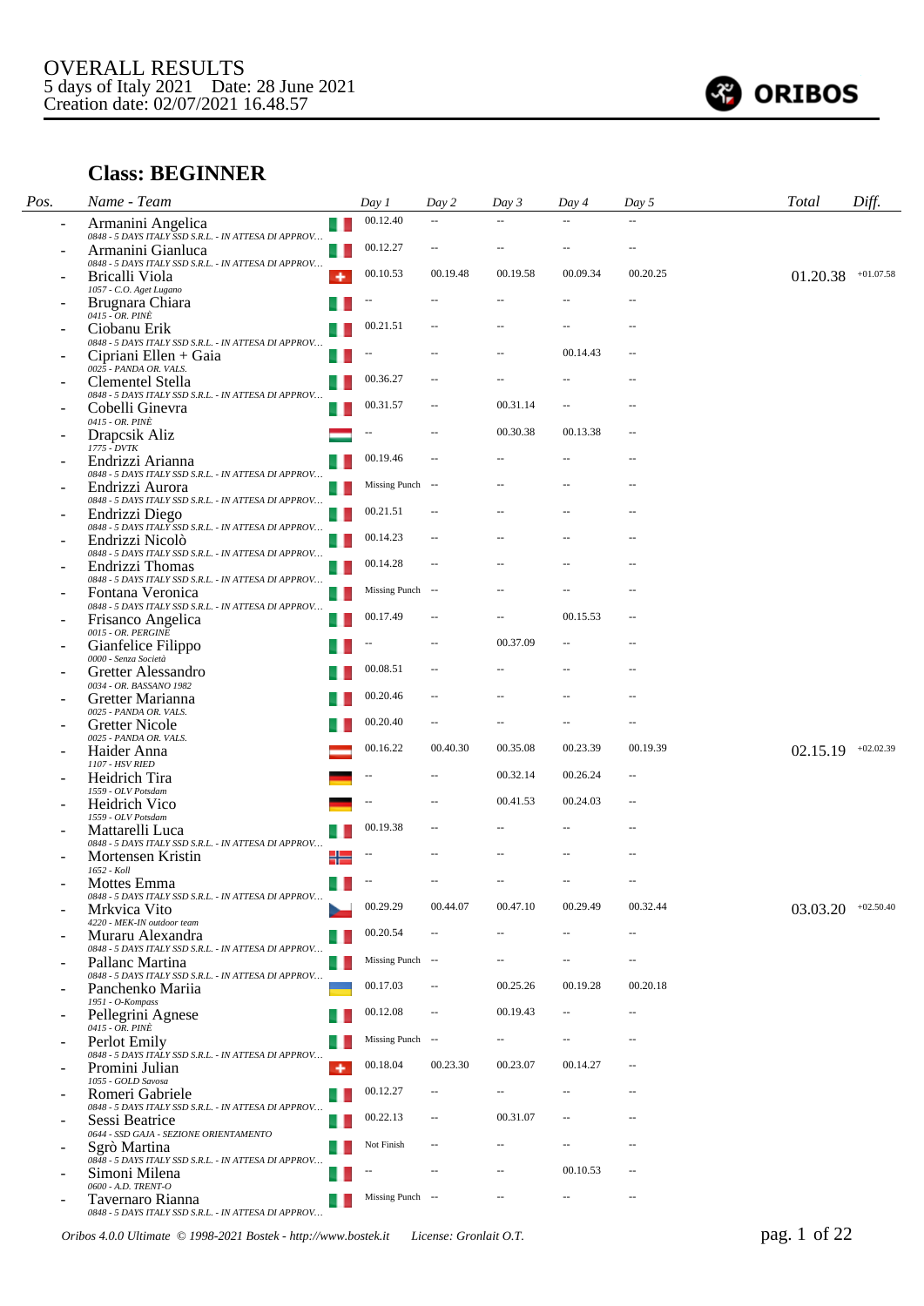

# **Class: BEGINNER**

| Pos. | Name - Team                                                                                       |     | Day 1                    | Day 2                    | Day 3          | Day 4                    | Day 5                    | <b>Total</b>         | Diff.       |
|------|---------------------------------------------------------------------------------------------------|-----|--------------------------|--------------------------|----------------|--------------------------|--------------------------|----------------------|-------------|
|      | Armanini Angelica                                                                                 | ш   | 00.12.40                 |                          |                |                          | ä.                       |                      |             |
|      | 0848 - 5 DAYS ITALY SSD S.R.L. - IN ATTESA DI APPROV<br>Armanini Gianluca                         | u   | 00.12.27                 |                          |                |                          | $\overline{a}$           |                      |             |
|      | 0848 - 5 DAYS ITALY SSD S.R.L. - IN ATTESA DI APPROV<br>Bricalli Viola<br>1057 - C.O. Aget Lugano | ۰   | 00.10.53                 | 00.19.48                 | 00.19.58       | 00.09.34                 | 00.20.25                 | 01.20.38             | $+01.07.58$ |
|      | Brugnara Chiara                                                                                   |     |                          |                          |                |                          | $\overline{a}$           |                      |             |
|      | 0415 - OR. PINÈ<br>Ciobanu Erik                                                                   | . . | 00.21.51                 |                          |                |                          | $\overline{a}$           |                      |             |
|      | 0848 - 5 DAYS ITALY SSD S.R.L. - IN ATTESA DI APPROV<br>Cipriani Ellen + Gaia                     | . . | --                       |                          |                | 00.14.43                 | $\sim$ $\sim$            |                      |             |
|      | 0025 - PANDA OR. VALS.<br>Clementel Stella                                                        |     | 00.36.27                 | $\overline{a}$           |                |                          | $-$                      |                      |             |
|      | 0848 - 5 DAYS ITALY SSD S.R.L. - IN ATTESA DI APPROV<br>Cobelli Ginevra                           |     | 00.31.57                 |                          | 00.31.14       | Ш.                       |                          |                      |             |
|      | 0415 - OR. PINÈ                                                                                   |     |                          |                          | 00.30.38       | 00.13.38                 | $\sim$                   |                      |             |
|      | Drapcsik Aliz<br>1775 - DVTK                                                                      |     |                          |                          |                |                          |                          |                      |             |
|      | Endrizzi Arianna<br>0848 - 5 DAYS ITALY SSD S.R.L. - IN ATTESA DI APPROV                          |     | 00.19.46                 |                          |                |                          | $-$                      |                      |             |
|      | Endrizzi Aurora<br>0848 - 5 DAYS ITALY SSD S.R.L. - IN ATTESA DI APPROV                           | . . | Missing Punch --         |                          |                |                          | $\overline{a}$           |                      |             |
|      | Endrizzi Diego<br>0848 - 5 DAYS ITALY SSD S.R.L. - IN ATTESA DI APPROV                            | u.  | 00.21.51                 | $\overline{a}$           |                |                          | $\overline{a}$           |                      |             |
|      | Endrizzi Nicolò                                                                                   |     | 00.14.23                 |                          |                |                          | $-$                      |                      |             |
|      | 0848 - 5 DAYS ITALY SSD S.R.L. - IN ATTESA DI APPROV<br>Endrizzi Thomas                           | - 1 | 00.14.28                 |                          |                |                          | $-$                      |                      |             |
|      | 0848 - 5 DAYS ITALY SSD S.R.L. - IN ATTESA DI APPROV<br>Fontana Veronica                          |     | Missing Punch --         |                          |                |                          |                          |                      |             |
|      | 0848 - 5 DAYS ITALY SSD S.R.L. - IN ATTESA DI APPROV<br>Frisanco Angelica                         |     | 00.17.49                 |                          |                | 00.15.53                 | $\qquad \qquad -$        |                      |             |
|      | 0015 - OR. PERGINE<br>Gianfelice Filippo                                                          |     |                          |                          | 00.37.09       |                          | $-$                      |                      |             |
|      | 0000 - Senza Società                                                                              |     | 00.08.51                 | $\overline{a}$           |                |                          | $\overline{a}$           |                      |             |
|      | Gretter Alessandro<br>0034 - OR. BASSANO 1982                                                     |     |                          |                          |                |                          |                          |                      |             |
|      | Gretter Marianna<br>0025 - PANDA OR. VALS.                                                        |     | 00.20.46                 | --                       |                |                          | $\overline{a}$           |                      |             |
|      | Gretter Nicole<br>0025 - PANDA OR. VALS.                                                          |     | 00.20.40                 | $\overline{\phantom{a}}$ |                |                          | $\overline{\phantom{a}}$ |                      |             |
|      | Haider Anna<br>1107 - HSV RIED                                                                    |     | 00.16.22                 | 00.40.30                 | 00.35.08       | 00.23.39                 | 00.19.39                 | 02.15.19             | $+02.02.39$ |
|      | Heidrich Tira                                                                                     |     |                          |                          | 00.32.14       | 00.26.24                 | $-$                      |                      |             |
|      | 1559 - OLV Potsdam<br>Heidrich Vico                                                               |     |                          |                          | 00.41.53       | 00.24.03                 | $\qquad \qquad -$        |                      |             |
|      | 1559 - OLV Potsdam<br>Mattarelli Luca                                                             |     | 00.19.38                 |                          |                | $\overline{\phantom{a}}$ | $-$                      |                      |             |
|      | 0848 - 5 DAYS ITALY SSD S.R.L. - IN ATTESA DI APPROV<br>Mortensen Kristin                         | ╬   |                          |                          |                |                          |                          |                      |             |
|      | 1652 - Koll                                                                                       | . . | $\overline{\phantom{a}}$ | --                       |                | --                       |                          |                      |             |
|      | Mottes Emma<br>0848 - 5 DAYS ITALY SSD S.R.L. - IN ATTESA DI APPROV                               |     |                          | 00.44.07                 | 00.47.10       | 00.29.49                 | 00.32.44                 |                      |             |
|      | Mrkvica Vito<br>4220 - MEK-IN outdoor team                                                        |     | 00.29.29                 |                          |                |                          |                          | $03.03.20$ +02.50.40 |             |
|      | Muraru Alexandra<br>0848 - 5 DAYS ITALY SSD S.R.L. - IN ATTESA DI APPROV                          |     | 00.20.54                 | $\sim$                   | $\overline{a}$ | $\overline{\phantom{a}}$ | $\sim$                   |                      |             |
|      | Pallanc Martina<br>0848 - 5 DAYS ITALY SSD S.R.L. - IN ATTESA DI APPROV                           |     | Missing Punch --         |                          |                |                          | $-$                      |                      |             |
|      | Panchenko Mariia                                                                                  |     | 00.17.03                 | $\sim$                   | 00.25.26       | 00.19.28                 | 00.20.18                 |                      |             |
|      | 1951 - O-Kompass<br>Pellegrini Agnese                                                             |     | 00.12.08                 | $\overline{a}$           | 00.19.43       | $\overline{\phantom{a}}$ | $\overline{\phantom{a}}$ |                      |             |
|      | 0415 - OR. PINÈ<br>Perlot Emily                                                                   | . . | Missing Punch --         |                          |                | $\overline{\phantom{a}}$ | $\sim$ $\sim$            |                      |             |
|      | 0848 - 5 DAYS ITALY SSD S.R.L. - IN ATTESA DI APPROV<br>Promini Julian<br>1055 - GOLD Savosa      | ۰   | 00.18.04                 | 00.23.30                 | 00.23.07       | 00.14.27                 | $\overline{a}$           |                      |             |
|      | Romeri Gabriele                                                                                   |     | 00.12.27                 | $\overline{\phantom{a}}$ |                | $\overline{a}$           | $\overline{a}$           |                      |             |
|      | 0848 - 5 DAYS ITALY SSD S.R.L. - IN ATTESA DI APPROV<br>Sessi Beatrice                            | . . | 00.22.13                 | $\sim$                   | 00.31.07       |                          | $\overline{a}$           |                      |             |
|      | 0644 - SSD GAJA - SEZIONE ORIENTAMENTO<br>Sgrò Martina                                            |     | Not Finish               | $\overline{a}$           | $\overline{a}$ |                          | $\overline{a}$           |                      |             |
|      | 0848 - 5 DAYS ITALY SSD S.R.L. - IN ATTESA DI APPROV<br>Simoni Milena                             |     |                          | $\overline{a}$           | $\overline{a}$ | 00.10.53                 | $\overline{\phantom{a}}$ |                      |             |
|      | $0600 - A.D. \ TRENT-O$<br>Tavernaro Rianna                                                       |     | Missing Punch --         |                          |                | $\overline{\phantom{a}}$ | $\sim$ $\sim$            |                      |             |
|      | 0848 - 5 DAYS ITALY SSD S.R.L. - IN ATTESA DI APPROV                                              |     |                          |                          |                |                          |                          |                      |             |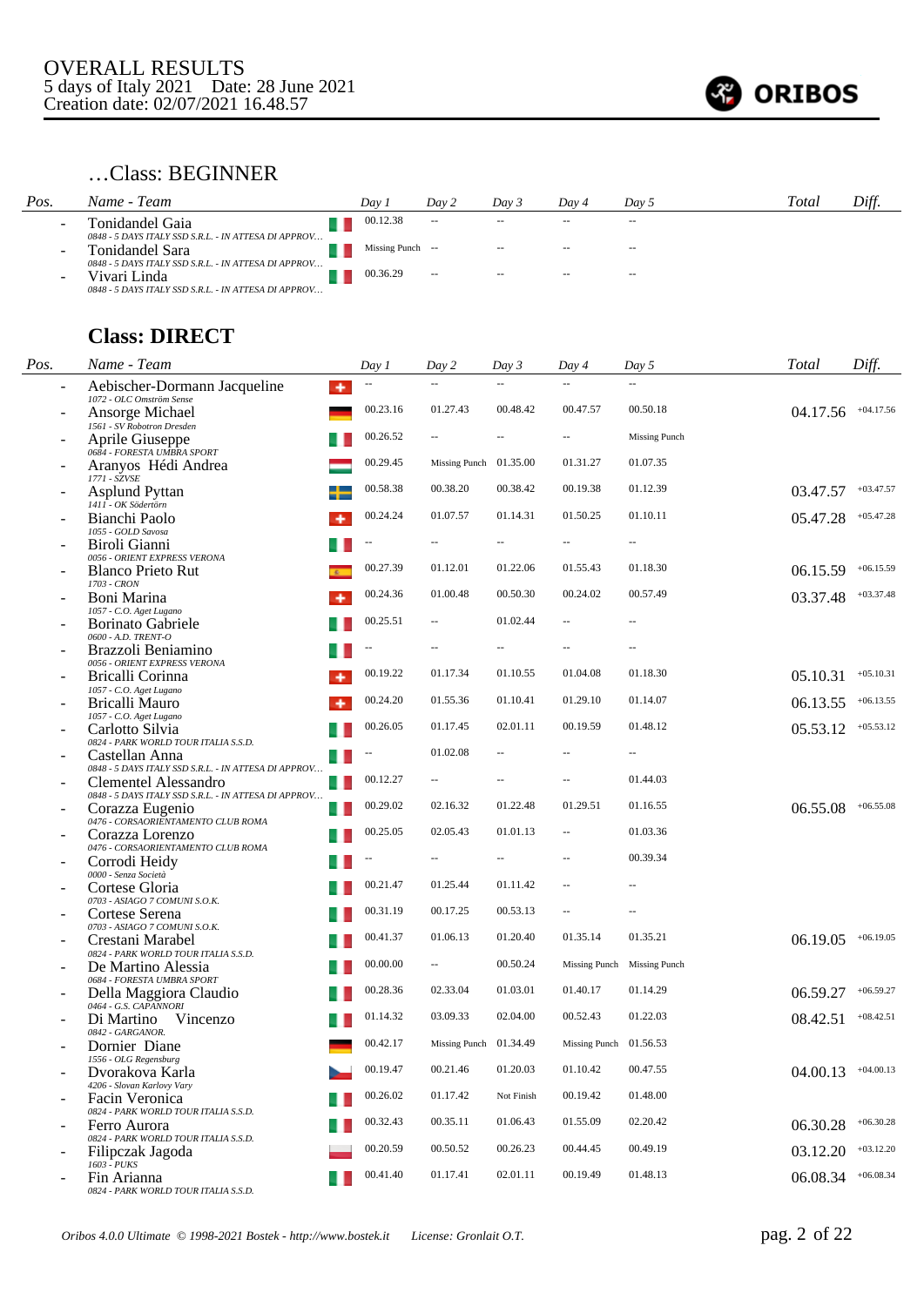

### …Class: BEGINNER

| Pos.                     | Name - Team                                                             | Dav 1            | Day 2                    | Day 3  | Dav 4  | Dav 5         | Total | Diff. |
|--------------------------|-------------------------------------------------------------------------|------------------|--------------------------|--------|--------|---------------|-------|-------|
| $\sim$                   | Tonidandel Gaia<br>0848 - 5 DAYS ITALY SSD S.R.L. - IN ATTESA DI APPROV | 00.12.38         | $\overline{\phantom{a}}$ | $\sim$ | $\sim$ | $\sim$ $\sim$ |       |       |
| $\overline{\phantom{0}}$ | Tonidandel Sara<br>0848 - 5 DAYS ITALY SSD S.R.L. - IN ATTESA DI APPROV | Missing Punch -- |                          | $\sim$ | $\sim$ | $- -$         |       |       |
|                          | Vivari Linda<br>0848 - 5 DAYS ITALY SSD S.R.L. - IN ATTESA DI APPROV    | 00.36.29         | $\overline{\phantom{a}}$ | $- -$  | $- -$  | $\sim$ $\sim$ |       |       |

**Class: DIRECT**

| Pos. | Name - Team                                                                         | Day 1    | Day 2                    | Day 3          | Day 4                    | Day 5                       | Total    | Diff.       |
|------|-------------------------------------------------------------------------------------|----------|--------------------------|----------------|--------------------------|-----------------------------|----------|-------------|
|      | Aebischer-Dormann Jacqueline<br>٠                                                   |          | $-$                      |                |                          | 44                          |          |             |
|      | 1072 - OLC Omström Sense<br>Ansorge Michael                                         | 00.23.16 | 01.27.43                 | 00.48.42       | 00.47.57                 | 00.50.18                    | 04.17.56 | $+04.17.56$ |
|      | 1561 - SV Robotron Dresden<br>Aprile Giuseppe                                       | 00.26.52 | $-$                      |                | $\overline{\phantom{a}}$ | <b>Missing Punch</b>        |          |             |
|      | 0684 - FORESTA UMBRA SPORT<br>Aranyos Hédi Andrea                                   | 00.29.45 | Missing Punch 01.35.00   |                | 01.31.27                 | 01.07.35                    |          |             |
|      | 1771 - SZVSE<br><b>Asplund Pyttan</b>                                               | 00.58.38 | 00.38.20                 | 00.38.42       | 00.19.38                 | 01.12.39                    | 03.47.57 | $+03.47.57$ |
|      | 1411 - OK Södertörn<br>Bianchi Paolo                                                | 00.24.24 | 01.07.57                 | 01.14.31       | 01.50.25                 | 01.10.11                    | 05.47.28 | $+05.47.28$ |
|      | 1055 - GOLD Savosa<br>Biroli Gianni                                                 |          |                          |                |                          | $\overline{\phantom{a}}$    |          |             |
|      | 0056 - ORIENT EXPRESS VERONA<br><b>Blanco Prieto Rut</b>                            | 00.27.39 | 01.12.01                 | 01.22.06       | 01.55.43                 | 01.18.30                    | 06.15.59 | $+06.15.59$ |
|      | 1703 - CRON<br>Boni Marina                                                          | 00.24.36 | 01.00.48                 | 00.50.30       | 00.24.02                 | 00.57.49                    | 03.37.48 | $+03.37.48$ |
|      | 1057 - C.O. Aget Lugano<br><b>Borinato Gabriele</b>                                 | 00.25.51 | $\overline{\phantom{a}}$ | 01.02.44       | --                       |                             |          |             |
|      | $0600$ - A.D. TRENT-O $\,$<br>Brazzoli Beniamino                                    |          |                          |                | $\overline{a}$           | $\qquad \qquad -$           |          |             |
|      | 0056 - ORIENT EXPRESS VERONA<br>Bricalli Corinna                                    | 00.19.22 | 01.17.34                 | 01.10.55       | 01.04.08                 | 01.18.30                    | 05.10.31 | $+05.10.31$ |
|      | 1057 - C.O. Aget Lugano<br>Bricalli Mauro                                           | 00.24.20 | 01.55.36                 | 01.10.41       | 01.29.10                 | 01.14.07                    | 06.13.55 | $+06.13.55$ |
|      | 1057 - C.O. Aget Lugano<br>Carlotto Silvia                                          | 00.26.05 | 01.17.45                 | 02.01.11       | 00.19.59                 | 01.48.12                    | 05.53.12 | $+05.53.12$ |
|      | 0824 - PARK WORLD TOUR ITALIA S.S.D.<br>Castellan Anna                              |          | 01.02.08                 | $-$            |                          |                             |          |             |
|      | 0848 - 5 DAYS ITALY SSD S.R.L. - IN ATTESA DI APPROV<br>Clementel Alessandro<br>- 1 | 00.12.27 | $\overline{\phantom{a}}$ | $\overline{a}$ |                          | 01.44.03                    |          |             |
|      | 0848 - 5 DAYS ITALY SSD S.R.L. - IN ATTESA DI APPROV<br>Corazza Eugenio<br>a Ba     | 00.29.02 | 02.16.32                 | 01.22.48       | 01.29.51                 | 01.16.55                    | 06.55.08 | $+06.55.08$ |
|      | 0476 - CORSAORIENTAMENTO CLUB ROMA<br>Corazza Lorenzo                               | 00.25.05 | 02.05.43                 | 01.01.13       | --                       | 01.03.36                    |          |             |
|      | 0476 - CORSAORIENTAMENTO CLUB ROMA<br>Corrodi Heidy                                 |          |                          |                |                          | 00.39.34                    |          |             |
|      | 0000 - Senza Società<br>Cortese Gloria                                              | 00.21.47 | 01.25.44                 | 01.11.42       |                          |                             |          |             |
|      | 0703 - ASIAGO 7 COMUNI S.O.K.<br>Cortese Serena                                     | 00.31.19 | 00.17.25                 | 00.53.13       |                          |                             |          |             |
|      | 0703 - ASIAGO 7 COMUNI S.O.K.<br>Crestani Marabel                                   | 00.41.37 | 01.06.13                 | 01.20.40       | 01.35.14                 | 01.35.21                    | 06.19.05 | $+06.19.05$ |
|      | 0824 - PARK WORLD TOUR ITALIA S.S.D.<br>De Martino Alessia                          | 00.00.00 | $\hspace{0.05cm} -$      | 00.50.24       |                          | Missing Punch Missing Punch |          |             |
|      | 0684 - FORESTA UMBRA SPORT<br>Della Maggiora Claudio                                | 00.28.36 | 02.33.04                 | 01.03.01       | 01.40.17                 | 01.14.29                    | 06.59.27 | $+06.59.27$ |
|      | 0464 - G.S. CAPANNORI<br>Di Martino<br>Vincenzo                                     | 01.14.32 | 03.09.33                 | 02.04.00       | 00.52.43                 | 01.22.03                    | 08.42.51 | $+08.42.51$ |
|      | 0842 - GARGANOR.<br>Dornier Diane                                                   | 00.42.17 | Missing Punch 01.34.49   |                | Missing Punch $01.56.53$ |                             |          |             |
|      | 1556 - OLG Regensburg<br>Dvorakova Karla                                            | 00.19.47 | 00.21.46                 | 01.20.03       | 01.10.42                 | 00.47.55                    | 04.00.13 | $+04.00.13$ |
|      | 4206 - Slovan Karlovy Vary                                                          | 00.26.02 | 01.17.42                 | Not Finish     | 00.19.42                 | 01.48.00                    |          |             |
|      | Facin Veronica<br>0824 - PARK WORLD TOUR ITALIA S.S.D.                              | 00.32.43 | 00.35.11                 | 01.06.43       | 01.55.09                 | 02.20.42                    |          |             |
|      | Ferro Aurora<br>0824 - PARK WORLD TOUR ITALIA S.S.D.                                | 00.20.59 | 00.50.52                 | 00.26.23       |                          | 00.49.19                    | 06.30.28 | $+06.30.28$ |
|      | Filipczak Jagoda<br>$1603 - PUKS$                                                   |          |                          |                | 00.44.45                 |                             | 03.12.20 | $+03.12.20$ |
|      | Fin Arianna<br>0824 - PARK WORLD TOUR ITALIA S.S.D.                                 | 00.41.40 | 01.17.41                 | 02.01.11       | 00.19.49                 | 01.48.13                    | 06.08.34 | $+06.08.34$ |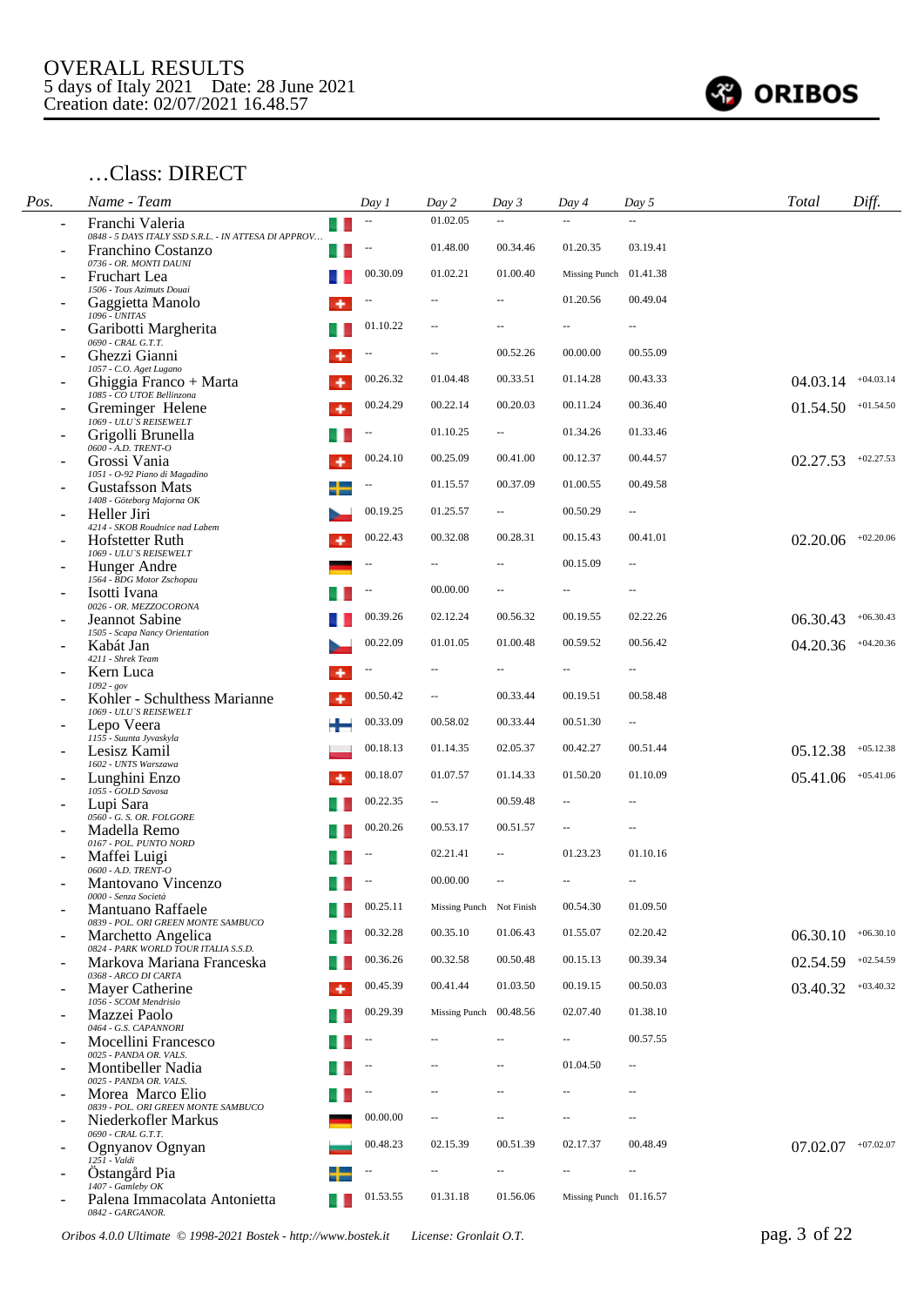

#### …Class: DIRECT

| Pos.                     | Name - Team                                                             | Day 1                          | Day 2                    | Day 3                    | Day 4                    | Day 5                    | <b>Total</b>         | Diff.       |
|--------------------------|-------------------------------------------------------------------------|--------------------------------|--------------------------|--------------------------|--------------------------|--------------------------|----------------------|-------------|
|                          | Franchi Valeria<br>0848 - 5 DAYS ITALY SSD S.R.L. - IN ATTESA DI APPROV | $\overline{\phantom{a}}$<br>u. | 01.02.05                 |                          |                          | $\mathbb{Z}^2$           |                      |             |
|                          | Franchino Costanzo                                                      |                                | 01.48.00                 | 00.34.46                 | 01.20.35                 | 03.19.41                 |                      |             |
|                          | 0736 - OR. MONTI DAUNI<br>Fruchart Lea                                  | 00.30.09                       | 01.02.21                 | 01.00.40                 | Missing Punch            | 01.41.38                 |                      |             |
|                          | 1506 - Tous Azimuts Douai<br>Gaggietta Manolo                           |                                |                          |                          | 01.20.56                 | 00.49.04                 |                      |             |
|                          | 1096 - UNITAS<br>Garibotti Margherita                                   | 01.10.22                       | $\qquad \qquad -$        |                          | $\overline{\phantom{a}}$ | $\qquad \qquad -$        |                      |             |
|                          | $0690$ - $CRAL$ $G.T.T.$<br>Ghezzi Gianni                               |                                | --                       | 00.52.26                 | 00.00.00                 | 00.55.09                 |                      |             |
|                          | 1057 - C.O. Aget Lugano<br>Ghiggia Franco + Marta                       | 00.26.32                       | 01.04.48                 | 00.33.51                 | 01.14.28                 | 00.43.33                 | 04.03.14             | $+04.03.14$ |
|                          | 1085 - CO UTOE Bellinzona<br>Greminger Helene                           | 00.24.29                       | 00.22.14                 | 00.20.03                 | 00.11.24                 | 00.36.40                 | 01.54.50             | $+01.54.50$ |
|                          | 1069 - ULU'S REISEWELT<br>Grigolli Brunella                             |                                | 01.10.25                 | $\sim$                   | 01.34.26                 | 01.33.46                 |                      |             |
|                          | 0600 - A.D. TRENT-O<br>Grossi Vania                                     | 00.24.10                       | 00.25.09                 | 00.41.00                 | 00.12.37                 | 00.44.57                 | 02.27.53             | $+02.27.53$ |
|                          | 1051 - O-92 Piano di Magadino<br><b>Gustafsson Mats</b>                 | ۰.                             | 01.15.57                 | 00.37.09                 | 01.00.55                 | 00.49.58                 |                      |             |
|                          | 1408 - Göteborg Majorna OK<br>Heller Jiri                               | 00.19.25                       | 01.25.57                 | $\sim$                   | 00.50.29                 | $\overline{\phantom{a}}$ |                      |             |
|                          | 4214 - SKOB Roudnice nad Labem                                          | 00.22.43                       | 00.32.08                 | 00.28.31                 | 00.15.43                 | 00.41.01                 | 02.20.06             | $+02.20.06$ |
|                          | Hofstetter Ruth<br>1069 - ULU'S REISEWELT                               |                                |                          |                          | 00.15.09                 | $\sim$ $\sim$            |                      |             |
|                          | Hunger Andre<br>1564 - BDG Motor Zschopau                               |                                | 00.00.00                 | $\sim$ $\sim$            | $\sim$                   | $\sim$ $\sim$            |                      |             |
|                          | Isotti Ivana<br>0026 - OR. MEZZOCORONA                                  | 00.39.26                       |                          |                          |                          | 02.22.26                 |                      |             |
|                          | Jeannot Sabine<br>1505 - Scapa Nancy Orientation                        |                                | 02.12.24                 | 00.56.32                 | 00.19.55                 |                          | 06.30.43             | $+06.30.43$ |
|                          | Kabát Jan<br>4211 - Shrek Team                                          | 00.22.09                       | 01.01.05                 | 01.00.48                 | 00.59.52                 | 00.56.42                 | 04.20.36             | $+04.20.36$ |
|                          | Kern Luca<br>$1092 - gov$                                               |                                |                          |                          | $\overline{a}$           | $-\, -$                  |                      |             |
|                          | Kohler - Schulthess Marianne<br>1069 - ULU'S REISEWELT                  | 00.50.42<br>۰                  | Ш.                       | 00.33.44                 | 00.19.51                 | 00.58.48                 |                      |             |
|                          | Lepo Veera<br>1155 - Suunta Jyvaskyla                                   | 00.33.09                       | 00.58.02                 | 00.33.44                 | 00.51.30                 | $\overline{\phantom{a}}$ |                      |             |
|                          | Lesisz Kamil<br>1602 - UNTS Warszawa                                    | 00.18.13                       | 01.14.35                 | 02.05.37                 | 00.42.27                 | 00.51.44                 | 05.12.38             | $+05.12.38$ |
|                          | Lunghini Enzo<br>1055 - GOLD Savosa                                     | 00.18.07                       | 01.07.57                 | 01.14.33                 | 01.50.20                 | 01.10.09                 | 05.41.06             | $+05.41.06$ |
|                          | Lupi Sara                                                               | 00.22.35                       | $\sim$                   | 00.59.48                 | $\overline{a}$           | $\sim$ $\sim$            |                      |             |
|                          | 0560 - G. S. OR. FOLGORE<br>Madella Remo                                | 00.20.26                       | 00.53.17                 | 00.51.57                 | $\overline{\phantom{a}}$ | $\overline{\phantom{a}}$ |                      |             |
|                          | 0167 - POL. PUNTO NORD<br>Maffei Luigi                                  |                                | 02.21.41                 | $\overline{\phantom{a}}$ | 01.23.23                 | 01.10.16                 |                      |             |
|                          | 0600 - A.D. TRENT-O<br>Mantovano Vincenzo                               | $\overline{\phantom{a}}$       | 00.00.00                 |                          | $\overline{a}$           | $\sim$ $\sim$            |                      |             |
|                          | 0000 - Senza Società<br>Mantuano Raffaele                               | 00.25.11                       | Missing Punch Not Finish |                          | 00.54.30                 | 01.09.50                 |                      |             |
|                          | 0839 - POL. ORI GREEN MONTE SAMBUCO<br>Marchetto Angelica               | 00.32.28                       | 00.35.10                 | 01.06.43                 | 01.55.07                 | 02.20.42                 | 06.30.10             | $+06.30.10$ |
|                          | 0824 - PARK WORLD TOUR ITALIA S.S.D.<br>Markova Mariana Franceska       | 00.36.26                       | 00.32.58                 | 00.50.48                 | 00.15.13                 | 00.39.34                 | 02.54.59             | $+02.54.59$ |
|                          | 0368 - ARCO DI CARTA<br>Mayer Catherine                                 | 00.45.39<br>۰                  | 00.41.44                 | 01.03.50                 | 00.19.15                 | 00.50.03                 | 03.40.32             | $+03.40.32$ |
|                          | 1056 - SCOM Mendrisio<br>Mazzei Paolo                                   | 00.29.39                       | Missing Punch 00.48.56   |                          | 02.07.40                 | 01.38.10                 |                      |             |
|                          | 0464 - G.S. CAPANNORI<br>Mocellini Francesco                            |                                |                          |                          |                          | 00.57.55                 |                      |             |
| $\overline{\phantom{0}}$ | 0025 - PANDA OR. VALS.<br>Montibeller Nadia                             |                                |                          |                          | 01.04.50                 | $\overline{\phantom{a}}$ |                      |             |
|                          | 0025 - PANDA OR, VALS.<br>Morea Marco Elio                              |                                | --                       | $\sim$ $\sim$            | $\overline{a}$           | $\sim$ $\sim$            |                      |             |
|                          | 0839 - POL. ORI GREEN MONTE SAMBUCO                                     | 00.00.00                       | $\sim$ $-$               | $\sim$ $\sim$            | $\overline{a}$           | $\sim$ $\sim$            |                      |             |
|                          | Niederkofler Markus<br>0690 - CRAL G.T.T.                               | 00.48.23                       | 02.15.39                 | 00.51.39                 | 02.17.37                 | 00.48.49                 |                      |             |
|                          | Ognyanov Ognyan<br>$125I - Valdi$                                       |                                |                          |                          |                          |                          | $07.02.07$ +07.02.07 |             |
|                          | Ostangård Pia<br>$1407$ - Gamleby $OK$                                  | $\overline{\phantom{a}}$       | $\overline{a}$           | $\overline{\phantom{a}}$ | --                       | $\overline{\phantom{a}}$ |                      |             |
|                          | Palena Immacolata Antonietta<br>0842 - GARGANOR.                        | 01.53.55                       | 01.31.18                 | 01.56.06                 | Missing Punch $01.16.57$ |                          |                      |             |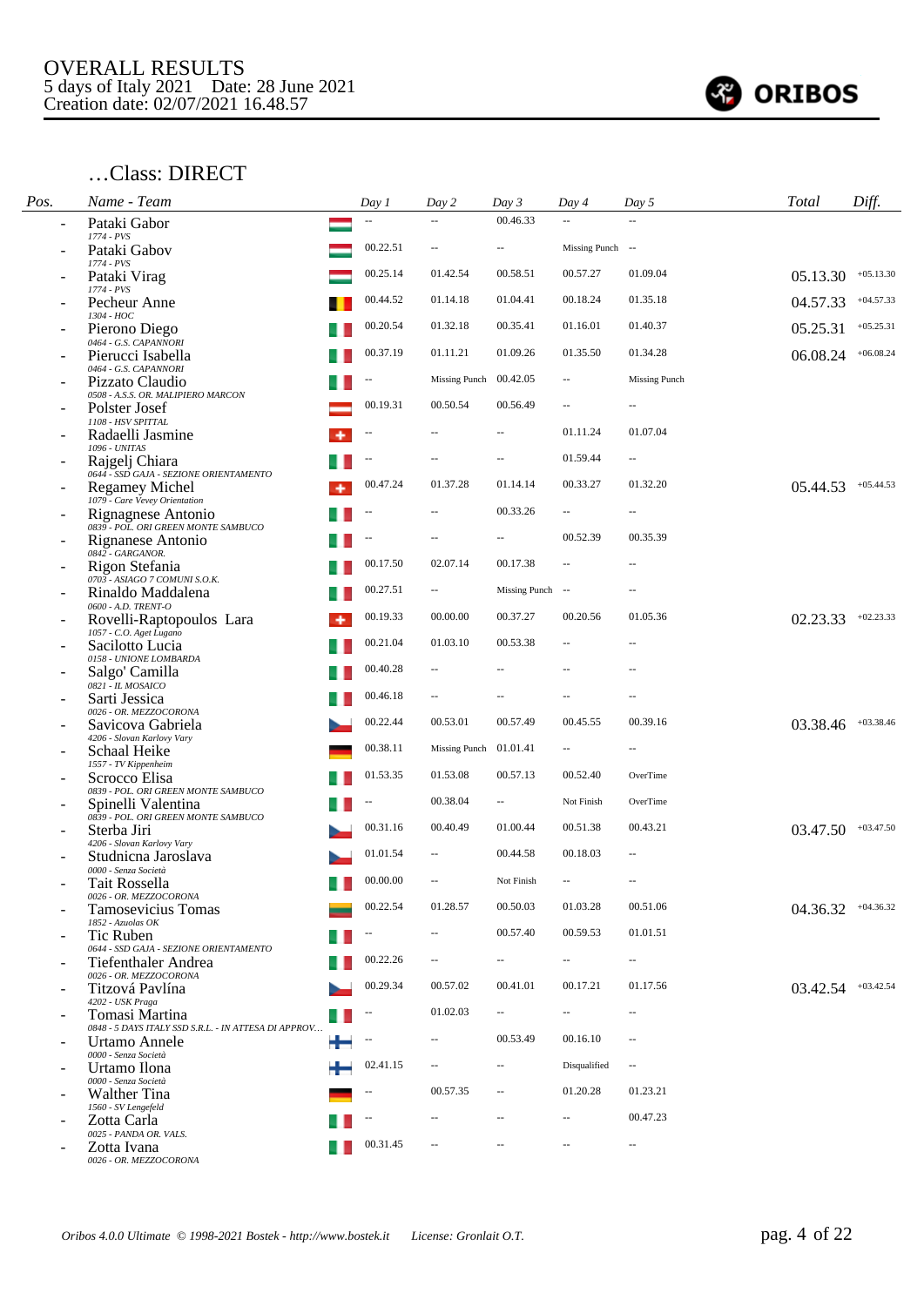

#### …Class: DIRECT

| Pos. | Name - Team                                                           |   | Day 1    | Day 2                    | Day 3                       | Day 4                    | Day 5                    | Total                  | Diff.       |
|------|-----------------------------------------------------------------------|---|----------|--------------------------|-----------------------------|--------------------------|--------------------------|------------------------|-------------|
|      | Pataki Gabor<br>1774 - PVS                                            |   |          |                          | 00.46.33                    |                          |                          |                        |             |
|      | Pataki Gabov                                                          |   | 00.22.51 | --                       |                             | Missing Punch --         |                          |                        |             |
|      | 1774 - PVS<br>Pataki Virag                                            |   | 00.25.14 | 01.42.54                 | 00.58.51                    | 00.57.27                 | 01.09.04                 | 05.13.30               | $+05.13.30$ |
|      | 1774 - PVS<br>Pecheur Anne                                            |   | 00.44.52 | 01.14.18                 | 01.04.41                    | 00.18.24                 | 01.35.18                 | 04.57.33               | $+04.57.33$ |
|      | 1304 - HOC<br>Pierono Diego                                           |   | 00.20.54 | 01.32.18                 | 00.35.41                    | 01.16.01                 | 01.40.37                 | 05.25.31               | $+05.25.31$ |
|      | 0464 - G.S. CAPANNORI<br>Pierucci Isabella                            |   | 00.37.19 | 01.11.21                 | 01.09.26                    | 01.35.50                 | 01.34.28                 | 06.08.24               | $+06.08.24$ |
|      | 0464 - G.S. CAPANNORI<br>Pizzato Claudio                              |   |          | Missing Punch 00.42.05   |                             | $\overline{\phantom{a}}$ | <b>Missing Punch</b>     |                        |             |
|      | 0508 - A.S.S. OR. MALIPIERO MARCON<br>Polster Josef                   |   | 00.19.31 | 00.50.54                 | 00.56.49                    | $\overline{\phantom{a}}$ | $-$                      |                        |             |
|      | 1108 - HSV SPITTAL<br>Radaelli Jasmine                                |   | --       |                          |                             | 01.11.24                 | 01.07.04                 |                        |             |
|      | 1096 - UNITAS<br>Rajgelj Chiara                                       |   |          |                          | $\sim$ $\sim$               | 01.59.44                 | $\overline{\phantom{a}}$ |                        |             |
|      | 0644 - SSD GAJA - SEZIONE ORIENTAMENTO<br><b>Regamey Michel</b>       |   | 00.47.24 | 01.37.28                 | 01.14.14                    | 00.33.27                 | 01.32.20                 | 05.44.53               | $+05.44.53$ |
|      | 1079 - Care Vevey Orientation<br>Rignagnese Antonio                   |   |          |                          | 00.33.26                    | $\overline{\phantom{a}}$ | $\overline{a}$           |                        |             |
|      | 0839 - POL. ORI GREEN MONTE SAMBUCO<br>Rignanese Antonio              |   |          |                          |                             | 00.52.39                 | 00.35.39                 |                        |             |
|      | 0842 - GARGANOR.<br>Rigon Stefania                                    |   | 00.17.50 | 02.07.14                 | 00.17.38                    | Ш.                       |                          |                        |             |
|      | 0703 - ASIAGO 7 COMUNI S.O.K.<br>Rinaldo Maddalena                    |   | 00.27.51 | $\hspace{0.05cm} -$      | Missing Punch --            |                          | $\overline{a}$           |                        |             |
|      | 0600 - A.D. TRENT-O<br>Rovelli-Raptopoulos Lara                       | ۰ | 00.19.33 | 00.00.00                 | 00.37.27                    | 00.20.56                 | 01.05.36                 | 02.23.33               | $+02.23.33$ |
|      | 1057 - C.O. Aget Lugano<br>Sacilotto Lucia                            |   | 00.21.04 | 01.03.10                 | 00.53.38                    | $\overline{\phantom{a}}$ | $-$                      |                        |             |
|      | 0158 - UNIONE LOMBARDA<br>Salgo' Camilla                              |   | 00.40.28 | $\overline{a}$           |                             |                          | $\overline{a}$           |                        |             |
|      | 0821 - IL MOSAICO<br>Sarti Jessica                                    |   | 00.46.18 |                          |                             |                          | $-$                      |                        |             |
|      | 0026 - OR. MEZZOCORONA<br>Savicova Gabriela                           |   | 00.22.44 | 00.53.01                 | 00.57.49                    | 00.45.55                 | 00.39.16                 | 03.38.46               | $+03.38.46$ |
|      | 4206 - Slovan Karlovy Vary                                            |   | 00.38.11 | Missing Punch 01.01.41   |                             | $\overline{a}$           |                          |                        |             |
|      | Schaal Heike<br>1557 - TV Kippenheim                                  |   |          |                          |                             |                          |                          |                        |             |
|      | Scrocco Elisa<br>0839 - POL. ORI GREEN MONTE SAMBUCO                  |   | 01.53.35 | 01.53.08                 | 00.57.13                    | 00.52.40                 | OverTime                 |                        |             |
|      | Spinelli Valentina<br>0839 - POL. ORI GREEN MONTE SAMBUCO             |   | --       | 00.38.04                 | $\sim$                      | Not Finish               | OverTime                 |                        |             |
|      | Sterba Jiri<br>4206 - Slovan Karlovy Vary                             |   | 00.31.16 | 00.40.49                 | 01.00.44                    | 00.51.38                 | 00.43.21                 | 03.47.50               | $+03.47.50$ |
|      | Studnicna Jaroslava<br>0000 - Senza Società                           |   | 01.01.54 |                          | 00.44.58                    | 00.18.03                 | $-$                      |                        |             |
|      | Tait Rossella<br>0026 - OR. MEZZOCORONA                               |   | 00.00.00 |                          | Not Finish                  | $\overline{\phantom{a}}$ | $-$                      |                        |             |
|      | Tamosevicius Tomas<br>1852 - Azuolas OK                               |   | 00.22.54 | 01.28.57                 | 00.50.03                    | 01.03.28                 | 00.51.06                 | $04.36.32$ $+04.36.32$ |             |
|      | Tic Ruben<br>0644 - SSD GAJA - SEZIONE ORIENTAMENTO                   |   |          |                          | 00.57.40                    | 00.59.53                 | 01.01.51                 |                        |             |
|      | Tiefenthaler Andrea<br>0026 - OR, MEZZOCORONA                         |   | 00.22.26 | $\overline{\phantom{a}}$ | $\mathcal{L}_{\mathcal{F}}$ | $\overline{\phantom{a}}$ | $\sim$                   |                        |             |
|      | Titzová Pavlína                                                       |   | 00.29.34 | 00.57.02                 | 00.41.01                    | 00.17.21                 | 01.17.56                 | $03.42.54$ $+03.42.54$ |             |
|      | 4202 - USK Praga<br>Tomasi Martina                                    |   |          | 01.02.03                 | $\sim$                      | $\overline{\phantom{a}}$ | $\overline{\phantom{a}}$ |                        |             |
| ۰    | 0848 - 5 DAYS ITALY SSD S.R.L. - IN ATTESA DI APPROV<br>Urtamo Annele |   |          |                          | 00.53.49                    | 00.16.10                 | $\sim$                   |                        |             |
|      | 0000 - Senza Società<br>Urtamo Ilona                                  |   | 02.41.15 | $\overline{\phantom{a}}$ | $\sim$                      | Disqualified             | $\sim$                   |                        |             |
|      | 0000 - Senza Società<br><b>Walther Tina</b>                           |   |          | 00.57.35                 | $\overline{\phantom{a}}$    | 01.20.28                 | 01.23.21                 |                        |             |
|      | 1560 - SV Lengefeld<br>Zotta Carla                                    |   |          | $\overline{a}$           | $\sim$ $\sim$               | $\overline{\phantom{a}}$ | 00.47.23                 |                        |             |
|      | 0025 - PANDA OR. VALS.<br>Zotta Ivana<br>0026 - OR. MEZZOCORONA       |   | 00.31.45 |                          |                             | $\sim$                   | $\overline{\phantom{a}}$ |                        |             |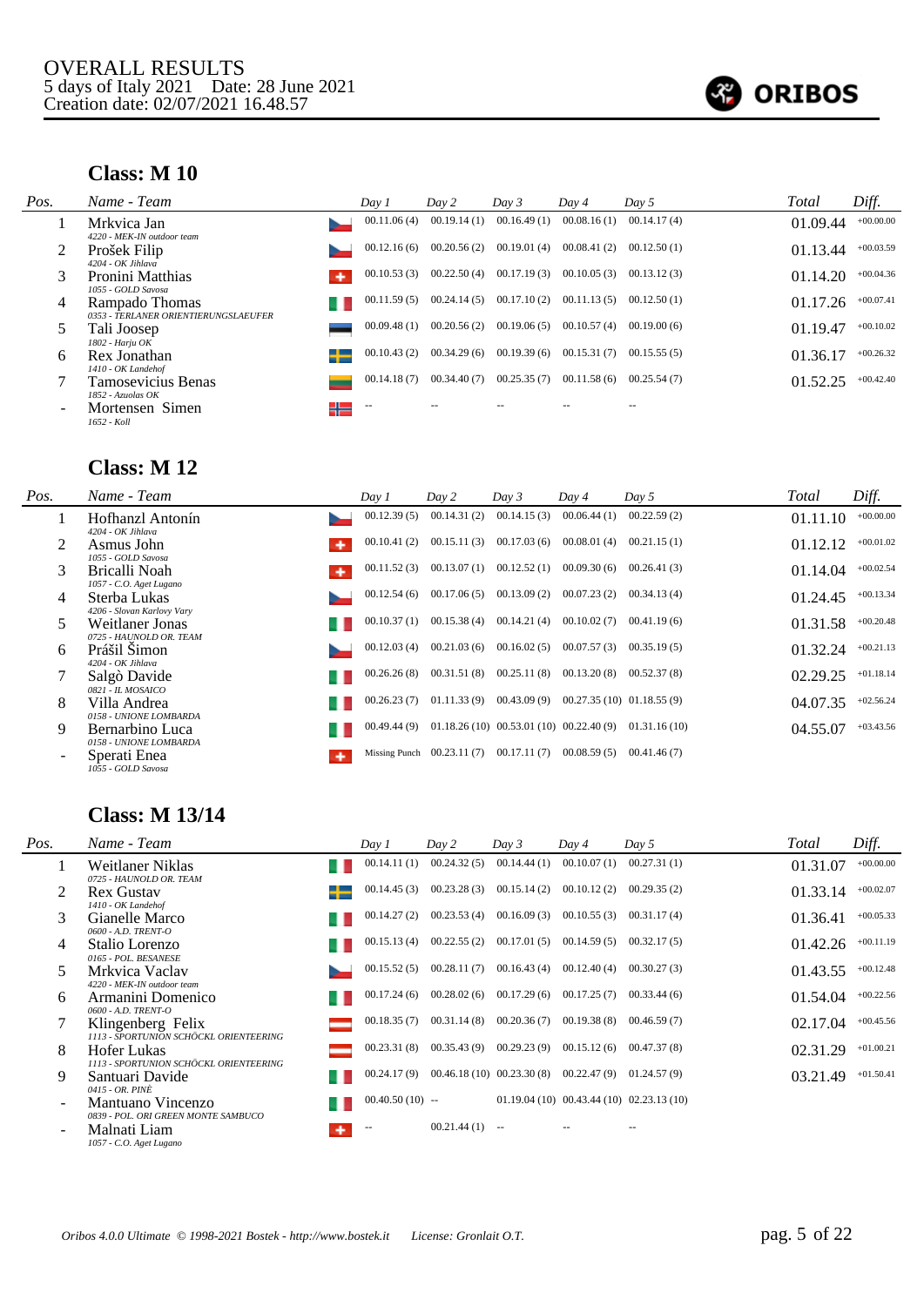

## **Class: M 10**

| Pos. | Name - Team                                                                  |   | Day 1       | Day 2       | Day 3       | Day 4       | Day $5$     | Total    | Diff.       |
|------|------------------------------------------------------------------------------|---|-------------|-------------|-------------|-------------|-------------|----------|-------------|
|      | Mrkvica Jan                                                                  |   | 00.11.06(4) | 00.19.14(1) | 00.16.49(1) | 00.08.16(1) | 00.14.17(4) | 01.09.44 | $+00.00.00$ |
|      | 4220 - MEK-IN outdoor team<br>Prošek Filip<br>4204 - OK Jihlava              |   | 00.12.16(6) | 00.20.56(2) | 00.19.01(4) | 00.08.41(2) | 00.12.50(1) | 01.13.44 | $+00.03.59$ |
|      | Pronini Matthias                                                             |   | 00.10.53(3) | 00.22.50(4) | 00.17.19(3) | 00.10.05(3) | 00.13.12(3) | 01.14.20 | $+00.04.36$ |
| 4    | 1055 - GOLD Savosa<br>Rampado Thomas<br>0353 - TERLANER ORIENTIERUNGSLAEUFER |   | 00.11.59(5) | 00.24.14(5) | 00.17.10(2) | 00.11.13(5) | 00.12.50(1) | 01.17.26 | $+00.07.41$ |
|      | Tali Joosep<br>1802 - Harju OK                                               |   | 00.09.48(1) | 00.20.56(2) | 00.19.06(5) | 00.10.57(4) | 00.19.00(6) | 01.19.47 | $+00.10.02$ |
| 6    | Rex Jonathan                                                                 |   | 00.10.43(2) | 00.34.29(6) | 00.19.39(6) | 00.15.31(7) | 00.15.55(5) | 01.36.17 | $+00.26.32$ |
|      | 1410 - OK Landehof<br>Tamosevicius Benas<br>$1852$ - Azuolas OK              |   | 00.14.18(7) | 00.34.40(7) | 00.25.35(7) | 00.11.58(6) | 00.25.54(7) | 01.52.25 | $+00.42.40$ |
|      | Mortensen Simen<br>1652 - Koll                                               | ╬ | $-$         |             |             |             |             |          |             |

### **Class: M 12**

| Pos.                     | Name - Team                                                  | Day 1       | Day 2                                   | Day 3                                       | Day 4                    | Day 5        | Total    | Diff.       |
|--------------------------|--------------------------------------------------------------|-------------|-----------------------------------------|---------------------------------------------|--------------------------|--------------|----------|-------------|
|                          | Hofhanzl Antonín<br>4204 - OK Jihlava                        | 00.12.39(5) | 00.14.31(2)                             | 00.14.15(3)                                 | 00.06.44(1)              | 00.22.59(2)  | 01.11.10 | $+00.00.00$ |
|                          | Asmus John                                                   | 00.10.41(2) | 00.15.11(3)                             | 00.17.03(6)                                 | 00.08.01(4)              | 00.21.15(1)  | 01.12.12 | $+00.01.02$ |
|                          | 1055 - GOLD Savosa<br>Bricalli Noah                          | 00.11.52(3) | 00.13.07(1)                             | 00.12.52(1)                                 | 00.09.30(6)              | 00.26.41(3)  | 01.14.04 | $+00.02.54$ |
| 4                        | 1057 - C.O. Aget Lugano<br>Sterba Lukas                      | 00.12.54(6) | 00.17.06(5)                             | 00.13.09(2)                                 | 00.07.23(2)              | 00.34.13(4)  | 01.24.45 | $+00.13.34$ |
|                          | 4206 - Slovan Karlovy Vary<br>Weitlaner Jonas                | 00.10.37(1) | 00.15.38(4)                             | 00.14.21(4)                                 | 00.10.02(7)              | 00.41.19(6)  | 01.31.58 | $+00.20.48$ |
| 6                        | 0725 - HAUNOLD OR. TEAM<br>Prášil Šimon                      | 00.12.03(4) | 00.21.03(6)                             | 00.16.02(5)                                 | 00.07.57(3)              | 00.35.19(5)  | 01.32.24 | $+00.21.13$ |
|                          | 4204 - OK Jihlava<br>Salgò Davide                            | 00.26.26(8) | 00.31.51(8)                             | 00.25.11(8)                                 | 00.13.20(8)              | 00.52.37(8)  | 02.29.25 | $+01.18.14$ |
| 8                        | 0821 - IL MOSAICO<br>Villa Andrea                            | 00.26.23(7) | 01.11.33(9)                             | 00.43.09(9)                                 | 00.27.35(10) 01.18.55(9) |              | 04.07.35 | $+02.56.24$ |
| 9                        | 0158 - UNIONE LOMBARDA<br>Bernarbino Luca                    | 00.49.44(9) |                                         | $01.18.26(10)$ $00.53.01(10)$ $00.22.40(9)$ |                          | 01.31.16(10) | 04.55.07 | $+03.43.56$ |
| $\overline{\phantom{0}}$ | 0158 - UNIONE LOMBARDA<br>Sperati Enea<br>1055 - GOLD Savosa |             | Missing Punch 00.23.11 (7) 00.17.11 (7) |                                             | 00.08.59(5)              | 00.41.46(7)  |          |             |

# **Class: M 13/14**

| Pos. | Name - Team                                                 | Day 1             | Day 2       | Day 3                        | Day 4                       | Day 5                                        | Total    | Diff.       |
|------|-------------------------------------------------------------|-------------------|-------------|------------------------------|-----------------------------|----------------------------------------------|----------|-------------|
|      | Weitlaner Niklas<br>0725 - HAUNOLD OR. TEAM                 | 00.14.11(1)       | 00.24.32(5) | 00.14.44(1)                  | 00.10.07(1)                 | 00.27.31(1)                                  | 01.31.07 | $+00.00.00$ |
|      | <b>Rex Gustav</b><br>1410 - OK Landehof                     | 00.14.45(3)       | 00.23.28(3) | 00.15.14(2)                  | 00.10.12(2)                 | 00.29.35(2)                                  | 01.33.14 | $+00.02.07$ |
| 3    | Gianelle Marco<br>0600 - A.D. TRENT-O                       | 00.14.27(2)       | 00.23.53(4) | 00.16.09(3)                  | 00.10.55(3)                 | 00.31.17(4)                                  | 01.36.41 | $+00.05.33$ |
| 4    | Stalio Lorenzo<br>0165 - POL. BESANESE                      | 00.15.13(4)       | 00.22.55(2) | 00.17.01(5)                  | 00.14.59(5)                 | 00.32.17(5)                                  | 01.42.26 | $+00.11.19$ |
| 5.   | Mrkvica Vaclav<br>4220 - MEK-IN outdoor team                | 00.15.52(5)       | 00.28.11(7) | 00.16.43(4)                  | 00.12.40(4)                 | 00.30.27(3)                                  | 01.43.55 | $+00.12.48$ |
| 6    | Armanini Domenico<br>0600 - A.D. TRENT-O                    | 00.17.24(6)       | 00.28.02(6) | 00.17.29(6)                  | 00.17.25(7)                 | 00.33.44(6)                                  | 01.54.04 | $+00.22.56$ |
|      | Klingenberg Felix<br>1113 - SPORTUNION SCHÖCKL ORIENTEERING | 00.18.35(7)       | 00.31.14(8) | 00.20.36(7)                  | 00.19.38(8)                 | 00.46.59(7)                                  | 02.17.04 | $+00.45.56$ |
| 8    | Hofer Lukas<br>1113 - SPORTUNION SCHÖCKL ORIENTEERING       | 00.23.31(8)       | 00.35.43(9) | 00.29.23(9)                  | 00.15.12(6)                 | 00.47.37(8)                                  | 02.31.29 | $+01.00.21$ |
| 9    | Santuari Davide<br>0415 - OR. PINÈ                          | 00.24.17(9)       |             | $00.46.18(10)$ $00.23.30(8)$ | $00.22.47(9)$ $01.24.57(9)$ |                                              | 03.21.49 | $+01.50.41$ |
|      | Mantuano Vincenzo<br>0839 - POL. ORI GREEN MONTE SAMBUCO    | $00.40.50(10)$ -- |             |                              |                             | $01.19.04(10)$ $00.43.44(10)$ $02.23.13(10)$ |          |             |
|      | Malnati Liam<br>1057 - C.O. Aget Lugano                     |                   | 00.21.44(1) | $\sim$                       |                             | $- -$                                        |          |             |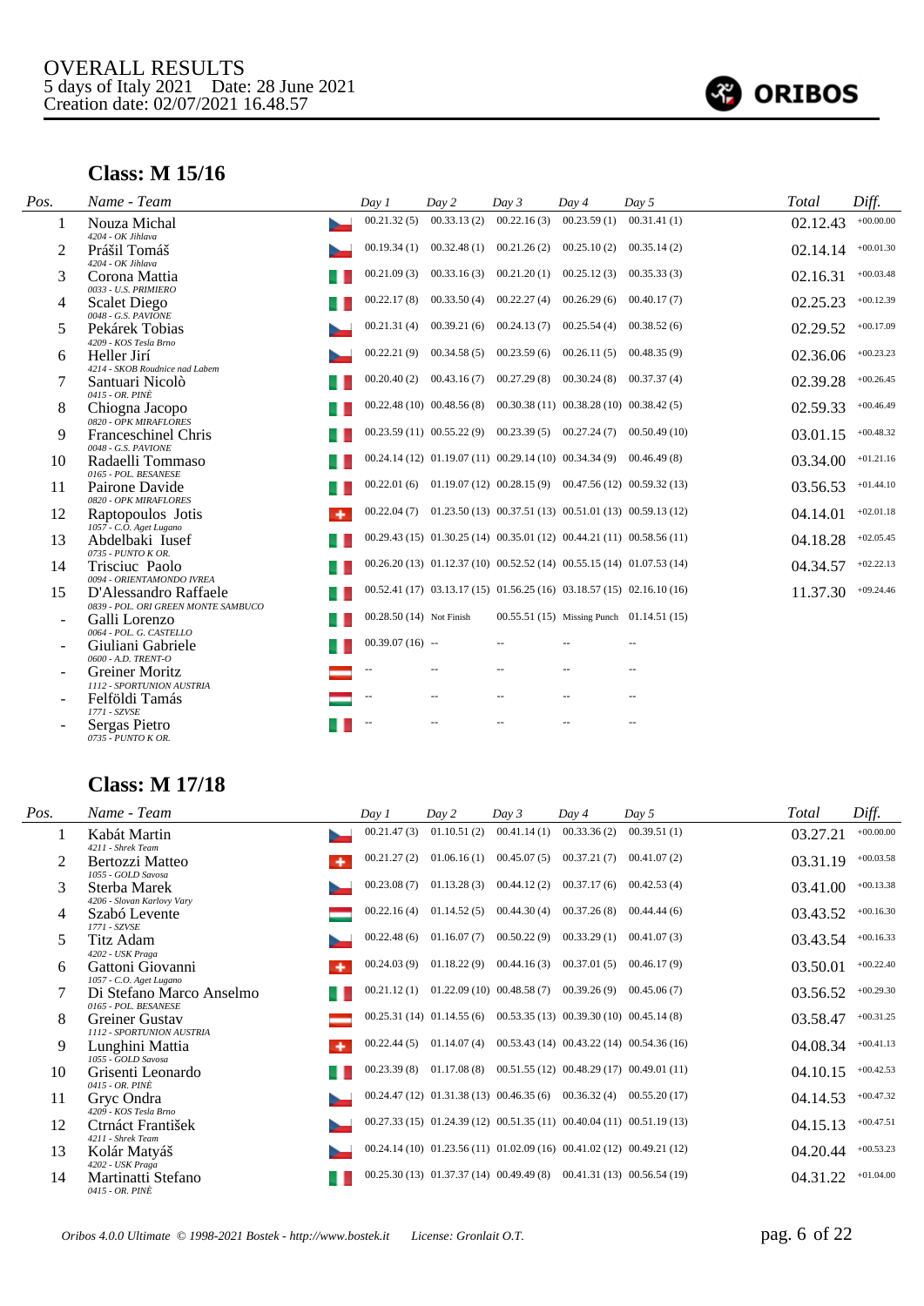

### **Class: M 15/16**

| Pos. | Name - Team                                                  | Day 1                    | Day 2       | Day 3       | Day 4                                                                      | Day 5                                                              | Total    | Diff.       |
|------|--------------------------------------------------------------|--------------------------|-------------|-------------|----------------------------------------------------------------------------|--------------------------------------------------------------------|----------|-------------|
| 1    | Nouza Michal                                                 | 00.21.32(5)              | 00.33.13(2) | 00.22.16(3) | 00.23.59(1)                                                                | 00.31.41(1)                                                        | 02.12.43 | $+00.00.00$ |
| 2    | 4204 - OK Jihlava<br>Prášil Tomáš<br>4204 - OK Jihlava       | 00.19.34(1)              | 00.32.48(1) | 00.21.26(2) | 00.25.10(2)                                                                | 00.35.14(2)                                                        | 02.14.14 | $+00.01.30$ |
| 3    | Corona Mattia<br>0033 - U.S. PRIMIERO                        | 00.21.09(3)              | 00.33.16(3) | 00.21.20(1) | 00.25.12(3)                                                                | 00.35.33(3)                                                        | 02.16.31 | $+00.03.48$ |
| 4    | <b>Scalet Diego</b><br>0048 - G.S. PAVIONE                   | 00.22.17(8)              | 00.33.50(4) | 00.22.27(4) | 00.26.29(6)                                                                | 00.40.17(7)                                                        | 02.25.23 | $+00.12.39$ |
| 5    | Pekárek Tobias<br>4209 - KOS Tesla Brno                      | 00.21.31(4)              | 00.39.21(6) | 00.24.13(7) | 00.25.54(4)                                                                | 00.38.52(6)                                                        | 02.29.52 | $+00.17.09$ |
| 6    | Heller Jirí<br>4214 - SKOB Roudnice nad Labem                | 00.22.21(9)              | 00.34.58(5) | 00.23.59(6) | 00.26.11(5)                                                                | 00.48.35(9)                                                        | 02.36.06 | $+00.23.23$ |
|      | Santuari Nicolò<br>0415 - OR. PINÈ                           | 00.20.40(2)              | 00.43.16(7) | 00.27.29(8) | 00.30.24(8)                                                                | 00.37.37(4)                                                        | 02.39.28 | $+00.26.45$ |
| 8    | Chiogna Jacopo<br>0820 - OPK MIRAFLORES                      |                          |             |             | $00.22.48(10)$ $00.48.56(8)$ $00.30.38(11)$ $00.38.28(10)$ $00.38.42(5)$   |                                                                    | 02.59.33 | $+00.46.49$ |
| 9    | <b>Franceschinel Chris</b><br>0048 - G.S. PAVIONE            |                          |             |             | $00.23.59(11)$ $00.55.22(9)$ $00.23.39(5)$ $00.27.24(7)$                   | 00.50.49(10)                                                       | 03.01.15 | $+00.48.32$ |
| 10   | Radaelli Tommaso<br>0165 - POL. BESANESE                     |                          |             |             | $00.24.14(12)$ $01.19.07(11)$ $00.29.14(10)$ $00.34.34(9)$ $00.46.49(8)$   |                                                                    | 03.34.00 | $+01.21.16$ |
| 11   | Pairone Davide<br>0820 - OPK MIRAFLORES                      | 00.22.01(6)              |             |             | $01.19.07(12)$ $00.28.15(9)$ $00.47.56(12)$ $00.59.32(13)$                 |                                                                    | 03.56.53 | $+01.44.10$ |
| 12   | Raptopoulos Jotis<br>٠<br>1057 - C.O. Aget Lugano            | 00.22.04(7)              |             |             |                                                                            | $01.23.50(13)$ $00.37.51(13)$ $00.51.01(13)$ $00.59.13(12)$        | 04.14.01 | $+02.01.18$ |
| 13   | Abdelbaki Iusef<br>0735 - PUNTO K OR.                        |                          |             |             | $00.29.43(15)$ $01.30.25(14)$ $00.35.01(12)$ $00.44.21(11)$ $00.58.56(11)$ |                                                                    | 04.18.28 | $+02.05.45$ |
| 14   | Trisciuc Paolo<br>0094 - ORIENTAMONDO IVREA                  |                          |             |             | $00.26.20(13)$ $01.12.37(10)$ $00.52.52(14)$ $00.55.15(14)$ $01.07.53(14)$ |                                                                    | 04.34.57 | $+02.22.13$ |
| 15   | D'Alessandro Raffaele<br>0839 - POL. ORI GREEN MONTE SAMBUCO |                          |             |             |                                                                            | $00.52.41(17) 03.13.17(15) 01.56.25(16) 03.18.57(15) 02.16.10(16)$ | 11.37.30 | $+09.24.46$ |
|      | Galli Lorenzo<br>0064 - POL. G. CASTELLO                     | 00.28.50 (14) Not Finish |             |             |                                                                            | 00.55.51 (15) Missing Punch 01.14.51 (15)                          |          |             |
|      | Giuliani Gabriele<br>0600 - A.D. TRENT-O                     | $00.39.07(16)$ --        |             |             |                                                                            |                                                                    |          |             |
|      | <b>Greiner Moritz</b><br>1112 - SPORTUNION AUSTRIA           |                          |             |             |                                                                            |                                                                    |          |             |
|      | Felföldi Tamás<br>1771 - SZVSE                               |                          |             |             |                                                                            |                                                                    |          |             |
|      | Sergas Pietro<br>0735 - PUNTO K OR.                          |                          |             |             |                                                                            |                                                                    |          |             |

### **Class: M 17/18**

| Pos. | Name - Team                                                | Day 1       | Day 2       | Day 3                                                                    | Day 4                       | Day 5                                                                      | Total    | Diff.       |
|------|------------------------------------------------------------|-------------|-------------|--------------------------------------------------------------------------|-----------------------------|----------------------------------------------------------------------------|----------|-------------|
|      | Kabát Martin<br>4211 - Shrek Team                          | 00.21.47(3) | 01.10.51(2) | 00.41.14(1)                                                              | 00.33.36(2)                 | 00.39.51(1)                                                                | 03.27.21 | $+00.00.00$ |
|      | Bertozzi Matteo                                            | 00.21.27(2) | 01.06.16(1) | 00.45.07(5)                                                              | 00.37.21(7)                 | 00.41.07(2)                                                                | 03.31.19 | $+00.03.58$ |
| 3    | 1055 - GOLD Savosa<br>Sterba Marek                         | 00.23.08(7) | 01.13.28(3) | 00.44.12(2)                                                              | 00.37.17(6)                 | 00.42.53(4)                                                                | 03.41.00 | $+00.13.38$ |
| 4    | 4206 - Slovan Karlovy Vary<br>Szabó Levente                | 00.22.16(4) | 01.14.52(5) | 00.44.30(4)                                                              | 00.37.26(8)                 | 00.44.44(6)                                                                | 03.43.52 | $+00.16.30$ |
| 5.   | 1771 - SZVSE<br>Titz Adam                                  | 00.22.48(6) | 01.16.07(7) | 00.50.22(9)                                                              | $00.33.29(1)$ $00.41.07(3)$ |                                                                            | 03.43.54 | $+00.16.33$ |
| 6    | 4202 - USK Praga<br>Gattoni Giovanni                       | 00.24.03(9) | 01.18.22(9) | 00.44.16(3)                                                              | 00.37.01(5)                 | 00.46.17(9)                                                                | 03.50.01 | $+00.22.40$ |
|      | 1057 - C.O. Aget Lugano<br>Di Stefano Marco Anselmo        | 00.21.12(1) |             | $01.22.09(10)$ $00.48.58(7)$ $00.39.26(9)$ $00.45.06(7)$                 |                             |                                                                            | 03.56.52 | $+00.29.30$ |
| 8    | 0165 - POL. BESANESE<br><b>Greiner Gustav</b>              |             |             | $00.25.31(14)$ $01.14.55(6)$ $00.53.35(13)$ $00.39.30(10)$ $00.45.14(8)$ |                             |                                                                            | 03.58.47 | $+00.31.25$ |
| 9    | 1112 - SPORTUNION AUSTRIA<br>Lunghini Mattia<br>۰          | 00.22.44(5) |             |                                                                          |                             | $01.14.07(4)$ $00.53.43(14)$ $00.43.22(14)$ $00.54.36(16)$                 | 04.08.34 | $+00.41.13$ |
| 10   | 1055 - GOLD Savosa<br>Grisenti Leonardo<br>0415 - OR. PINÈ | 00.23.39(8) |             |                                                                          |                             | $01.17.08(8)$ $00.51.55(12)$ $00.48.29(17)$ $00.49.01(11)$                 | 04.10.15 | $+00.42.53$ |
| 11   | Gryc Ondra<br>4209 - KOS Tesla Brno                        |             |             |                                                                          |                             | $00.24.47(12)$ $01.31.38(13)$ $00.46.35(6)$ $00.36.32(4)$ $00.55.20(17)$   | 04.14.53 | $+00.47.32$ |
| 12   | Ctrnáct František                                          |             |             |                                                                          |                             | 00.27.33 (15) 01.24.39 (12) 00.51.35 (11) 00.40.04 (11) 00.51.19 (13)      | 04.15.13 | $+00.47.51$ |
| 13   | 4211 - Shrek Team<br>Kolár Matyáš                          |             |             |                                                                          |                             | $00.24.14(10)$ $01.23.56(11)$ $01.02.09(16)$ $00.41.02(12)$ $00.49.21(12)$ | 04.20.44 | $+00.53.23$ |
| 14   | 4202 - USK Praga<br>Martinatti Stefano<br>0415 - OR. PINÈ  |             |             |                                                                          |                             | $00.25.30(13)$ $01.37.37(14)$ $00.49.49(8)$ $00.41.31(13)$ $00.56.54(19)$  | 04.31.22 | $+01.04.00$ |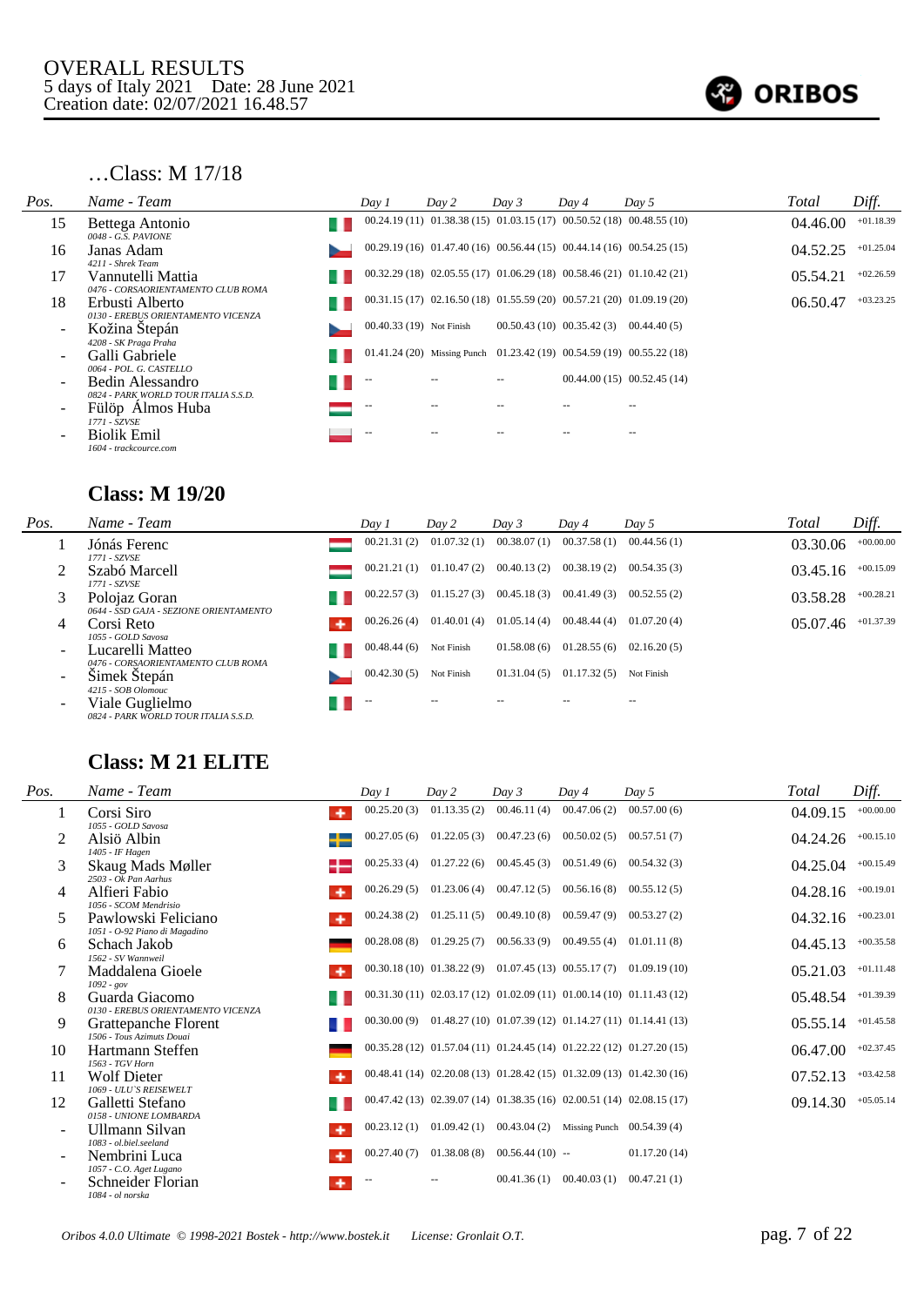

#### …Class: M 17/18

| Pos. | Name - Team                                              | Day 1                    | Day 2 | Day 3                        | Day 4 | Day 5                                                                      | Total    | Diff.       |
|------|----------------------------------------------------------|--------------------------|-------|------------------------------|-------|----------------------------------------------------------------------------|----------|-------------|
| 15   | Bettega Antonio<br>0048 - G.S. PAVIONE                   |                          |       |                              |       | $00.24.19(11)$ $01.38.38(15)$ $01.03.15(17)$ $00.50.52(18)$ $00.48.55(10)$ | 04.46.00 | $+01.18.39$ |
| 16   | Janas Adam<br>4211 - Shrek Team                          |                          |       |                              |       | $00.29.19(16)$ $01.47.40(16)$ $00.56.44(15)$ $00.44.14(16)$ $00.54.25(15)$ | 04.52.25 | $+01.25.04$ |
| 17   | Vannutelli Mattia<br>0476 - CORSAORIENTAMENTO CLUB ROMA  |                          |       |                              |       | 00.32.29 (18) 02.05.55 (17) 01.06.29 (18) 00.58.46 (21) 01.10.42 (21)      | 05.54.21 | $+02.26.59$ |
| 18   | Erbusti Alberto<br>0130 - EREBUS ORIENTAMENTO VICENZA    |                          |       |                              |       | $00.31.15(17)$ $02.16.50(18)$ $01.55.59(20)$ $00.57.21(20)$ $01.09.19(20)$ | 06.50.47 | $+03.23.25$ |
|      | Kožina Štepán<br>4208 - SK Praga Praha                   | 00.40.33 (19) Not Finish |       | $00.50.43(10)$ $00.35.42(3)$ |       | 00.44.40(5)                                                                |          |             |
|      | Galli Gabriele<br>0064 - POL. G. CASTELLO                |                          |       |                              |       | 01.41.24 (20) Missing Punch 01.23.42 (19) 00.54.59 (19) 00.55.22 (18)      |          |             |
|      | Bedin Alessandro<br>0824 - PARK WORLD TOUR ITALIA S.S.D. | $-$                      |       |                              |       | $00.44.00(15)$ $00.52.45(14)$                                              |          |             |
|      | Fülöp Almos Huba<br>1771 - SZVSE                         | $\overline{\phantom{m}}$ |       |                              |       |                                                                            |          |             |
|      | <b>Biolik Emil</b><br>1604 - trackcource.com             | $-$                      |       |                              |       |                                                                            |          |             |

#### **Class: M 19/20**

| Pos.                     | Name - Team                                             | Day 1       | Day 2                       | Day 3       | Day 4       | Day 5       | Total    | Diff.       |
|--------------------------|---------------------------------------------------------|-------------|-----------------------------|-------------|-------------|-------------|----------|-------------|
|                          | Jónás Ferenc<br>1771 - SZVSE                            | 00.21.31(2) | 01.07.32(1)                 | 00.38.07(1) | 00.37.58(1) | 00.44.56(1) | 03.30.06 | $+00.00.00$ |
|                          | Szabó Marcell<br>1771 - SZVSE                           | 00.21.21(1) | 01.10.47(2)                 | 00.40.13(2) | 00.38.19(2) | 00.54.35(3) | 03.45.16 | $+00.15.09$ |
|                          | Polojaz Goran<br>0644 - SSD GAJA - SEZIONE ORIENTAMENTO | 00.22.57(3) | 01.15.27(3)                 | 00.45.18(3) | 00.41.49(3) | 00.52.55(2) | 03.58.28 | $+00.28.21$ |
| 4                        | Corsi Reto<br>1055 - GOLD Savosa                        | 00.26.26(4) | $01.40.01(4)$ $01.05.14(4)$ |             | 00.48.44(4) | 01.07.20(4) | 05.07.46 | $+01.37.39$ |
|                          | Lucarelli Matteo<br>0476 - CORSAORIENTAMENTO CLUB ROMA  | 00.48.44(6) | Not Finish                  | 01.58.08(6) | 01.28.55(6) | 02.16.20(5) |          |             |
| $\overline{\phantom{0}}$ | Simek Stepán<br>4215 - SOB Olomouc                      | 00.42.30(5) | Not Finish                  | 01.31.04(5) | 01.17.32(5) | Not Finish  |          |             |
|                          | Viale Guglielmo<br>0824 - PARK WORLD TOUR ITALIA S.S.D. |             |                             |             |             |             |          |             |

### **Class: M 21 ELITE**

| Pos. | Name - Team                                                          | Day 1       | Day 2       | Day 3                           | Dav 4                                                   | Dav <sub>5</sub>                                                         | Total    | Diff.       |
|------|----------------------------------------------------------------------|-------------|-------------|---------------------------------|---------------------------------------------------------|--------------------------------------------------------------------------|----------|-------------|
|      | Corsi Siro<br>۰<br>1055 - GOLD Savosa                                | 00.25.20(3) | 01.13.35(2) | 00.46.11(4)                     | 00.47.06(2)                                             | 00.57.00(6)                                                              | 04.09.15 | $+00.00.00$ |
| 2    | Alsiö Albin<br>1405 - IF Hagen                                       | 00.27.05(6) |             | $01.22.05(3)$ $00.47.23(6)$     | 00.50.02(5)                                             | 00.57.51(7)                                                              | 04.24.26 | $+00.15.10$ |
| 3    | Skaug Mads Møller<br>$2503 - Ok$ Pan Aarhus                          | 00.25.33(4) |             | $01.27.22(6)$ $00.45.45(3)$     | 00.51.49(6)                                             | 00.54.32(3)                                                              | 04.25.04 | $+00.15.49$ |
| 4    | Alfieri Fabio<br>1056 - SCOM Mendrisio                               | 00.26.29(5) |             | $01.23.06(4)$ $00.47.12(5)$     | 00.56.16(8)                                             | 00.55.12(5)                                                              | 04.28.16 | $+00.19.01$ |
| 5    | Pawlowski Feliciano<br>٠                                             | 00.24.38(2) |             |                                 | $01.25.11(5)$ $00.49.10(8)$ $00.59.47(9)$               | 00.53.27(2)                                                              | 04.32.16 | $+00.23.01$ |
| 6    | 1051 - O-92 Piano di Magadino<br>Schach Jakob<br>1562 - SV Wannweil  | 00.28.08(8) |             |                                 | $01.29.25(7)$ $00.56.33(9)$ $00.49.55(4)$               | 01.01.11(8)                                                              | 04.45.13 | $+00.35.58$ |
|      | Maddalena Gioele<br>۰                                                |             |             |                                 |                                                         | $00.30.18(10)$ $01.38.22(9)$ $01.07.45(13)$ $00.55.17(7)$ $01.09.19(10)$ | 05.21.03 | $+01.11.48$ |
| 8    | $1092 - gov$<br>Guarda Giacomo<br>0130 - EREBUS ORIENTAMENTO VICENZA |             |             |                                 |                                                         | 00.31.30 (11) 02.03.17 (12) 01.02.09 (11) 01.00.14 (10) 01.11.43 (12)    | 05.48.54 | $+01.39.39$ |
| 9    | Grattepanche Florent<br>1506 - Tous Azimuts Douai                    | 00.30.00(9) |             |                                 |                                                         | $01.48.27(10)$ $01.07.39(12)$ $01.14.27(11)$ $01.14.41(13)$              | 05.55.14 | $+01.45.58$ |
| 10   | Hartmann Steffen                                                     |             |             |                                 |                                                         | 00.35.28 (12) 01.57.04 (11) 01.24.45 (14) 01.22.22 (12) 01.27.20 (15)    | 06.47.00 | $+02.37.45$ |
| 11   | 1563 - TGV Horn<br><b>Wolf Dieter</b><br>۰                           |             |             |                                 |                                                         | 00.48.41 (14) 02.20.08 (13) 01.28.42 (15) 01.32.09 (13) 01.42.30 (16)    | 07.52.13 | $+03.42.58$ |
| 12   | 1069 - ULU'S REISEWELT<br>Galletti Stefano                           |             |             |                                 |                                                         | 00.47.42 (13) 02.39.07 (14) 01.38.35 (16) 02.00.51 (14) 02.08.15 (17)    | 09.14.30 | $+05.05.14$ |
|      | 0158 - UNIONE LOMBARDA<br>Ullmann Silvan<br>٠                        | 00.23.12(1) |             |                                 | $01.09.42(1)$ $00.43.04(2)$ Missing Punch $00.54.39(4)$ |                                                                          |          |             |
|      | 1083 - ol.biel.seeland<br>Nembrini Luca                              | 00.27.40(7) |             | $01.38.08(8)$ $00.56.44(10)$ -- |                                                         | 01.17.20(14)                                                             |          |             |
|      | 1057 - C.O. Aget Lugano<br>Schneider Florian<br>1084 - ol norska     | $-$         |             |                                 | $00.41.36(1)$ $00.40.03(1)$                             | 00.47.21(1)                                                              |          |             |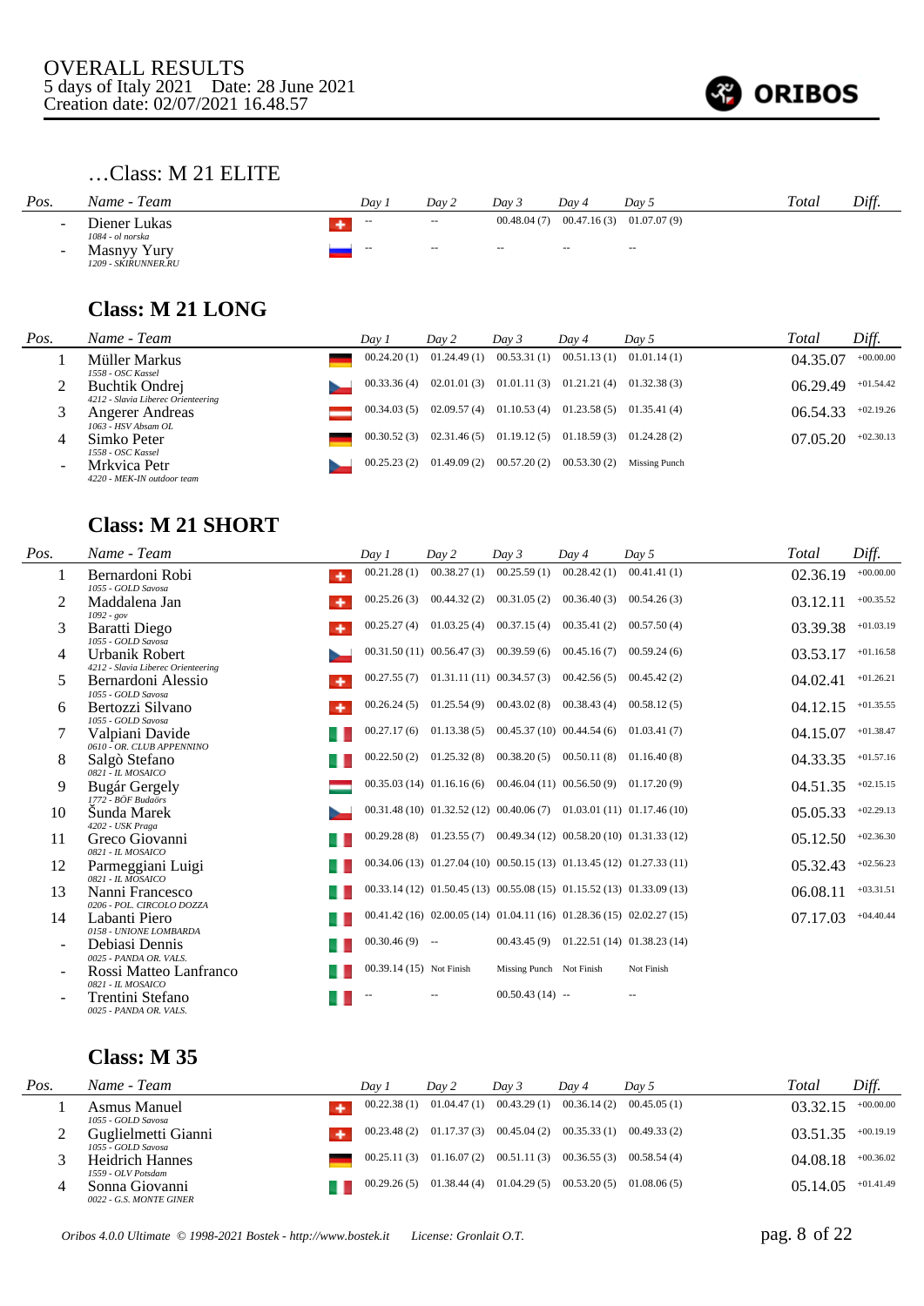

# …Class: M 21 ELITE

| Pos.   | Name - Team                                            | Dav        | Day 2             | Dav <sub>3</sub> | Dav 4                       | Day 5         | Total | Diff. |
|--------|--------------------------------------------------------|------------|-------------------|------------------|-----------------------------|---------------|-------|-------|
| $\sim$ | Diener Lukas                                           | $\sim$ $-$ | $\sim$ $\sim$     | 00.48.04(7)      | $00.47.16(3)$ $01.07.07(9)$ |               |       |       |
| $\sim$ | 1084 - ol norska<br>Masnyy Yury<br>1209 - SKIRUNNER.RU | $\sim$     | $\qquad \qquad -$ | $\sim$           | $\overline{\phantom{a}}$    | $\sim$ $\sim$ |       |       |

### **Class: M 21 LONG**

| Pos.                     | Name - Team                                                     | Day 1       | Day 2       | Day 3                                                   | Day 4                       | Day 5         | Total    | Diff.       |
|--------------------------|-----------------------------------------------------------------|-------------|-------------|---------------------------------------------------------|-----------------------------|---------------|----------|-------------|
|                          | Müller Markus                                                   | 00.24.20(1) | 01.24.49(1) | 00.53.31(1)                                             | $00.51.13(1)$ $01.01.14(1)$ |               | 04.35.07 | $+00.00.00$ |
|                          | 1558 - OSC Kassel<br>Buchtik Ondrej                             | 00.33.36(4) |             | $02.01.01(3)$ $01.01.11(3)$ $01.21.21(4)$ $01.32.38(3)$ |                             |               | 06.29.49 | $+01.54.42$ |
|                          | 4212 - Slavia Liberec Orienteering<br>Angerer Andreas           | 00.34.03(5) | 02.09.57(4) | 01.10.53(4)                                             | $01.23.58(5)$ $01.35.41(4)$ |               | 06.54.33 | $+02.19.26$ |
| 4                        | 1063 - HSV Absam OL<br>Simko Peter                              | 00.30.52(3) | 02.31.46(5) | 01.19.12(5)                                             | $01.18.59(3)$ $01.24.28(2)$ |               | 07.05.20 | $+02.30.13$ |
| $\overline{\phantom{0}}$ | 1558 - OSC Kassel<br>Mrkvica Petr<br>4220 - MEK-IN outdoor team | 00.25.23(2) | 01.49.09(2) | 00.57.20(2)                                             | 00.53.30(2)                 | Missing Punch |          |             |

### **Class: M 21 SHORT**

| Pos.                     | Name - Team                                                        | Dav1                     | Day 2                                                                   | Day 3                        | Dav 4                                      | Day 5                                                                      | Total    | Diff.       |
|--------------------------|--------------------------------------------------------------------|--------------------------|-------------------------------------------------------------------------|------------------------------|--------------------------------------------|----------------------------------------------------------------------------|----------|-------------|
| 1                        | Bernardoni Robi<br>٠<br>1055 - GOLD Savosa                         | 00.21.28(1)              | 00.38.27(1)                                                             | 00.25.59(1)                  | 00.28.42(1)                                | 00.41.41(1)                                                                | 02.36.19 | $+00.00.00$ |
| 2                        | Maddalena Jan<br>$1092 - gov$                                      | 00.25.26(3)              | 00.44.32(2)                                                             | 00.31.05(2)                  | 00.36.40(3)                                | 00.54.26(3)                                                                | 03.12.11 | $+00.35.52$ |
| 3                        | Baratti Diego<br>1055 - GOLD Savosa                                | 00.25.27(4)              | 01.03.25(4)                                                             | 00.37.15(4)                  | 00.35.41(2)                                | 00.57.50(4)                                                                | 03.39.38 | $+01.03.19$ |
| 4                        | Urbanik Robert<br>4212 - Slavia Liberec Orienteering               |                          | $00.31.50(11)$ $00.56.47(3)$ $00.39.59(6)$                              |                              | 00.45.16(7)                                | 00.59.24(6)                                                                | 03.53.17 | $+01.16.58$ |
| 5                        | Bernardoni Alessio<br>۰<br>1055 - GOLD Savosa                      | 00.27.55(7)              |                                                                         | $01.31.11(11)$ $00.34.57(3)$ | 00.42.56(5)                                | 00.45.42(2)                                                                | 04.02.41 | $+01.26.21$ |
| 6                        | Bertozzi Silvano<br>۰                                              | 00.26.24(5)              |                                                                         |                              | $01.25.54(9)$ $00.43.02(8)$ $00.38.43(4)$  | 00.58.12(5)                                                                | 04.12.15 | $+01.35.55$ |
|                          | 1055 - GOLD Savosa<br>Valpiani Davide<br>0610 - OR. CLUB APPENNINO | 00.27.17(6)              |                                                                         |                              | $01.13.38(5)$ $00.45.37(10)$ $00.44.54(6)$ | 01.03.41(7)                                                                | 04.15.07 | $+01.38.47$ |
| 8                        | Salgò Stefano<br>$0821 - H. MOSAICO$                               | 00.22.50(2)              |                                                                         |                              | $01.25.32(8)$ $00.38.20(5)$ $00.50.11(8)$  | 01.16.40(8)                                                                | 04.33.35 | $+01.57.16$ |
| 9                        | Bugár Gergely<br>1772 - BÖF Budaörs                                |                          | $00.35.03(14)$ $01.16.16(6)$ $00.46.04(11)$ $00.56.50(9)$ $01.17.20(9)$ |                              |                                            |                                                                            | 04.51.35 | $+02.15.15$ |
| 10                       | Šunda Marek<br>4202 - USK Praga                                    |                          |                                                                         |                              |                                            | $00.31.48(10)$ $01.32.52(12)$ $00.40.06(7)$ $01.03.01(11)$ $01.17.46(10)$  | 05.05.33 | $+02.29.13$ |
| 11                       | Greco Giovanni<br>0821 - IL MOSAICO                                |                          |                                                                         |                              |                                            | $00.29.28(8)$ $01.23.55(7)$ $00.49.34(12)$ $00.58.20(10)$ $01.31.33(12)$   | 05.12.50 | $+02.36.30$ |
| 12                       | Parmeggiani Luigi<br>0821 - IL MOSAICO                             |                          |                                                                         |                              |                                            | 00.34.06 (13) 01.27.04 (10) 00.50.15 (13) 01.13.45 (12) 01.27.33 (11)      | 05.32.43 | $+02.56.23$ |
| 13                       | Nanni Francesco<br>0206 - POL. CIRCOLO DOZZA                       |                          |                                                                         |                              |                                            | $00.33.14(12)$ $01.50.45(13)$ $00.55.08(15)$ $01.15.52(13)$ $01.33.09(13)$ | 06.08.11 | $+03.31.51$ |
| 14                       | Labanti Piero<br>0158 - UNIONE LOMBARDA                            |                          |                                                                         |                              |                                            | $00.41.42(16)$ $02.00.05(14)$ $01.04.11(16)$ $01.28.36(15)$ $02.02.27(15)$ | 07.17.03 | $+04.40.44$ |
| $\overline{\phantom{a}}$ | Debiasi Dennis<br>0025 - PANDA OR, VALS.                           | $00.30.46(9)$ --         |                                                                         |                              |                                            | $00.43.45(9)$ $01.22.51(14)$ $01.38.23(14)$                                |          |             |
| $\overline{\phantom{a}}$ | Rossi Matteo Lanfranco<br>0821 - IL MOSAICO                        | 00.39.14 (15) Not Finish |                                                                         | Missing Punch Not Finish     |                                            | Not Finish                                                                 |          |             |
|                          | Trentini Stefano<br>0025 - PANDA OR. VALS.                         |                          |                                                                         | $00.50.43(14) -$             |                                            |                                                                            |          |             |

| Pos. | Name - Team                                  | Dav 1       | Day 2                       | Dav 3                                     | Dav 4                                     | Day 5 | Total    | Diff.       |
|------|----------------------------------------------|-------------|-----------------------------|-------------------------------------------|-------------------------------------------|-------|----------|-------------|
|      | Asmus Manuel<br>1055 - GOLD Savosa           | 00.22.38(1) | 01.04.47(1)                 |                                           | $00.43.29(1)$ $00.36.14(2)$ $00.45.05(1)$ |       | 03.32.15 | $+00.00.00$ |
|      | Guglielmetti Gianni<br>1055 - GOLD Savosa    |             | $00.23.48(2)$ $01.17.37(3)$ | $00.45.04(2)$ $00.35.33(1)$ $00.49.33(2)$ |                                           |       | 03.51.35 | $+00.19.19$ |
|      | <b>Heidrich Hannes</b><br>1559 - OLV Potsdam |             | $00.25.11(3)$ $01.16.07(2)$ |                                           | $00.51.11(3)$ $00.36.55(3)$ $00.58.54(4)$ |       | 04.08.18 | $+00.36.02$ |
| 4    | Sonna Giovanni<br>0022 - G.S. MONTE GINER    | 00.29.26(5) | 01.38.44(4)                 |                                           | $01.04.29(5)$ $00.53.20(5)$ $01.08.06(5)$ |       | 05.14.05 | $+01.41.49$ |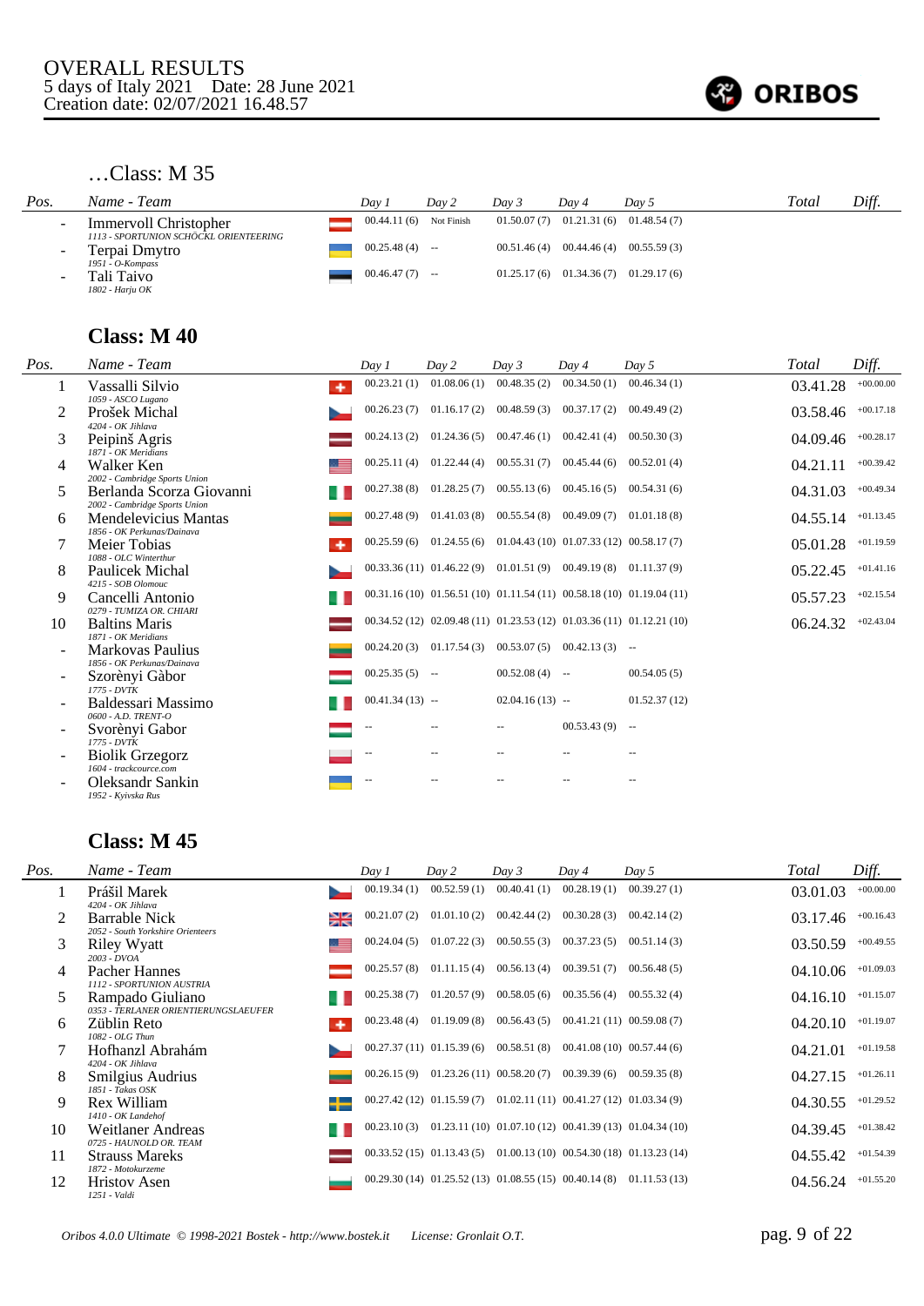

# …Class: M 35

| Pos. | Name - Team                                             | Dav 1            | Day 2                    | Day 3 | Dav 4 | Day 5                                     | Total | Diff. |
|------|---------------------------------------------------------|------------------|--------------------------|-------|-------|-------------------------------------------|-------|-------|
|      | Immervoll Christopher                                   |                  | $00.44.11(6)$ Not Finish |       |       | $01.50.07(7)$ $01.21.31(6)$ $01.48.54(7)$ |       |       |
|      | 1113 - SPORTUNION SCHÖCKL ORIENTEERING<br>Terpai Dmytro | $00.25.48(4)$ -- |                          |       |       | $00.51.46(4)$ $00.44.46(4)$ $00.55.59(3)$ |       |       |
|      | 1951 - O-Kompass<br>Tali Taivo<br>1802 - Harju OK       | $00.46.47(7)$ -- |                          |       |       | $01.25.17(6)$ $01.34.36(7)$ $01.29.17(6)$ |       |       |

### **Class: M 40**

| Pos. | Name - Team                                                       | Day 1                    | Day 2                                                                  | Day 3                       | Day 4                                                     | Day 5                                                                      | <b>Total</b> | Diff.       |
|------|-------------------------------------------------------------------|--------------------------|------------------------------------------------------------------------|-----------------------------|-----------------------------------------------------------|----------------------------------------------------------------------------|--------------|-------------|
| 1    | Vassalli Silvio<br>۰                                              | 00.23.21(1)              | 01.08.06(1)                                                            | 00.48.35(2)                 | 00.34.50(1)                                               | 00.46.34(1)                                                                | 03.41.28     | $+00.00.00$ |
| 2    | 1059 - ASCO Lugano<br>Prošek Michal                               | 00.26.23(7)              |                                                                        | $01.16.17(2)$ $00.48.59(3)$ | 00.37.17(2)                                               | 00.49.49(2)                                                                | 03.58.46     | $+00.17.18$ |
| 3    | 4204 - OK Jihlava<br>Peipinš Agris                                | 00.24.13(2)              |                                                                        | $01.24.36(5)$ $00.47.46(1)$ | 00.42.41(4)                                               | 00.50.30(3)                                                                | 04.09.46     | $+00.28.17$ |
| 4    | 1871 - OK Meridians<br>Walker Ken                                 | 00.25.11(4)              |                                                                        | $01.22.44(4)$ $00.55.31(7)$ | 00.45.44(6)                                               | 00.52.01(4)                                                                | 04.21.11     | $+00.39.42$ |
| 5    | 2002 - Cambridge Sports Union<br>Berlanda Scorza Giovanni         | 00.27.38(8)              | 01.28.25(7)                                                            | 00.55.13(6)                 | 00.45.16(5)                                               | 00.54.31(6)                                                                | 04.31.03     | $+00.49.34$ |
| 6    | 2002 - Cambridge Sports Union<br>Mendelevicius Mantas             | 00.27.48(9)              | 01.41.03(8)                                                            | 00.55.54(8)                 | 00.49.09(7)                                               | 01.01.18(8)                                                                | 04.55.14     | $+01.13.45$ |
|      | 1856 - OK Perkunas/Dainava<br>Meier Tobias<br>۰                   | 00.25.59(6)              |                                                                        |                             | $01.24.55(6)$ $01.04.43(10)$ $01.07.33(12)$ $00.58.17(7)$ |                                                                            | 05.01.28     | $+01.19.59$ |
| 8    | 1088 - OLC Winterthur<br>Paulicek Michal                          |                          | $00.33.36(11)$ $01.46.22(9)$ $01.01.51(9)$ $00.49.19(8)$ $01.11.37(9)$ |                             |                                                           |                                                                            | 05.22.45     | $+01.41.16$ |
| 9    | 4215 - SOB Olomouc<br>Cancelli Antonio                            |                          |                                                                        |                             |                                                           | $00.31.16(10)$ $01.56.51(10)$ $01.11.54(11)$ $00.58.18(10)$ $01.19.04(11)$ | 05.57.23     | $+02.15.54$ |
| 10   | 0279 - TUMIZA OR, CHIARI<br><b>Baltins Maris</b>                  |                          |                                                                        |                             |                                                           | $00.34.52(12)$ $02.09.48(11)$ $01.23.53(12)$ $01.03.36(11)$ $01.12.21(10)$ | 06.24.32     | $+02.43.04$ |
|      | 1871 - OK Meridians<br>Markovas Paulius                           | 00.24.20(3)              |                                                                        |                             | $01.17.54(3)$ $00.53.07(5)$ $00.42.13(3)$ --              |                                                                            |              |             |
|      | 1856 - OK Perkunas/Dainava<br>Szorènyi Gàbor                      | $00.25.35(5)$ --         |                                                                        | $00.52.08(4)$ --            |                                                           | 00.54.05(5)                                                                |              |             |
|      | $1775 - DVTK$<br>Baldessari Massimo                               | $00.41.34(13)$ --        |                                                                        | $02.04.16(13) -$            |                                                           | 01.52.37(12)                                                               |              |             |
|      | 0600 - A.D. TRENT-O<br>Svorènyi Gabor                             | --                       | $-$                                                                    | $\qquad \qquad -$           | $00.53.43(9)$ --                                          |                                                                            |              |             |
|      | $1775 - DVTK$<br><b>Biolik Grzegorz</b><br>1604 - trackcource.com | $\overline{\phantom{a}}$ | $\overline{\phantom{a}}$                                               | $-$                         | --                                                        |                                                                            |              |             |
|      | Oleksandr Sankin<br>1952 - Kvivska Rus                            | $-$                      |                                                                        |                             |                                                           |                                                                            |              |             |

| Pos. | Name - Team                                                     | Day 1       | Day 2       | Day 3                                                                    | Day 4                       | Day $5$                                                                   | Total    | Diff.       |
|------|-----------------------------------------------------------------|-------------|-------------|--------------------------------------------------------------------------|-----------------------------|---------------------------------------------------------------------------|----------|-------------|
|      | Prášil Marek<br>4204 - OK Jihlava                               | 00.19.34(1) | 00.52.59(1) | 00.40.41(1)                                                              | 00.28.19(1)                 | 00.39.27(1)                                                               | 03.01.03 | $+00.00.00$ |
|      | <b>Barrable Nick</b><br>≱≼<br>2052 - South Yorkshire Orienteers | 00.21.07(2) | 01.01.10(2) | 00.42.44(2)                                                              | 00.30.28(3)                 | 00.42.14(2)                                                               | 03.17.46 | $+00.16.43$ |
| 3    | Riley Wyatt<br>$2003 - DVOA$                                    | 00.24.04(5) | 01.07.22(3) | 00.50.55(3)                                                              | $00.37.23(5)$ $00.51.14(3)$ |                                                                           | 03.50.59 | $+00.49.55$ |
| 4    | Pacher Hannes<br>1112 - SPORTUNION AUSTRIA                      | 00.25.57(8) |             | $01.11.15(4)$ $00.56.13(4)$                                              |                             | $00.39.51(7)$ $00.56.48(5)$                                               | 04.10.06 | $+01.09.03$ |
| 5    | Rampado Giuliano<br>0353 - TERLANER ORIENTIERUNGSLAEUFER        | 00.25.38(7) | 01.20.57(9) | 00.58.05(6)                                                              | 00.35.56(4)                 | 00.55.32(4)                                                               | 04.16.10 | $+01.15.07$ |
| 6    | Züblin Reto<br>1082 - OLG Thun                                  | 00.23.48(4) | 01.19.09(8) | 00.56.43(5)                                                              |                             | 00.41.21(11) 00.59.08(7)                                                  | 04.20.10 | $+01.19.07$ |
|      | Hofhanzl Abrahám                                                |             |             | $00.27.37(11)$ $01.15.39(6)$ $00.58.51(8)$                               |                             | $00.41.08(10)$ $00.57.44(6)$                                              | 04.21.01 | $+01.19.58$ |
| 8    | 4204 - OK Jihlava<br>Smilgius Audrius                           | 00.26.15(9) |             | $01.23.26(11)$ $00.58.20(7)$                                             | 00.39.39(6)                 | 00.59.35(8)                                                               | 04.27.15 | $+01.26.11$ |
| 9    | 1851 - Takas OSK<br>Rex William                                 |             |             | $00.27.42(12)$ $01.15.59(7)$ $01.02.11(11)$ $00.41.27(12)$ $01.03.34(9)$ |                             |                                                                           | 04.30.55 | $+01.29.52$ |
| 10   | 1410 - OK Landehof<br>Weitlaner Andreas                         | 00.23.10(3) |             |                                                                          |                             | $01.23.11(10) 01.07.10(12) 00.41.39(13) 01.04.34(10)$                     | 04.39.45 | $+01.38.42$ |
| 11   | 0725 - HAUNOLD OR. TEAM<br><b>Strauss Mareks</b>                |             |             |                                                                          |                             | $00.33.52(15)$ $01.13.43(5)$ $01.00.13(10)$ $00.54.30(18)$ $01.13.23(14)$ | 04.55.42 | $+01.54.39$ |
| 12   | 1872 - Motokurzeme<br><b>Hristov</b> Asen<br>1251 - Valdi       |             |             |                                                                          |                             | $00.29.30(14)$ $01.25.52(13)$ $01.08.55(15)$ $00.40.14(8)$ $01.11.53(13)$ | 04.56.24 | $+01.55.20$ |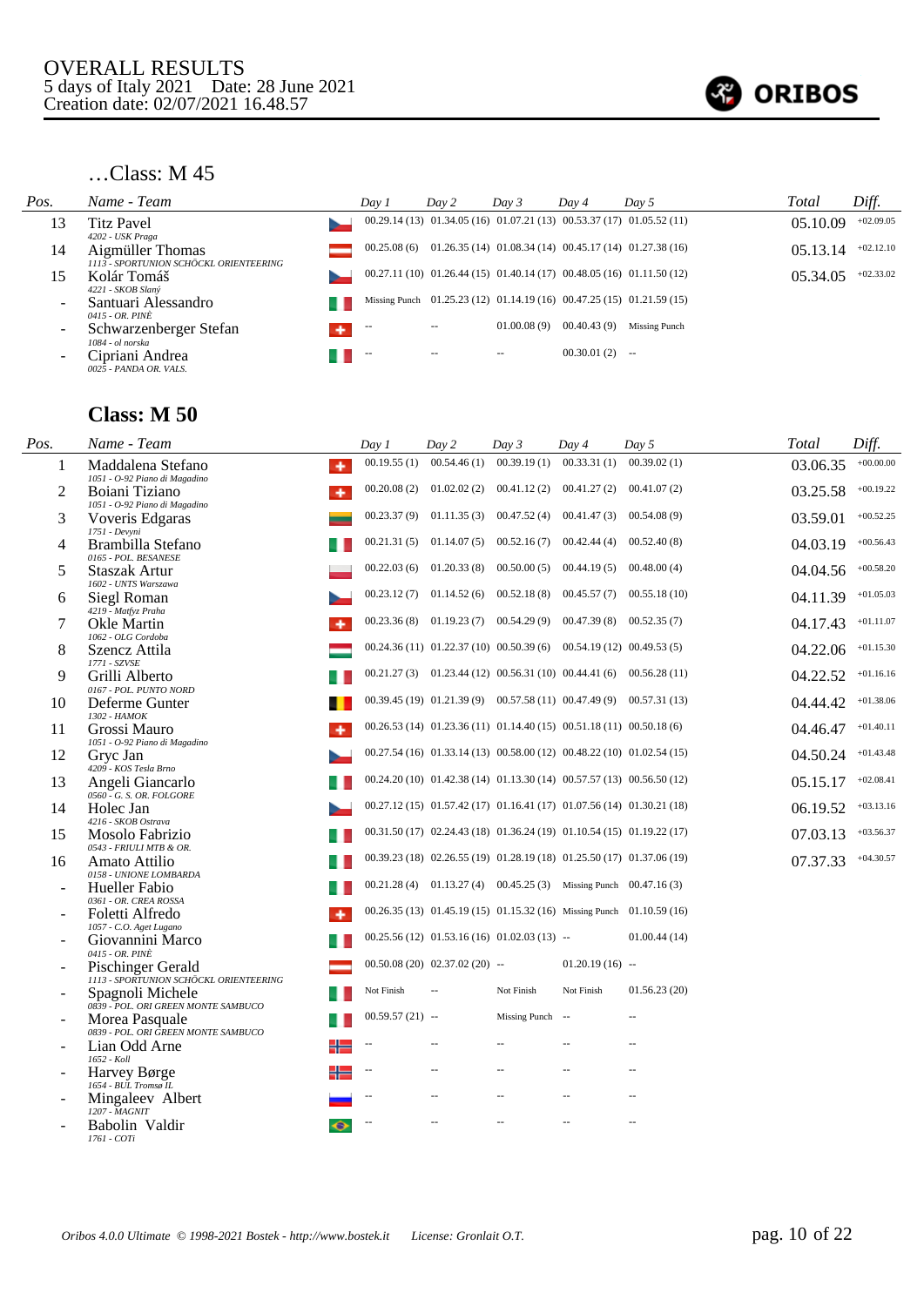

### …Class: M 45

| Pos.                     | Name - Team                                                                    | Day 1       | Day 2 | Day 3       | Day 4            | Day 5                                                                      | Total    | Diff.       |
|--------------------------|--------------------------------------------------------------------------------|-------------|-------|-------------|------------------|----------------------------------------------------------------------------|----------|-------------|
| 13                       | Titz Pavel                                                                     |             |       |             |                  | $00.29.14(13)$ $01.34.05(16)$ $01.07.21(13)$ $00.53.37(17)$ $01.05.52(11)$ | 05.10.09 | $+02.09.05$ |
| 14                       | 4202 - USK Praga<br>Aigmüller Thomas<br>1113 - SPORTUNION SCHÖCKL ORIENTEERING | 00.25.08(6) |       |             |                  | $01.26.35(14)$ $01.08.34(14)$ $00.45.17(14)$ $01.27.38(16)$                | 05.13.14 | $+02.12.10$ |
| 15                       | Kolár Tomáš                                                                    |             |       |             |                  | 00.27.11 (10) 01.26.44 (15) 01.40.14 (17) 00.48.05 (16) 01.11.50 (12)      | 05.34.05 | $+02.33.02$ |
| $\overline{\phantom{a}}$ | 4221 - SKOB Slaný<br>Santuari Alessandro<br>0415 - OR. PINÈ                    |             |       |             |                  | Missing Punch 01.25.23 (12) 01.14.19 (16) 00.47.25 (15) 01.21.59 (15)      |          |             |
| $\overline{\phantom{a}}$ | Schwarzenberger Stefan                                                         |             | $- -$ | 01.00.08(9) | 00.40.43(9)      | Missing Punch                                                              |          |             |
| $\overline{\phantom{a}}$ | 1084 - ol norska<br>Cipriani Andrea<br>0025 - PANDA OR, VALS,                  |             | $- -$ | $- -$       | $00.30.01(2)$ -- |                                                                            |          |             |

| Pos. | Name - Team                                                           | Day 1            | Day 2                                                                 | Day 3            | Day 4             | Day 5                    | Total    | Diff.       |
|------|-----------------------------------------------------------------------|------------------|-----------------------------------------------------------------------|------------------|-------------------|--------------------------|----------|-------------|
| 1    | Maddalena Stefano<br>٠<br>1051 - O-92 Piano di Magadino               | 00.19.55(1)      | 00.54.46(1)                                                           | 00.39.19(1)      | 00.33.31(1)       | 00.39.02(1)              | 03.06.35 | $+00.00.00$ |
| 2    | Boiani Tiziano<br>1051 - O-92 Piano di Magadino                       | 00.20.08(2)      | 01.02.02(2)                                                           | 00.41.12(2)      | 00.41.27(2)       | 00.41.07(2)              | 03.25.58 | $+00.19.22$ |
| 3    | Voveris Edgaras                                                       | 00.23.37 (9)     | 01.11.35(3)                                                           | 00.47.52(4)      | 00.41.47(3)       | 00.54.08(9)              | 03.59.01 | $+00.52.25$ |
| 4    | 1751 - Devyni<br>Brambilla Stefano<br>0165 - POL. BESANESE            |                  | $00.21.31(5)$ $01.14.07(5)$                                           | 00.52.16(7)      | 00.42.44(4)       | 00.52.40(8)              | 04.03.19 | $+00.56.43$ |
| 5    | Staszak Artur<br>1602 - UNTS Warszawa                                 | 00.22.03(6)      | 01.20.33(8)                                                           | 00.50.00(5)      | 00.44.19(5)       | 00.48.00(4)              | 04.04.56 | $+00.58.20$ |
| 6    | Siegl Roman<br>4219 - Matfyz Praha                                    |                  | $00.23.12(7)$ $01.14.52(6)$                                           | 00.52.18(8)      | 00.45.57(7)       | 00.55.18(10)             | 04.11.39 | $+01.05.03$ |
| 7    | Okle Martin<br>1062 - OLG Cordoba                                     |                  | $00.23.36(8)$ 01.19.23(7) 00.54.29(9)                                 |                  | 00.47.39(8)       | 00.52.35(7)              | 04.17.43 | $+01.11.07$ |
| 8    | Szencz Attila<br>1771 - SZVSE                                         |                  | 00.24.36 (11) 01.22.37 (10) 00.50.39 (6) 00.54.19 (12) 00.49.53 (5)   |                  |                   |                          | 04.22.06 | $+01.15.30$ |
| 9    | Grilli Alberto                                                        |                  | 00.21.27 (3) 01.23.44 (12) 00.56.31 (10) 00.44.41 (6)                 |                  |                   | 00.56.28(11)             | 04.22.52 | $+01.16.16$ |
| 10   | 0167 - POL. PUNTO NORD<br>Deferme Gunter                              |                  | 00.39.45 (19) 01.21.39 (9) 00.57.58 (11) 00.47.49 (9) 00.57.31 (13)   |                  |                   |                          | 04.44.42 | $+01.38.06$ |
| 11   | 1302 - HAMOK<br>Grossi Mauro<br>۰                                     |                  | 00.26.53 (14) 01.23.36 (11) 01.14.40 (15) 00.51.18 (11) 00.50.18 (6)  |                  |                   |                          | 04.46.47 | $+01.40.11$ |
| 12   | 1051 - O-92 Piano di Magadino<br>Gryc Jan                             |                  | 00.27.54 (16) 01.33.14 (13) 00.58.00 (12) 00.48.22 (10) 01.02.54 (15) |                  |                   |                          | 04.50.24 | $+01.43.48$ |
| 13   | 4209 - KOS Tesla Brno<br>Angeli Giancarlo<br>0560 - G. S. OR. FOLGORE |                  | 00.24.20 (10) 01.42.38 (14) 01.13.30 (14) 00.57.57 (13) 00.56.50 (12) |                  |                   |                          | 05.15.17 | $+02.08.41$ |
| 14   | Holec Jan                                                             |                  | 00.27.12 (15) 01.57.42 (17) 01.16.41 (17) 01.07.56 (14) 01.30.21 (18) |                  |                   |                          | 06.19.52 | $+03.13.16$ |
| 15   | 4216 - SKOB Ostrava<br>Mosolo Fabrizio                                |                  | 00.31.50 (17) 02.24.43 (18) 01.36.24 (19) 01.10.54 (15) 01.19.22 (17) |                  |                   |                          | 07.03.13 | $+03.56.37$ |
| 16   | 0543 - FRIULI MTB & OR.<br>Amato Attilio                              |                  | 00.39.23 (18) 02.26.55 (19) 01.28.19 (18) 01.25.50 (17) 01.37.06 (19) |                  |                   |                          | 07.37.33 | $+04.30.57$ |
|      | 0158 - UNIONE LOMBARDA<br>Hueller Fabio                               |                  | 00.21.28 (4) 01.13.27 (4) 00.45.25 (3) Missing Punch 00.47.16 (3)     |                  |                   |                          |          |             |
|      | 0361 - OR. CREA ROSSA<br>Foletti Alfredo<br>۰                         |                  | 00.26.35 (13) 01.45.19 (15) 01.15.32 (16) Missing Punch 01.10.59 (16) |                  |                   |                          |          |             |
|      | 1057 - C.O. Aget Lugano<br>Giovannini Marco                           |                  | 00.25.56 (12) 01.53.16 (16) 01.02.03 (13) --                          |                  |                   | 01.00.44(14)             |          |             |
|      | 0415 - OR. PINÈ<br>Pischinger Gerald                                  |                  | $00.50.08(20)$ $02.37.02(20)$ --                                      |                  | $01.20.19(16)$ -- |                          |          |             |
|      | 1113 - SPORTUNION SCHÖCKL ORIENTEERING<br>Spagnoli Michele            | Not Finish       |                                                                       | Not Finish       | Not Finish        | 01.56.23(20)             |          |             |
|      | 0839 - POL. ORI GREEN MONTE SAMBUCO<br>Morea Pasquale                 | $00.59.57(21) -$ |                                                                       | Missing Punch -- |                   | --                       |          |             |
|      | 0839 - POL. ORI GREEN MONTE SAMBUCO<br>Lian Odd Arne                  |                  |                                                                       |                  |                   |                          |          |             |
|      | 1652 - Koll<br>Harvey Børge                                           |                  | $\overline{a}$                                                        |                  | $\overline{a}$    | $\overline{a}$           |          |             |
|      | 1654 - BUL Tromsø IL<br>Mingaleev Albert                              |                  |                                                                       | $\sim$ $\sim$    | $\overline{a}$    | $\overline{\phantom{a}}$ |          |             |
|      | 1207 - MAGNIT<br>Babolin Valdir<br>1761 - COTi                        |                  |                                                                       |                  | --                | $\overline{\phantom{a}}$ |          |             |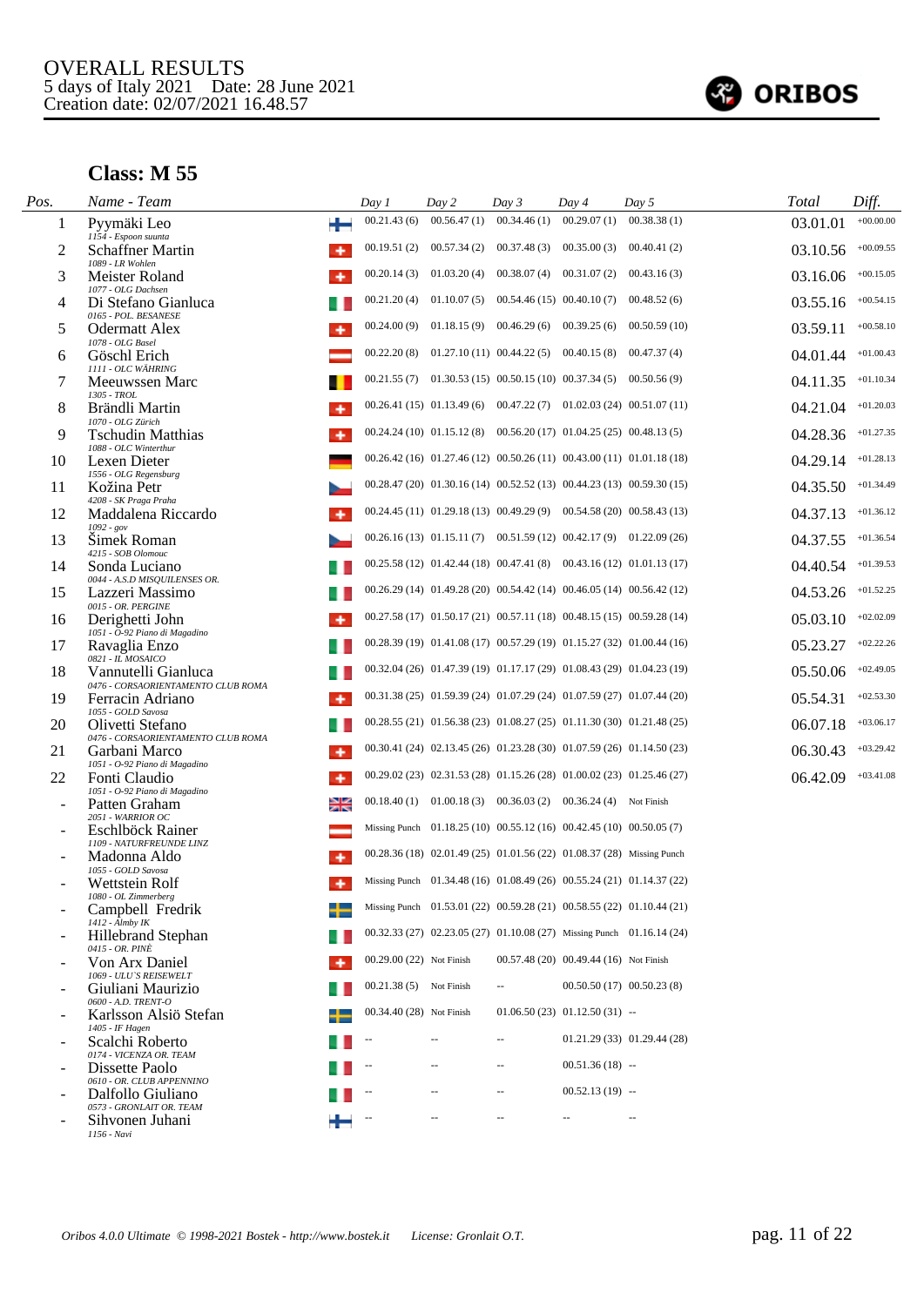

| Pos. | Name - Team                                                      | Day 1                    | Day 2                                                                    | Day 3                                      | Day 4                                  | Day 5                                                                     | Total    | Diff.       |
|------|------------------------------------------------------------------|--------------------------|--------------------------------------------------------------------------|--------------------------------------------|----------------------------------------|---------------------------------------------------------------------------|----------|-------------|
| 1    | ₩<br>Pyymäki Leo<br>1154 - Espoon suunta                         | 00.21.43(6)              | 00.56.47(1)                                                              | 00.34.46(1)                                | 00.29.07(1)                            | 00.38.38(1)                                                               | 03.01.01 | $+00.00.00$ |
| 2    | Schaffner Martin<br>۰                                            | 00.19.51(2)              |                                                                          | $00.57.34(2)$ $00.37.48(3)$ $00.35.00(3)$  |                                        | 00.40.41(2)                                                               | 03.10.56 | $+00.09.55$ |
| 3    | 1089 - LR Wohlen<br>Meister Roland                               | 00.20.14(3)              | 01.03.20(4)                                                              |                                            | $00.38.07(4)$ $00.31.07(2)$            | 00.43.16(3)                                                               | 03.16.06 | $+00.15.05$ |
| 4    | 1077 - OLG Dachsen<br>Di Stefano Gianluca                        | 00.21.20(4)              |                                                                          | $01.10.07(5)$ $00.54.46(15)$ $00.40.10(7)$ |                                        | 00.48.52(6)                                                               | 03.55.16 | $+00.54.15$ |
| 5    | 0165 - POL. BESANESE<br><b>Odermatt Alex</b><br>۰                | 00.24.00(9)              |                                                                          | $01.18.15(9)$ $00.46.29(6)$ $00.39.25(6)$  |                                        | 00.50.59(10)                                                              | 03.59.11 | $+00.58.10$ |
| 6    | 1078 - OLG Basel<br>Göschl Erich                                 | 00.22.20(8)              |                                                                          | $01.27.10(11)$ $00.44.22(5)$ $00.40.15(8)$ |                                        | 00.47.37(4)                                                               | 04.01.44 | $+01.00.43$ |
|      | 1111 - OLC WÄHRING<br>Meeuwssen Marc                             |                          | $00.21.55(7)$ $01.30.53(15)$ $00.50.15(10)$ $00.37.34(5)$ $00.50.56(9)$  |                                            |                                        |                                                                           | 04.11.35 | $+01.10.34$ |
| 8    | 1305 - TROL<br>Brändli Martin                                    |                          |                                                                          |                                            |                                        | $00.26.41(15)$ $01.13.49(6)$ $00.47.22(7)$ $01.02.03(24)$ $00.51.07(11)$  | 04.21.04 | $+01.20.03$ |
| 9    | 1070 - OLG Zürich<br><b>Tschudin Matthias</b>                    |                          | $00.24.24(10)$ $01.15.12(8)$ $00.56.20(17)$ $01.04.25(25)$ $00.48.13(5)$ |                                            |                                        |                                                                           | 04.28.36 | $+01.27.35$ |
| 10   | 1088 - OLC Winterthur<br>Lexen Dieter                            |                          |                                                                          |                                            |                                        | 00.26.42 (16) 01.27.46 (12) 00.50.26 (11) 00.43.00 (11) 01.01.18 (18)     | 04.29.14 | $+01.28.13$ |
| 11   | 1556 - OLG Regensburg<br>Kožina Petr                             |                          |                                                                          |                                            |                                        | 00.28.47 (20) 01.30.16 (14) 00.52.52 (13) 00.44.23 (13) 00.59.30 (15)     | 04.35.50 | $+01.34.49$ |
| 12   | 4208 - SK Praga Praha<br>Maddalena Riccardo                      |                          |                                                                          |                                            |                                        | 00.24.45 (11) 01.29.18 (13) 00.49.29 (9) 00.54.58 (20) 00.58.43 (13)      | 04.37.13 | $+01.36.12$ |
| 13   | $1092 - gov$<br>Simek Roman                                      |                          |                                                                          |                                            |                                        | $00.26.16(13)$ $01.15.11(7)$ $00.51.59(12)$ $00.42.17(9)$ $01.22.09(26)$  | 04.37.55 | $+01.36.54$ |
| 14   | 4215 - SOB Olomouc<br>Sonda Luciano                              |                          |                                                                          |                                            |                                        | 00.25.58 (12) 01.42.44 (18) 00.47.41 (8) 00.43.16 (12) 01.01.13 (17)      | 04.40.54 | $+01.39.53$ |
| 15   | 0044 - A.S.D MISQUILENSES OR.<br>Lazzeri Massimo                 |                          |                                                                          |                                            |                                        | 00.26.29 (14) 01.49.28 (20) 00.54.42 (14) 00.46.05 (14) 00.56.42 (12)     | 04.53.26 | $+01.52.25$ |
| 16   | 0015 - OR. PERGINE<br>Derighetti John                            |                          |                                                                          |                                            |                                        | 00.27.58 (17) 01.50.17 (21) 00.57.11 (18) 00.48.15 (15) 00.59.28 (14)     | 05.03.10 | $+02.02.09$ |
| 17   | 1051 - O-92 Piano di Magadino<br>Ravaglia Enzo                   |                          |                                                                          |                                            |                                        | 00.28.39 (19) 01.41.08 (17) 00.57.29 (19) 01.15.27 (32) 01.00.44 (16)     | 05.23.27 | $+02.22.26$ |
| 18   | 0821 - IL MOSAICO<br>Vannutelli Gianluca                         |                          |                                                                          |                                            |                                        | 00.32.04 (26) 01.47.39 (19) 01.17.17 (29) 01.08.43 (29) 01.04.23 (19)     | 05.50.06 | $+02.49.05$ |
| 19   | 0476 - CORSAORIENTAMENTO CLUB ROMA<br>Ferracin Adriano<br>۰      |                          |                                                                          |                                            |                                        | 00.31.38 (25) 01.59.39 (24) 01.07.29 (24) 01.07.59 (27) 01.07.44 (20)     | 05.54.31 | $+02.53.30$ |
| 20   | 1055 - GOLD Savosa<br>Olivetti Stefano                           |                          |                                                                          |                                            |                                        | 00.28.55 (21) 01.56.38 (23) 01.08.27 (25) 01.11.30 (30) 01.21.48 (25)     | 06.07.18 | $+03.06.17$ |
| 21   | 0476 - CORSAORIENTAMENTO CLUB ROMA<br>Garbani Marco              |                          |                                                                          |                                            |                                        | 00.30.41 (24) 02.13.45 (26) 01.23.28 (30) 01.07.59 (26) 01.14.50 (23)     | 06.30.43 | $+03.29.42$ |
| 22   | 1051 - O-92 Piano di Magadino<br>Fonti Claudio<br>۰              |                          |                                                                          |                                            |                                        | 00.29.02 (23) 02.31.53 (28) 01.15.26 (28) 01.00.02 (23) 01.25.46 (27)     | 06.42.09 | $+03.41.08$ |
|      | 1051 - O-92 Piano di Magadino<br>≱≼<br>Patten Graham             |                          | 00.18.40 (1) 01.00.18 (3) 00.36.03 (2) 00.36.24 (4) Not Finish           |                                            |                                        |                                                                           |          |             |
|      | $2051$ - $\ensuremath{\textit{WARRIOR}\ OC}$<br>Eschlböck Rainer |                          | Missing Punch 01.18.25 (10) 00.55.12 (16) 00.42.45 (10) 00.50.05 (7)     |                                            |                                        |                                                                           |          |             |
|      | 1109 - NATURFREUNDE LINZ<br>Madonna Aldo                         |                          | 00.28.36 (18) 02.01.49 (25) 01.01.56 (22) 01.08.37 (28) Missing Punch    |                                            |                                        |                                                                           |          |             |
|      | 1055 - GOLD Savosa<br>Wettstein Rolf                             |                          |                                                                          |                                            |                                        | Missing Punch 01.34.48 (16) 01.08.49 (26) 00.55.24 (21) 01.14.37 (22)     |          |             |
|      | 1080 - OL Zimmerberg<br>Campbell Fredrik                         |                          |                                                                          |                                            |                                        | Missing Punch 01.53.01 (22) 00.59.28 (21) 00.58.55 (22) 01.10.44 (21)     |          |             |
|      | $1412 - Almby IK$<br>Hillebrand Stephan                          |                          |                                                                          |                                            |                                        | $00.32.33(27)$ $02.23.05(27)$ $01.10.08(27)$ Missing Punch $01.16.14(24)$ |          |             |
|      | 0415 - OR. PINÈ<br>Von Arx Daniel<br>۰                           | 00.29.00 (22) Not Finish |                                                                          |                                            | 00.57.48 (20) 00.49.44 (16) Not Finish |                                                                           |          |             |
|      | 1069 - ULU'S REISEWELT<br>Giuliani Maurizio                      | 00.21.38 (5) Not Finish  |                                                                          | $\sim$ $\sim$                              |                                        | $00.50.50(17)$ $00.50.23(8)$                                              |          |             |
|      | 0600 - A.D. TRENT-O                                              | 00.34.40 (28) Not Finish |                                                                          |                                            | $01.06.50(23)$ $01.12.50(31)$ --       |                                                                           |          |             |
|      | Karlsson Alsiö Stefan<br>1405 - IF Hagen                         |                          |                                                                          | $\overline{\phantom{a}}$                   |                                        | $01.21.29(33)$ $01.29.44(28)$                                             |          |             |
|      | Scalchi Roberto<br>0174 - VICENZA OR. TEAM                       |                          |                                                                          |                                            |                                        |                                                                           |          |             |
|      | Dissette Paolo<br>0610 - OR. CLUB APPENNINO                      |                          |                                                                          |                                            | $00.51.36(18) -$                       |                                                                           |          |             |
|      | Dalfollo Giuliano<br>0573 - GRONLAIT OR. TEAM                    |                          |                                                                          | $\overline{a}$                             | $00.52.13(19) -$                       |                                                                           |          |             |
|      | Sihvonen Juhani<br>1156 - Navi                                   |                          |                                                                          | $\qquad \qquad -$                          | $\overline{\phantom{a}}$               |                                                                           |          |             |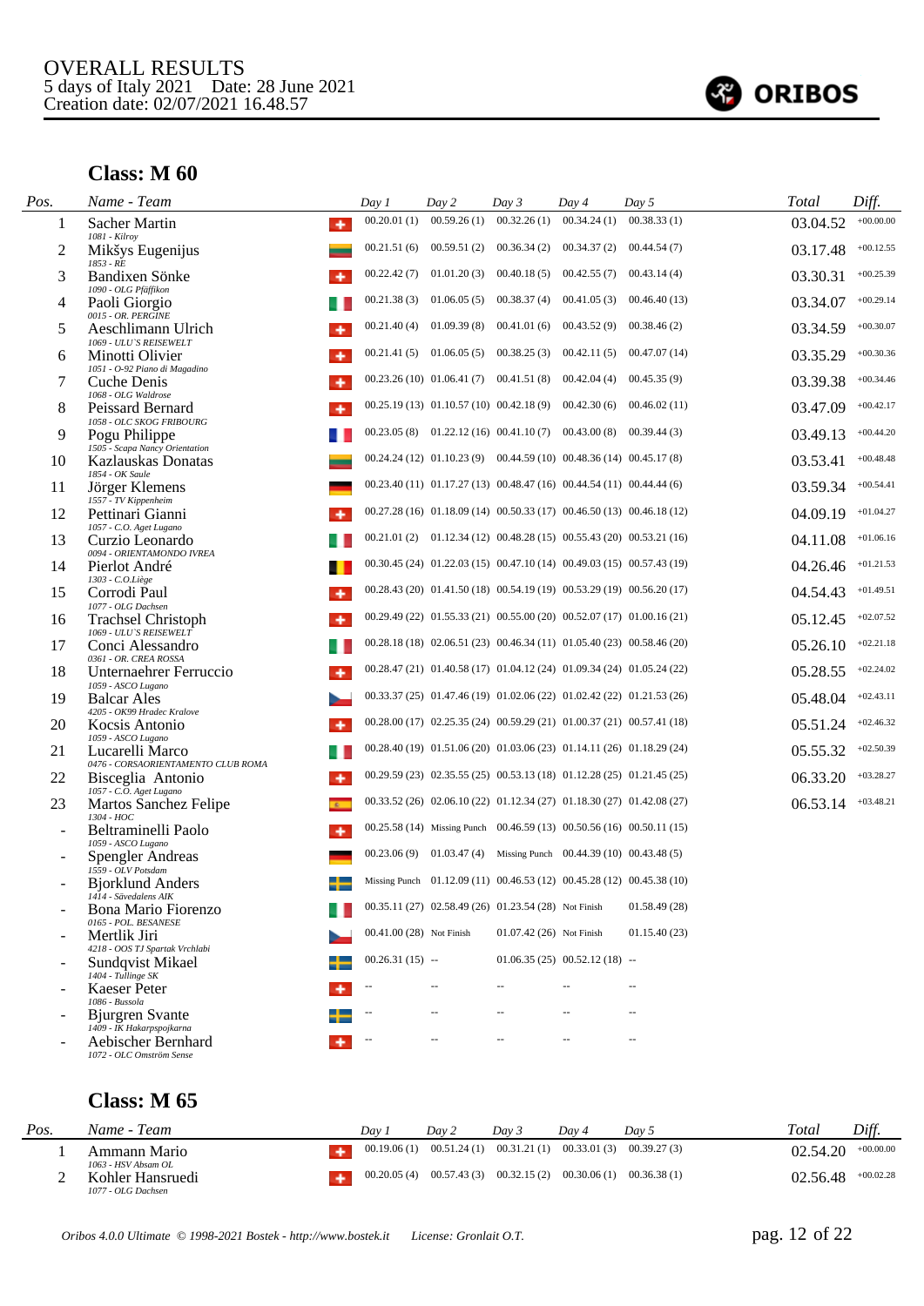

#### **Class: M 60**

l.

| Pos. | Name - Team                                                          | Day 1                    | Day 2                                                                     | Day 3                    | Day 4                                                 | Day 5                                                                      | <b>Total</b> | Diff.       |
|------|----------------------------------------------------------------------|--------------------------|---------------------------------------------------------------------------|--------------------------|-------------------------------------------------------|----------------------------------------------------------------------------|--------------|-------------|
| 1    | Sacher Martin<br>۰<br>1081 - Kilroy                                  | 00.20.01(1)              | 00.59.26(1)                                                               | 00.32.26(1)              | 00.34.24(1)                                           | 00.38.33(1)                                                                | 03.04.52     | $+00.00.00$ |
| 2    | Mikšys Eugenijus                                                     | 00.21.51(6)              | 00.59.51(2)                                                               | 00.36.34(2)              | 00.34.37(2)                                           | 00.44.54(7)                                                                | 03.17.48     | $+00.12.55$ |
| 3    | 1853 - RE<br>Bandixen Sönke                                          | 00.22.42(7)              | 01.01.20(3)                                                               | 00.40.18(5)              | 00.42.55(7)                                           | 00.43.14(4)                                                                | 03.30.31     | $+00.25.39$ |
| 4    | 1090 - OLG Pfäffikon<br>Paoli Giorgio                                | 00.21.38(3)              | 01.06.05(5)                                                               | 00.38.37(4)              | 00.41.05(3)                                           | 00.46.40(13)                                                               | 03.34.07     | $+00.29.14$ |
| 5    | 0015 - OR. PERGINE<br>Aeschlimann Ulrich<br>۰                        | 00.21.40(4)              | 01.09.39(8)                                                               | 00.41.01(6)              | 00.43.52(9)                                           | 00.38.46(2)                                                                | 03.34.59     | $+00.30.07$ |
| 6    | 1069 - ULU'S REISEWELT<br>Minotti Olivier                            | 00.21.41(5)              | 01.06.05(5)                                                               | 00.38.25(3)              | 00.42.11(5)                                           | 00.47.07(14)                                                               | 03.35.29     | $+00.30.36$ |
| 7    | 1051 - O-92 Piano di Magadino<br>Cuche Denis                         |                          | $00.23.26(10)$ $01.06.41(7)$ $00.41.51(8)$                                |                          | 00.42.04(4)                                           | 00.45.35(9)                                                                | 03.39.38     | $+00.34.46$ |
| 8    | 1068 - OLG Waldrose<br>Peissard Bernard<br>۰                         |                          | $00.25.19(13)$ $01.10.57(10)$ $00.42.18(9)$                               |                          | 00.42.30(6)                                           | 00.46.02(11)                                                               | 03.47.09     | $+00.42.17$ |
| 9    | 1058 - OLC SKOG FRIBOURG<br>Pogu Philippe                            |                          | $00.23.05(8)$ 01.22.12 (16) 00.41.10 (7) 00.43.00 (8)                     |                          |                                                       | 00.39.44(3)                                                                | 03.49.13     | $+00.44.20$ |
| 10   | 1505 - Scapa Nancy Orientation<br>Kazlauskas Donatas                 |                          | $00.24.24(12)$ $01.10.23(9)$ $00.44.59(10)$ $00.48.36(14)$ $00.45.17(8)$  |                          |                                                       |                                                                            | 03.53.41     | $+00.48.48$ |
| 11   | 1854 - OK Saule<br>Jörger Klemens                                    |                          | $00.23.40(11)$ $01.17.27(13)$ $00.48.47(16)$ $00.44.54(11)$ $00.44.44(6)$ |                          |                                                       |                                                                            | 03.59.34     | $+00.54.41$ |
| 12   | 1557 - TV Kippenheim<br>Pettinari Gianni                             |                          |                                                                           |                          |                                                       | $00.27.28(16)$ $01.18.09(14)$ $00.50.33(17)$ $00.46.50(13)$ $00.46.18(12)$ | 04.09.19     | $+01.04.27$ |
| 13   | 1057 - C.O. Aget Lugano<br>Curzio Leonardo                           |                          |                                                                           |                          |                                                       | $00.21.01(2)$ $01.12.34(12)$ $00.48.28(15)$ $00.55.43(20)$ $00.53.21(16)$  | 04.11.08     | $+01.06.16$ |
| 14   | 0094 - ORIENTAMONDO IVREA<br>Pierlot André                           |                          |                                                                           |                          |                                                       | 00.30.45 (24) 01.22.03 (15) 00.47.10 (14) 00.49.03 (15) 00.57.43 (19)      | 04.26.46     | $+01.21.53$ |
| 15   | 1303 - C.O.Liège<br>Corrodi Paul<br>۰                                |                          |                                                                           |                          |                                                       | $00.28.43(20)$ $01.41.50(18)$ $00.54.19(19)$ $00.53.29(19)$ $00.56.20(17)$ | 04.54.43     | $+01.49.51$ |
| 16   | 1077 - OLG Dachsen<br><b>Trachsel Christoph</b>                      |                          |                                                                           |                          |                                                       | $00.29.49(22)$ $01.55.33(21)$ $00.55.00(20)$ $00.52.07(17)$ $01.00.16(21)$ | 05.12.45     | $+02.07.52$ |
| 17   | 1069 - ULU'S REISEWELT<br>Conci Alessandro                           |                          |                                                                           |                          |                                                       | 00.28.18 (18) 02.06.51 (23) 00.46.34 (11) 01.05.40 (23) 00.58.46 (20)      | 05.26.10     | $+02.21.18$ |
| 18   | 0361 - OR. CREA ROSSA<br>Unternaehrer Ferruccio                      |                          |                                                                           |                          |                                                       | 00.28.47 (21) 01.40.58 (17) 01.04.12 (24) 01.09.34 (24) 01.05.24 (22)      | 05.28.55     | $+02.24.02$ |
| 19   | 1059 - ASCO Lugano<br><b>Balcar Ales</b>                             |                          | 00.33.37 (25) 01.47.46 (19) 01.02.06 (22) 01.02.42 (22) 01.21.53 (26)     |                          |                                                       |                                                                            | 05.48.04     | $+02.43.11$ |
| 20   | 4205 - OK99 Hradec Kralove<br>Kocsis Antonio<br>۰                    |                          |                                                                           |                          |                                                       | 00.28.00 (17) 02.25.35 (24) 00.59.29 (21) 01.00.37 (21) 00.57.41 (18)      | 05.51.24     | $+02.46.32$ |
| 21   | 1059 - ASCO Lugano<br>Lucarelli Marco                                |                          |                                                                           |                          |                                                       | 00.28.40 (19) 01.51.06 (20) 01.03.06 (23) 01.14.11 (26) 01.18.29 (24)      | 05.55.32     | $+02.50.39$ |
| 22   | 0476 - CORSAORIENTAMENTO CLUB ROMA<br>Bisceglia Antonio<br>۰         |                          |                                                                           |                          |                                                       | $00.29.59(23)$ $02.35.55(25)$ $00.53.13(18)$ $01.12.28(25)$ $01.21.45(25)$ | 06.33.20     | $+03.28.27$ |
| 23   | 1057 - C.O. Aget Lugano<br>Martos Sanchez Felipe                     |                          |                                                                           |                          |                                                       | $00.33.52(26)$ $02.06.10(22)$ $01.12.34(27)$ $01.18.30(27)$ $01.42.08(27)$ | 06.53.14     | $+03.48.21$ |
|      | 1304 - HOC<br>Beltraminelli Paolo                                    |                          |                                                                           |                          |                                                       | 00.25.58 (14) Missing Punch 00.46.59 (13) 00.50.56 (16) 00.50.11 (15)      |              |             |
|      | 1059 - ASCO Lugano<br>Spengler Andreas                               | 00.23.06(9)              |                                                                           |                          | 01.03.47 (4) Missing Punch $00.44.39(10) 00.43.48(5)$ |                                                                            |              |             |
|      | 1559 - OLV Potsdam<br><b>Biorklund Anders</b>                        |                          | Missing Punch 01.12.09 (11) 00.46.53 (12) 00.45.28 (12) 00.45.38 (10)     |                          |                                                       |                                                                            |              |             |
|      | 1414 - Sävedalens AIK<br>Bona Mario Fiorenzo<br>0165 - POL. BESANESE |                          | 00.35.11 (27) 02.58.49 (26) 01.23.54 (28) Not Finish                      |                          |                                                       | 01.58.49(28)                                                               |              |             |
|      | Mertlik Jiri                                                         | 00.41.00 (28) Not Finish |                                                                           | 01.07.42 (26) Not Finish |                                                       | 01.15.40(23)                                                               |              |             |
|      | 4218 - OOS TJ Spartak Vrchlabi<br>Sundqvist Mikael                   | $00.26.31(15)$ --        |                                                                           |                          | $01.06.35(25)$ $00.52.12(18)$ --                      |                                                                            |              |             |
|      | 1404 - Tullinge SK<br><b>Kaeser Peter</b><br>1086 - Bussola          |                          | $-$                                                                       |                          |                                                       | 44                                                                         |              |             |
|      | <b>Biurgren Svante</b><br>1409 - IK Hakarpspojkarna                  |                          | $\overline{a}$                                                            | $\sim$                   | $\sim$                                                | $\sim$                                                                     |              |             |
|      | Aebischer Bernhard<br>1072 - OLC Omström Sense                       |                          | --                                                                        | $\overline{a}$           |                                                       | $\sim$ $\sim$                                                              |              |             |
|      |                                                                      |                          |                                                                           |                          |                                                       |                                                                            |              |             |

| Pos. | Name - Team                            | Dav | Day 2                                                                 | Dav 3 | Dav 4 | Dav 5 | Total    | Diff.       |
|------|----------------------------------------|-----|-----------------------------------------------------------------------|-------|-------|-------|----------|-------------|
|      | Ammann Mario<br>1063 - HSV Absam OL    |     | $00.19.06(1)$ $00.51.24(1)$ $00.31.21(1)$ $00.33.01(3)$ $00.39.27(3)$ |       |       |       | 02.54.20 | $+00.00.00$ |
|      | Kohler Hansruedi<br>1077 - OLG Dachsen |     | $00.20.05(4)$ $00.57.43(3)$ $00.32.15(2)$ $00.30.06(1)$ $00.36.38(1)$ |       |       |       | 02.56.48 | $+00.02.28$ |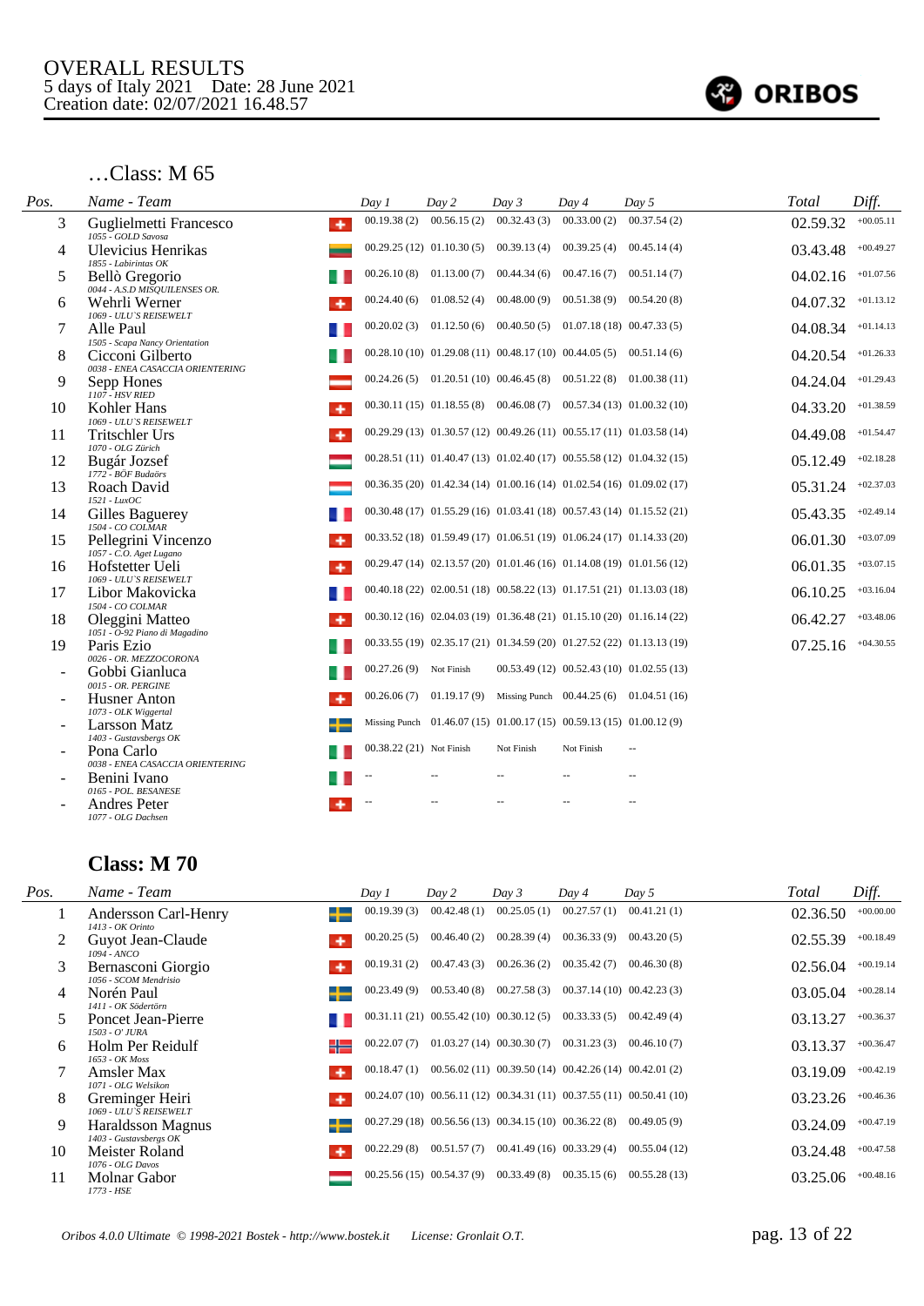

#### …Class: M 65

| Pos. | Name - Team                                            | Day 1                    | Day 2                                      | Day 3                       | Day 4                                                                    | Day 5                                                                      | Total    | Diff.       |
|------|--------------------------------------------------------|--------------------------|--------------------------------------------|-----------------------------|--------------------------------------------------------------------------|----------------------------------------------------------------------------|----------|-------------|
| 3    | Guglielmetti Francesco<br>۰<br>1055 - GOLD Savosa      | 00.19.38(2)              | 00.56.15(2)                                | 00.32.43(3)                 | 00.33.00(2)                                                              | 00.37.54(2)                                                                | 02.59.32 | $+00.05.11$ |
| 4    | Ulevicius Henrikas<br>1855 - Labirintas OK             |                          | $00.29.25(12)$ $01.10.30(5)$ $00.39.13(4)$ |                             | 00.39.25(4)                                                              | 00.45.14(4)                                                                | 03.43.48 | $+00.49.27$ |
| 5    | Bellò Gregorio<br>0044 - A.S.D MISQUILENSES OR.        | 00.26.10(8)              |                                            | $01.13.00(7)$ $00.44.34(6)$ | 00.47.16(7)                                                              | 00.51.14(7)                                                                | 04.02.16 | $+01.07.56$ |
| 6    | Wehrli Werner<br>1069 - ULU'S REISEWELT                | 00.24.40(6)              | 01.08.52(4)                                | 00.48.00(9)                 | 00.51.38(9)                                                              | 00.54.20(8)                                                                | 04.07.32 | $+01.13.12$ |
| 7    | Alle Paul<br>1505 - Scapa Nancy Orientation            |                          |                                            |                             | $00.20.02(3)$ $01.12.50(6)$ $00.40.50(5)$ $01.07.18(18)$ $00.47.33(5)$   |                                                                            | 04.08.34 | $+01.14.13$ |
| 8    | Cicconi Gilberto<br>0038 - ENEA CASACCIA ORIENTERING   |                          |                                            |                             | $00.28.10(10)$ $01.29.08(11)$ $00.48.17(10)$ $00.44.05(5)$ $00.51.14(6)$ |                                                                            | 04.20.54 | $+01.26.33$ |
| 9    | Sepp Hones<br>1107 HSV RIED                            |                          | $00.24.26(5)$ $01.20.51(10)$ $00.46.45(8)$ |                             | 00.51.22(8)                                                              | 01.00.38(11)                                                               | 04.24.04 | $+01.29.43$ |
| 10   | Kohler Hans<br>1069 - ULU'S REISEWELT                  |                          |                                            |                             |                                                                          | $00.30.11(15)$ $01.18.55(8)$ $00.46.08(7)$ $00.57.34(13)$ $01.00.32(10)$   | 04.33.20 | $+01.38.59$ |
| 11   | <b>Tritschler Urs</b><br>1070 - OLG Zürich             |                          |                                            |                             |                                                                          | $00.29.29(13)$ $01.30.57(12)$ $00.49.26(11)$ $00.55.17(11)$ $01.03.58(14)$ | 04.49.08 | $+01.54.47$ |
| 12   | Bugár Jozsef<br>1772 - BÖF Budaörs                     |                          |                                            |                             |                                                                          | $00.28.51(11)$ $01.40.47(13)$ $01.02.40(17)$ $00.55.58(12)$ $01.04.32(15)$ | 05.12.49 | $+02.18.28$ |
| 13   | Roach David<br>1521 - LuxOC                            |                          |                                            |                             |                                                                          | $00.36.35(20)$ $01.42.34(14)$ $01.00.16(14)$ $01.02.54(16)$ $01.09.02(17)$ | 05.31.24 | $+02.37.03$ |
| 14   | Gilles Baguerey<br>1504 - CO COLMAR                    |                          |                                            |                             |                                                                          | $00.30.48(17)$ $01.55.29(16)$ $01.03.41(18)$ $00.57.43(14)$ $01.15.52(21)$ | 05.43.35 | $+02.49.14$ |
| 15   | Pellegrini Vincenzo<br>1057 - C.O. Aget Lugano         |                          |                                            |                             |                                                                          | $00.33.52(18)$ $01.59.49(17)$ $01.06.51(19)$ $01.06.24(17)$ $01.14.33(20)$ | 06.01.30 | $+03.07.09$ |
| 16   | Hofstetter Ueli<br>٠<br>1069 - ULU'S REISEWELT         |                          |                                            |                             |                                                                          | $00.29.47(14)$ $02.13.57(20)$ $01.01.46(16)$ $01.14.08(19)$ $01.01.56(12)$ | 06.01.35 | $+03.07.15$ |
| 17   | Libor Makovicka<br>1504 - CO COLMAR                    |                          |                                            |                             |                                                                          | 00.40.18 (22) 02.00.51 (18) 00.58.22 (13) 01.17.51 (21) 01.13.03 (18)      | 06.10.25 | $+03.16.04$ |
| 18   | Oleggini Matteo<br>1051 - O-92 Piano di Magadino       |                          |                                            |                             |                                                                          | $00.30.12(16)$ $02.04.03(19)$ $01.36.48(21)$ $01.15.10(20)$ $01.16.14(22)$ | 06.42.27 | $+03.48.06$ |
| 19   | Paris Ezio<br>0026 - OR. MEZZOCORONA                   |                          |                                            |                             |                                                                          | 00.33.55 (19) 02.35.17 (21) 01.34.59 (20) 01.27.52 (22) 01.13.13 (19)      | 07.25.16 | $+04.30.55$ |
|      | Gobbi Gianluca<br>0015 - OR. PERGINE                   | 00.27.26(9)              | Not Finish                                 |                             |                                                                          | $00.53.49(12)$ $00.52.43(10)$ $01.02.55(13)$                               |          |             |
|      | <b>Husner</b> Anton<br>$\cdot$<br>1073 - OLK Wiggertal | 00.26.06(7)              |                                            |                             |                                                                          | 01.19.17 (9) Missing Punch $00.44.25(6)$ 01.04.51 (16)                     |          |             |
|      | Larsson Matz<br>1403 - Gustavsbergs OK                 |                          |                                            |                             | Missing Punch 01.46.07 (15) 01.00.17 (15) 00.59.13 (15) 01.00.12 (9)     |                                                                            |          |             |
|      | Pona Carlo<br>0038 - ENEA CASACCIA ORIENTERING         | 00.38.22 (21) Not Finish |                                            | Not Finish                  | Not Finish                                                               |                                                                            |          |             |
|      | Benini Ivano<br>0165 - POL. BESANESE                   |                          |                                            |                             |                                                                          |                                                                            |          |             |
|      | <b>Andres Peter</b><br>1077 - OLG Dachsen              |                          |                                            |                             |                                                                          |                                                                            |          |             |

| Pos. | Name - Team                                 | Day 1       | Day 2                                                      | Day 3                                                      | Day 4                                      | Day 5                                                                 | Total    | Diff.       |
|------|---------------------------------------------|-------------|------------------------------------------------------------|------------------------------------------------------------|--------------------------------------------|-----------------------------------------------------------------------|----------|-------------|
|      | Andersson Carl-Henry<br>1413 - OK Orinto    | 00.19.39(3) | 00.42.48(1)                                                | 00.25.05(1)                                                | 00.27.57(1)                                | 00.41.21(1)                                                           | 02.36.50 | $+00.00.00$ |
| 2    | Guyot Jean-Claude<br>1094 - ANCO            | 00.20.25(5) | 00.46.40(2)                                                | 00.28.39(4)                                                | 00.36.33(9)                                | 00.43.20(5)                                                           | 02.55.39 | $+00.18.49$ |
| 3    | Bernasconi Giorgio<br>1056 - SCOM Mendrisio | 00.19.31(2) | 00.47.43(3)                                                | 00.26.36(2)                                                | 00.35.42(7)                                | 00.46.30(8)                                                           | 02.56.04 | $+00.19.14$ |
| 4    | Norén Paul<br>1411 - OK Södertörn           | 00.23.49(9) | 00.53.40(8)                                                |                                                            | $00.27.58(3)$ $00.37.14(10)$ $00.42.23(3)$ |                                                                       | 03.05.04 | $+00.28.14$ |
| 5.   | Poncet Jean-Pierre<br>1503 - O' JURA        |             | $00.31.11(21)$ $00.55.42(10)$ $00.30.12(5)$ $00.33.33(5)$  |                                                            |                                            | 00.42.49(4)                                                           | 03.13.27 | $+00.36.37$ |
| 6    | Holm Per Reidulf<br>1653 - OK Moss          | 00.22.07(7) |                                                            | $01.03.27(14)$ $00.30.30(7)$                               | 00.31.23(3)                                | 00.46.10(7)                                                           | 03.13.37 | $+00.36.47$ |
|      | Amsler Max<br>1071 - OLG Welsikon           | 00.18.47(1) |                                                            | $00.56.02(11)$ $00.39.50(14)$ $00.42.26(14)$ $00.42.01(2)$ |                                            |                                                                       | 03.19.09 | $+00.42.19$ |
| 8    | Greminger Heiri<br>1069 - ULU'S REISEWELT   |             |                                                            |                                                            |                                            | 00.24.07 (10) 00.56.11 (12) 00.34.31 (11) 00.37.55 (11) 00.50.41 (10) | 03.23.26 | $+00.46.36$ |
| 9    | Haraldsson Magnus<br>1403 - Gustavsbergs OK |             | $00.27.29(18)$ $00.56.56(13)$ $00.34.15(10)$ $00.36.22(8)$ |                                                            |                                            | 00.49.05(9)                                                           | 03.24.09 | $+00.47.19$ |
| 10   | Meister Roland<br>1076 - OLG Davos          | 00.22.29(8) | 00.51.57(7)                                                |                                                            | $00.41.49(16)$ $00.33.29(4)$               | 00.55.04(12)                                                          | 03.24.48 | $+00.47.58$ |
| 11   | Molnar Gabor<br>1773 - HSE                  |             | $00.25.56(15)$ $00.54.37(9)$                               | 00.33.49(8)                                                | 00.35.15(6)                                | 00.55.28(13)                                                          | 03.25.06 | $+00.48.16$ |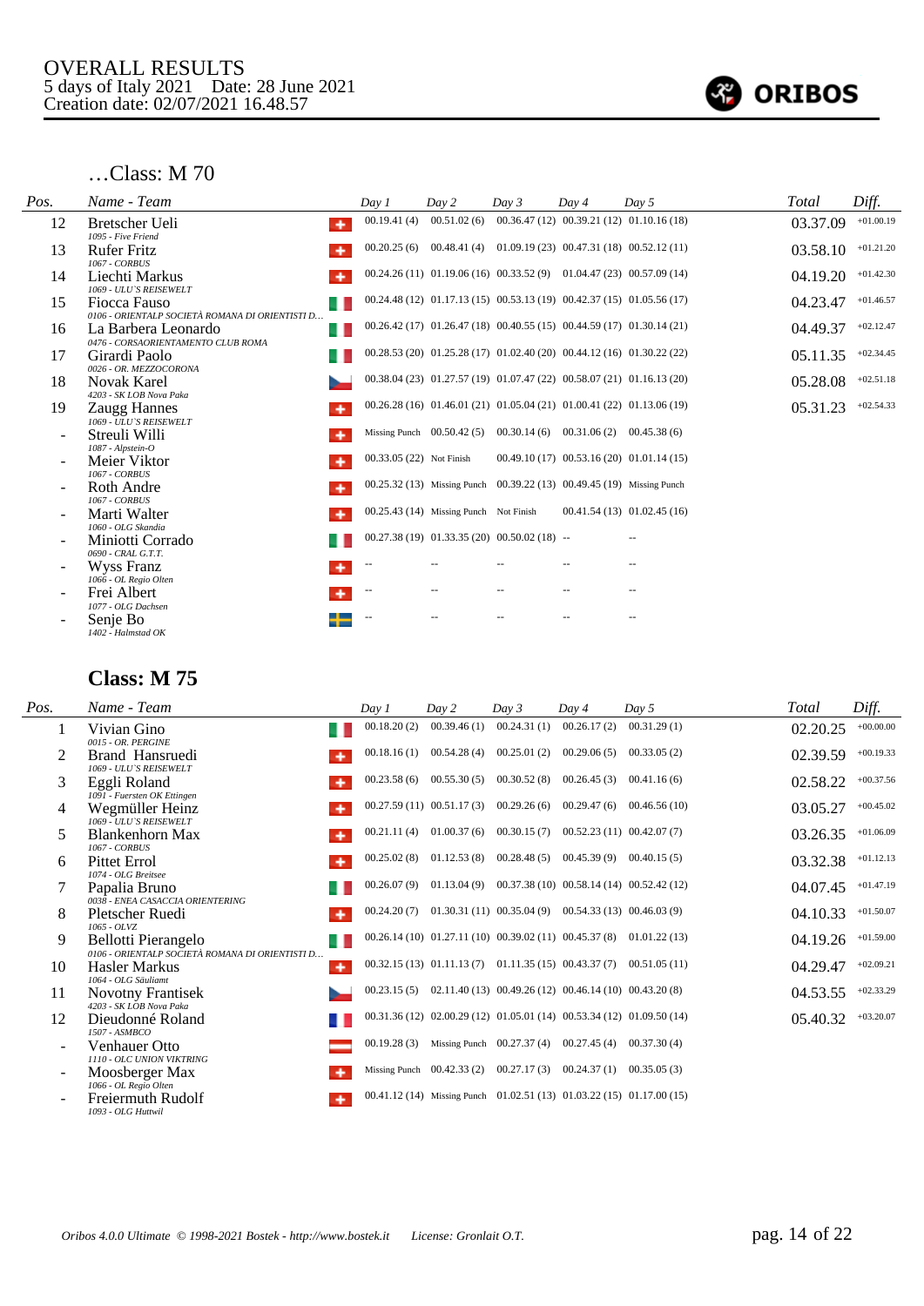

#### …Class: M 70

| Pos. | Name - Team                                                     | Day 1                    | Day 2                                  | Day 3                                                                      | Day 4                    | Day 5                                                                      | Total    | Diff.       |
|------|-----------------------------------------------------------------|--------------------------|----------------------------------------|----------------------------------------------------------------------------|--------------------------|----------------------------------------------------------------------------|----------|-------------|
| 12   | Bretscher Ueli<br>٠<br>1095 - Five Friend                       | 00.19.41(4)              |                                        |                                                                            |                          | $00.51.02(6)$ $00.36.47(12)$ $00.39.21(12)$ $01.10.16(18)$                 | 03.37.09 | $+01.00.19$ |
| 13   | <b>Rufer Fritz</b><br><b>1067 - CORBUS</b>                      | 00.20.25(6)              |                                        |                                                                            |                          | 00.48.41 (4) 01.09.19 (23) 00.47.31 (18) 00.52.12 (11)                     | 03.58.10 | $+01.21.20$ |
| 14   | Liechti Markus<br>۰<br>1069 - ULU'S REISEWELT                   |                          |                                        |                                                                            |                          | $00.24.26(11)$ $01.19.06(16)$ $00.33.52(9)$ $01.04.47(23)$ $00.57.09(14)$  | 04.19.20 | $+01.42.30$ |
| 15   | Fiocca Fauso<br>0106 - ORIENTALP SOCIETÀ ROMANA DI ORIENTISTI D |                          |                                        |                                                                            |                          | $00.24.48(12)$ $01.17.13(15)$ $00.53.13(19)$ $00.42.37(15)$ $01.05.56(17)$ | 04.23.47 | $+01.46.57$ |
| 16   | La Barbera Leonardo<br>41<br>0476 - CORSAORIENTAMENTO CLUB ROMA |                          |                                        | $00.26.42(17)$ $01.26.47(18)$ $00.40.55(15)$ $00.44.59(17)$ $01.30.14(21)$ |                          |                                                                            | 04.49.37 | $+02.12.47$ |
| 17   | Girardi Paolo<br>0026 - OR. MEZZOCORONA                         |                          |                                        | 00.28.53 (20) 01.25.28 (17) 01.02.40 (20) 00.44.12 (16) 01.30.22 (22)      |                          |                                                                            | 05.11.35 | $+02.34.45$ |
| 18   | <b>Novak Karel</b><br>4203 - SK LOB Nova Paka                   |                          |                                        |                                                                            |                          | 00.38.04 (23) 01.27.57 (19) 01.07.47 (22) 00.58.07 (21) 01.16.13 (20)      | 05.28.08 | $+02.51.18$ |
| 19   | Zaugg Hannes<br>۰<br>1069 - ULU'S REISEWELT                     |                          |                                        |                                                                            |                          | $00.26.28(16)$ $01.46.01(21)$ $01.05.04(21)$ $01.00.41(22)$ $01.13.06(19)$ | 05.31.23 | $+02.54.33$ |
|      | Streuli Willi<br>1087 - Alpstein-O                              |                          |                                        | Missing Punch $00.50.42(5)$ $00.30.14(6)$ $00.31.06(2)$ $00.45.38(6)$      |                          |                                                                            |          |             |
|      | Meier Viktor<br>1067 - CORBUS                                   | 00.33.05 (22) Not Finish |                                        |                                                                            |                          | $00.49.10(17)$ $00.53.16(20)$ $01.01.14(15)$                               |          |             |
|      | Roth Andre<br>۰<br><b>1067 - CORBUS</b>                         |                          |                                        | 00.25.32 (13) Missing Punch 00.39.22 (13) 00.49.45 (19) Missing Punch      |                          |                                                                            |          |             |
|      | Marti Walter<br>1060 - OLG Skandia                              |                          | 00.25.43 (14) Missing Punch Not Finish |                                                                            |                          | 00.41.54(13) 01.02.45(16)                                                  |          |             |
|      | Miniotti Corrado<br>0690 - CRAL G.T.T.                          |                          |                                        | $00.27.38(19)$ $01.33.35(20)$ $00.50.02(18)$ --                            |                          |                                                                            |          |             |
|      | Wyss Franz<br>1066 - OL Regio Olten                             |                          |                                        |                                                                            |                          |                                                                            |          |             |
|      | Frei Albert<br>1077 - OLG Dachsen                               | $\overline{\phantom{m}}$ |                                        | $\qquad \qquad -$                                                          | $\overline{\phantom{a}}$ | $-$                                                                        |          |             |
|      | Senje Bo<br>1402 - Halmstad OK                                  |                          |                                        |                                                                            |                          | $\overline{\phantom{a}}$                                                   |          |             |

| Pos. | Name - Team                                                                  | Day 1       | Day 2                                                                     | Day 3                       | Day 4                                                      | Day 5                                                               | Total    | Diff.       |
|------|------------------------------------------------------------------------------|-------------|---------------------------------------------------------------------------|-----------------------------|------------------------------------------------------------|---------------------------------------------------------------------|----------|-------------|
|      | Vivian Gino<br>0015 - OR. PERGINE                                            | 00.18.20(2) | 00.39.46(1)                                                               | 00.24.31(1)                 | 00.26.17(2)                                                | 00.31.29(1)                                                         | 02.20.25 | $+00.00.00$ |
| 2    | Brand Hansruedi<br>1069 - ULU'S REISEWELT                                    | 00.18.16(1) |                                                                           | $00.54.28(4)$ $00.25.01(2)$ | 00.29.06(5)                                                | 00.33.05(2)                                                         | 02.39.59 | $+00.19.33$ |
| 3    | Eggli Roland<br>1091 - Fuersten OK Ettingen                                  | 00.23.58(6) | 00.55.30(5)                                                               | 00.30.52(8)                 | 00.26.45(3)                                                | 00.41.16(6)                                                         | 02.58.22 | $+00.37.56$ |
| 4    | Wegmüller Heinz<br>1069 - ULU'S REISEWELT                                    |             | $00.27.59(11)$ $00.51.17(3)$ $00.29.26(6)$                                |                             | 00.29.47(6)                                                | 00.46.56(10)                                                        | 03.05.27 | $+00.45.02$ |
| 5.   | Blankenhorn Max<br>۰<br><b>1067 - CORBUS</b>                                 | 00.21.11(4) |                                                                           |                             | $01.00.37(6)$ $00.30.15(7)$ $00.52.23(11)$ $00.42.07(7)$   |                                                                     | 03.26.35 | $+01.06.09$ |
| 6    | Pittet Errol                                                                 | 00.25.02(8) |                                                                           |                             | $01.12.53(8)$ $00.28.48(5)$ $00.45.39(9)$ $00.40.15(5)$    |                                                                     | 03.32.38 | $+01.12.13$ |
|      | 1074 - OLG Breitsee<br>Papalia Bruno                                         | 00.26.07(9) |                                                                           |                             | $01.13.04(9)$ $00.37.38(10)$ $00.58.14(14)$ $00.52.42(12)$ |                                                                     | 04.07.45 | $+01.47.19$ |
| 8    | 0038 - ENEA CASACCIA ORIENTERING<br>Pletscher Ruedi<br>۰                     | 00.24.20(7) |                                                                           |                             | $01.30.31(11)$ $00.35.04(9)$ $00.54.33(13)$ $00.46.03(9)$  |                                                                     | 04.10.33 | $+01.50.07$ |
| 9    | 1065 - OLVZ<br>Bellotti Pierangelo                                           |             | $00.26.14(10)$ $01.27.11(10)$ $00.39.02(11)$ $00.45.37(8)$ $01.01.22(13)$ |                             |                                                            |                                                                     | 04.19.26 | $+01.59.00$ |
| 10   | 0106 - ORIENTALP SOCIETÀ ROMANA DI ORIENTISTI D<br><b>Hasler Markus</b><br>٠ |             |                                                                           |                             |                                                            | 00.32.15 (13) 01.11.13 (7) 01.11.35 (15) 00.43.37 (7) 00.51.05 (11) | 04.29.47 | $+02.09.21$ |
| 11   | 1064 - OLG Säuliamt<br><b>Novotny Frantisek</b>                              | 00.23.15(5) |                                                                           |                             | $02.11.40(13)$ $00.49.26(12)$ $00.46.14(10)$ $00.43.20(8)$ |                                                                     | 04.53.55 | $+02.33.29$ |
| 12   | 4203 - SK LOB Nova Paka<br>Dieudonné Roland                                  |             | 00.31.36 (12) 02.00.29 (12) 01.05.01 (14) 00.53.34 (12) 01.09.50 (14)     |                             |                                                            |                                                                     | 05.40.32 | $+03.20.07$ |
|      | 1507 - ASMBCO<br>Venhauer Otto                                               | 00.19.28(3) |                                                                           |                             | Missing Punch $00.27.37(4)$ $00.27.45(4)$ $00.37.30(4)$    |                                                                     |          |             |
|      | 1110 - OLC UNION VIKTRING<br>Moosberger Max<br>۰                             |             | Missing Punch 00.42.33 (2) 00.27.17 (3) 00.24.37 (1) 00.35.05 (3)         |                             |                                                            |                                                                     |          |             |
|      | 1066 - OL Regio Olten<br>Freiermuth Rudolf<br>1093 - OLG Huttwil             |             | 00.41.12 (14) Missing Punch 01.02.51 (13) 01.03.22 (15) 01.17.00 (15)     |                             |                                                            |                                                                     |          |             |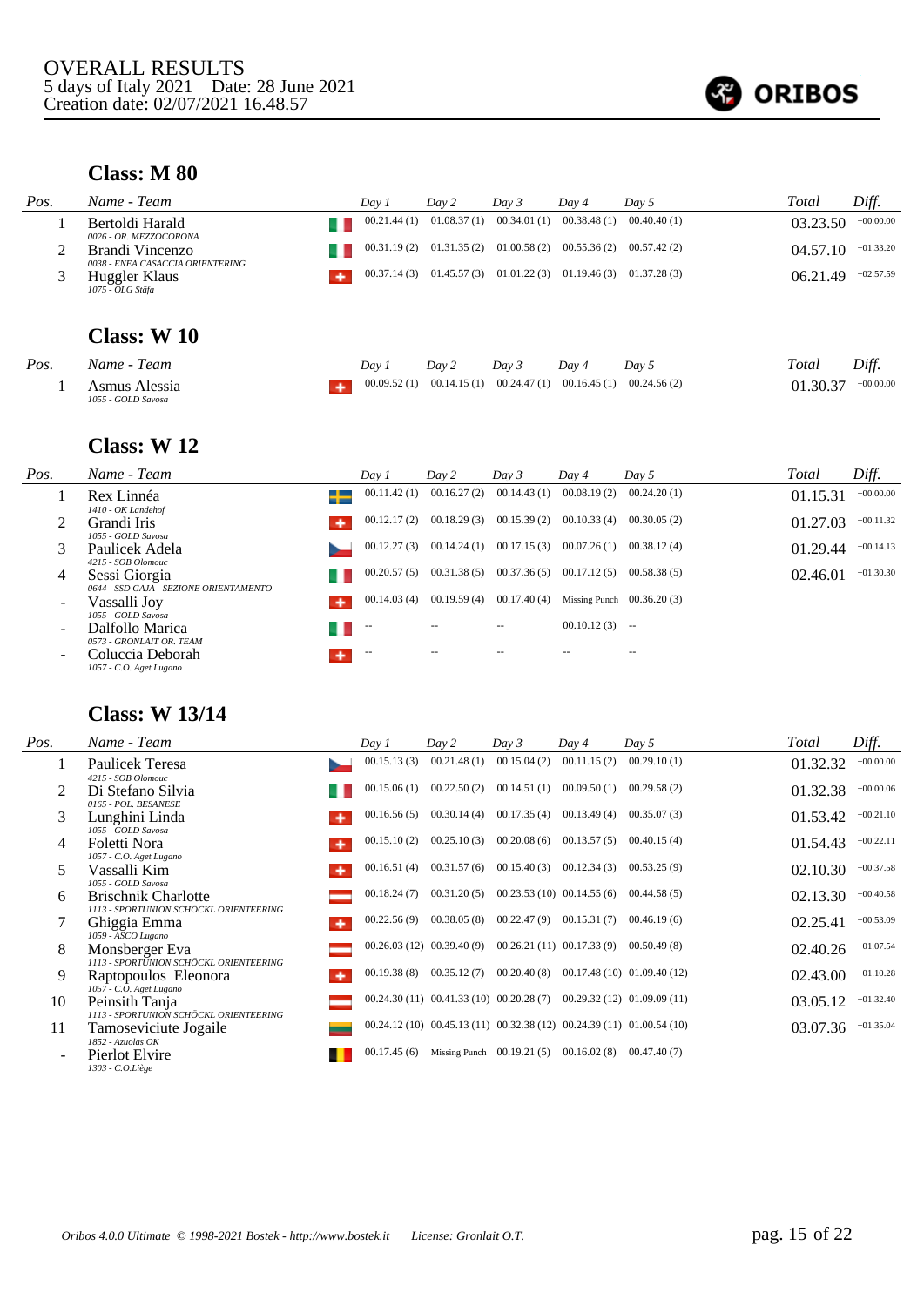

#### **Class: M 80**

| Pos. | Name - Team                                         | Dav 1       | Day 2                                                                 | Day 3 | Dav 4 | Day 5                                                   | Total    | Diff.       |
|------|-----------------------------------------------------|-------------|-----------------------------------------------------------------------|-------|-------|---------------------------------------------------------|----------|-------------|
|      | Bertoldi Harald<br>0026 - OR. MEZZOCORONA           | 00.21.44(1) |                                                                       |       |       | $01.08.37(1)$ $00.34.01(1)$ $00.38.48(1)$ $00.40.40(1)$ | 03.23.50 | $+00.00.00$ |
|      | Brandi Vincenzo<br>0038 - ENEA CASACCIA ORIENTERING |             | $00.31.19(2)$ $01.31.35(2)$ $01.00.58(2)$ $00.55.36(2)$ $00.57.42(2)$ |       |       |                                                         | 04.57.10 | $+01.33.20$ |
|      | Huggler Klaus<br>1075 - OLG Stäfa                   |             | $00.37.14(3)$ $01.45.57(3)$ $01.01.22(3)$ $01.19.46(3)$ $01.37.28(3)$ |       |       |                                                         | 06.21.49 | $+02.57.59$ |

### **Class: W 10**

| Pos. | eam<br>.√ame<br>.                     | Day         | Dav         | Dav 3       | Dav         | Dav <sub>5</sub> | Total          | Diff.       |
|------|---------------------------------------|-------------|-------------|-------------|-------------|------------------|----------------|-------------|
|      | Alessia<br>smus<br>1055 - GOLD Savosa | 00.09.52(1) | 00.14.15(1) | 00.24.47(1) | 00.16.45(1) | 00.24.56(2)      | 20.27<br>.30.3 | $+00.00.00$ |

#### **Class: W 12**

| Pos.                     | Name - Team                                                                       | Day 1       | Day 2         | Day 3       | Day 4                       | Day 5       | Total    | Diff.       |
|--------------------------|-----------------------------------------------------------------------------------|-------------|---------------|-------------|-----------------------------|-------------|----------|-------------|
|                          | Rex Linnéa<br>1410 - OK Landehof                                                  | 00.11.42(1) | 00.16.27(2)   | 00.14.43(1) | 00.08.19(2)                 | 00.24.20(1) | 01.15.31 | $+00.00.00$ |
|                          | Grandi Iris<br>۰<br>1055 - GOLD Savosa                                            | 00.12.17(2) | 00.18.29(3)   | 00.15.39(2) | 00.10.33(4)                 | 00.30.05(2) | 01.27.03 | $+00.11.32$ |
|                          | Paulicek Adela<br>4215 - SOB Olomouc                                              | 00.12.27(3) | 00.14.24(1)   | 00.17.15(3) | 00.07.26(1)                 | 00.38.12(4) | 01.29.44 | $+00.14.13$ |
| 4                        | Sessi Giorgia                                                                     | 00.20.57(5) | 00.31.38(5)   | 00.37.36(5) | 00.17.12(5)                 | 00.58.38(5) | 02.46.01 | $+01.30.30$ |
| $\overline{\phantom{a}}$ | 0644 - SSD GAJA - SEZIONE ORIENTAMENTO<br>Vassalli Joy<br>۰<br>1055 - GOLD Savosa | 00.14.03(4) | 00.19.59(4)   | 00.17.40(4) | Missing Punch $00.36.20(3)$ |             |          |             |
| $\sim$                   | Dalfollo Marica<br>0573 - GRONLAIT OR. TEAM                                       | $-$         | $\frac{1}{2}$ |             | $00.10.12(3)$ --            |             |          |             |
| $\overline{\phantom{0}}$ | Coluccia Deborah<br>1057 - C.O. Aget Lugano                                       | $-$         | $\frac{1}{2}$ | $- -$       |                             | $- -$       |          |             |

## **Class: W 13/14**

| Pos. | Name - Team                                                          | Day 1       | Day 2                                                                 | Day 3                       | Day 4                                      | Day 5                         | Total    | Diff.       |
|------|----------------------------------------------------------------------|-------------|-----------------------------------------------------------------------|-----------------------------|--------------------------------------------|-------------------------------|----------|-------------|
|      | Paulicek Teresa<br>4215 - SOB Olomouc                                | 00.15.13(3) | 00.21.48(1)                                                           | 00.15.04(2)                 | 00.11.15(2)                                | 00.29.10(1)                   | 01.32.32 | $+00.00.00$ |
|      | Di Stefano Silvia<br>0165 - POL. BESANESE                            | 00.15.06(1) | 00.22.50(2)                                                           | 00.14.51(1)                 | 00.09.50(1)                                | 00.29.58(2)                   | 01.32.38 | $+00.00.06$ |
| 3    | Lunghini Linda<br>1055 - GOLD Savosa                                 | 00.16.56(5) | 00.30.14(4)                                                           | 00.17.35(4)                 | 00.13.49(4)                                | 00.35.07(3)                   | 01.53.42 | $+00.21.10$ |
| 4    | Foletti Nora<br>۰<br>1057 - C.O. Aget Lugano                         | 00.15.10(2) | 00.25.10(3)                                                           | 00.20.08(6)                 | 00.13.57(5)                                | 00.40.15(4)                   | 01.54.43 | $+00.22.11$ |
| 5.   | Vassalli Kim<br>۰<br>1055 - GOLD Savosa                              | 00.16.51(4) | 00.31.57(6)                                                           | 00.15.40(3)                 | 00.12.34(3)                                | 00.53.25(9)                   | 02.10.30 | $+00.37.58$ |
| 6    | <b>Brischnik Charlotte</b><br>1113 - SPORTUNION SCHÖCKL ORIENTEERING | 00.18.24(7) | 00.31.20(5)                                                           |                             | $00.23.53(10)$ $00.14.55(6)$               | 00.44.58(5)                   | 02.13.30 | $+00.40.58$ |
|      | Ghiggia Emma<br>۰<br>1059 - ASCO Lugano                              | 00.22.56(9) | 00.38.05(8)                                                           | 00.22.47(9)                 | 00.15.31(7)                                | 00.46.19(6)                   | 02.25.41 | $+00.53.09$ |
| 8    | Monsberger Eva<br>1113 - SPORTUNION SCHÖCKL ORIENTEERING             |             | $00.26.03(12)$ $00.39.40(9)$                                          |                             | $00.26.21(11)$ $00.17.33(9)$ $00.50.49(8)$ |                               | 02.40.26 | $+01.07.54$ |
| 9    | Raptopoulos Eleonora<br>۰<br>1057 - C.O. Aget Lugano                 | 00.19.38(8) | 00.35.12(7)                                                           | 00.20.40(8)                 |                                            | $00.17.48(10)$ $01.09.40(12)$ | 02.43.00 | $+01.10.28$ |
| 10   | Peinsith Tanja<br>1113 - SPORTUNION SCHÖCKL ORIENTEERING             |             | $00.24.30(11)$ $00.41.33(10)$ $00.20.28(7)$                           |                             |                                            | 00.29.32(12) 01.09.09(11)     | 03.05.12 | $+01.32.40$ |
| 11   | Tamoseviciute Jogaile                                                |             | 00.24.12 (10) 00.45.13 (11) 00.32.38 (12) 00.24.39 (11) 01.00.54 (10) |                             |                                            |                               | 03.07.36 | $+01.35.04$ |
|      | 1852 - Azuolas OK<br>Pierlot Elvire<br>1303 - C.O.Liège              | 00.17.45(6) |                                                                       | Missing Punch $00.19.21(5)$ | 00.16.02(8)                                | 00.47.40(7)                   |          |             |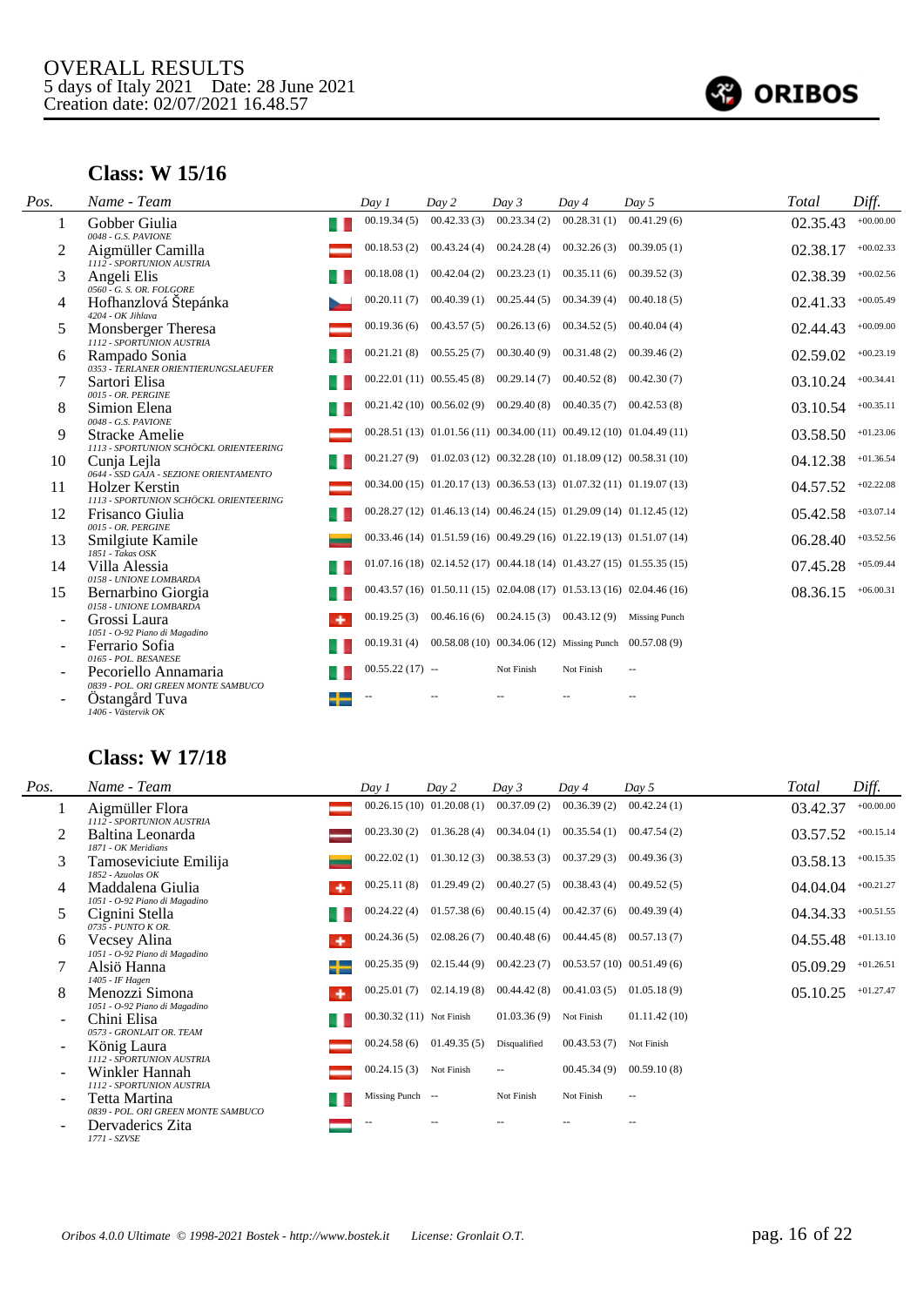

#### **Class: W 15/16**

| Pos. | Name - Team                                                                  | Day 1            | Day 2                                      | Day 3       | Day 4                                                                      | Day 5                                                                      | Total    | Diff.       |
|------|------------------------------------------------------------------------------|------------------|--------------------------------------------|-------------|----------------------------------------------------------------------------|----------------------------------------------------------------------------|----------|-------------|
| 1    | Gobber Giulia<br>0048 - G.S. PAVIONE                                         | 00.19.34(5)      | 00.42.33(3)                                | 00.23.34(2) | 00.28.31(1)                                                                | 00.41.29(6)                                                                | 02.35.43 | $+00.00.00$ |
| 2    | Aigmüller Camilla<br>1112 - SPORTUNION AUSTRIA                               | 00.18.53(2)      | $00.43.24(4)$ $00.24.28(4)$                |             | 00.32.26(3)                                                                | 00.39.05(1)                                                                | 02.38.17 | $+00.02.33$ |
| 3    | Angeli Elis<br>0560 - G. S. OR. FOLGORE                                      | 00.18.08(1)      | 00.42.04(2)                                | 00.23.23(1) | 00.35.11(6)                                                                | 00.39.52(3)                                                                | 02.38.39 | $+00.02.56$ |
| 4    | Hofhanzlová Štepánka<br>4204 - OK Jihlava                                    | 00.20.11(7)      | 00.40.39(1)                                | 00.25.44(5) | 00.34.39(4)                                                                | 00.40.18(5)                                                                | 02.41.33 | $+00.05.49$ |
| 5    | Monsberger Theresa<br>1112 - SPORTUNION AUSTRIA                              | 00.19.36(6)      | 00.43.57(5)                                | 00.26.13(6) | 00.34.52(5)                                                                | 00.40.04(4)                                                                | 02.44.43 | $+00.09.00$ |
| 6    | Rampado Sonia<br>0353 - TERLANER ORIENTIERUNGSLAEUFER                        | 00.21.21(8)      | 00.55.25(7)                                | 00.30.40(9) | 00.31.48(2)                                                                | 00.39.46(2)                                                                | 02.59.02 | $+00.23.19$ |
|      | Sartori Elisa<br>0015 - OR. PERGINE                                          |                  | $00.22.01(11)$ $00.55.45(8)$ $00.29.14(7)$ |             | 00.40.52(8)                                                                | 00.42.30(7)                                                                | 03.10.24 | $+00.34.41$ |
| 8    | Simion Elena<br>0048 - G.S. PAVIONE                                          |                  | $00.21.42(10)$ $00.56.02(9)$ $00.29.40(8)$ |             | 00.40.35(7)                                                                | 00.42.53(8)                                                                | 03.10.54 | $+00.35.11$ |
| 9    | Stracke Amelie<br>1113 - SPORTUNION SCHÖCKL ORIENTEERING                     |                  |                                            |             | 00.28.51 (13) 01.01.56 (11) 00.34.00 (11) 00.49.12 (10) 01.04.49 (11)      |                                                                            | 03.58.50 | $+01.23.06$ |
| 10   | Cunja Lejla<br>0644 - SSD GAJA - SEZIONE ORIENTAMENTO                        |                  |                                            |             | $00.21.27(9)$ $01.02.03(12)$ $00.32.28(10)$ $01.18.09(12)$ $00.58.31(10)$  |                                                                            | 04.12.38 | $+01.36.54$ |
| 11   | <b>Holzer Kerstin</b><br>1113 - SPORTUNION SCHÖCKL ORIENTEERING              |                  |                                            |             | $00.34.00(15)$ $01.20.17(13)$ $00.36.53(13)$ $01.07.32(11)$ $01.19.07(13)$ |                                                                            | 04.57.52 | $+02.22.08$ |
| 12   | Frisanco Giulia<br>0015 - OR. PERGINE                                        |                  |                                            |             |                                                                            | 00.28.27 (12) 01.46.13 (14) 00.46.24 (15) 01.29.09 (14) 01.12.45 (12)      | 05.42.58 | $+03.07.14$ |
| 13   | Smilgiute Kamile<br>$1851 - Takas OSK$                                       |                  |                                            |             | 00.33.46 (14) 01.51.59 (16) 00.49.29 (16) 01.22.19 (13) 01.51.07 (14)      |                                                                            | 06.28.40 | $+03.52.56$ |
| 14   | Villa Alessia<br>0158 - UNIONE LOMBARDA                                      |                  |                                            |             |                                                                            | $01.07.16(18)$ $02.14.52(17)$ $00.44.18(14)$ $01.43.27(15)$ $01.55.35(15)$ | 07.45.28 | $+05.09.44$ |
| 15   | Bernarbino Giorgia<br>0158 - UNIONE LOMBARDA                                 |                  |                                            |             |                                                                            | $00.43.57(16)$ $01.50.11(15)$ $02.04.08(17)$ $01.53.13(16)$ $02.04.46(16)$ | 08.36.15 | $+06.00.31$ |
|      | Grossi Laura<br>۰                                                            | 00.19.25(3)      |                                            |             | $00.46.16(6)$ $00.24.15(3)$ $00.43.12(9)$ Missing Punch                    |                                                                            |          |             |
|      | 1051 - O-92 Piano di Magadino<br>Ferrario Sofia                              | 00.19.31(4)      |                                            |             | $00.58.08(10)$ $00.34.06(12)$ Missing Punch $00.57.08(9)$                  |                                                                            |          |             |
|      | 0165 - POL. BESANESE<br>Pecoriello Annamaria                                 | $00.55.22(17) -$ |                                            | Not Finish  | Not Finish                                                                 | $\overline{\phantom{a}}$                                                   |          |             |
|      | 0839 - POL. ORI GREEN MONTE SAMBUCO<br>Ostangård Tuva<br>1406 - Västervik OK |                  |                                            |             |                                                                            |                                                                            |          |             |

### **Class: W 17/18**

| Pos.                     | Name - Team                                            | Day 1                    | Day 2                    | Day 3                    | Day 4                        | Day 5         | Total    | Diff.       |
|--------------------------|--------------------------------------------------------|--------------------------|--------------------------|--------------------------|------------------------------|---------------|----------|-------------|
| $\bf{1}$                 | Aigmüller Flora<br>1112 - SPORTUNION AUSTRIA           |                          | 00.26.15(10) 01.20.08(1) | 00.37.09(2)              | 00.36.39(2)                  | 00.42.24(1)   | 03.42.37 | $+00.00.00$ |
|                          | Baltina Leonarda<br>1871 - OK Meridians                | 00.23.30(2)              | 01.36.28(4)              | 00.34.04(1)              | 00.35.54(1)                  | 00.47.54(2)   | 03.57.52 | $+00.15.14$ |
| 3                        | Tamoseviciute Emilija<br>$1852$ - Azuolas OK           | 00.22.02(1)              | 01.30.12(3)              | 00.38.53(3)              | 00.37.29(3)                  | 00.49.36(3)   | 03.58.13 | $+00.15.35$ |
| 4                        | Maddalena Giulia<br>۰<br>1051 - O-92 Piano di Magadino | 00.25.11(8)              | 01.29.49(2)              | 00.40.27(5)              | $00.38.43(4)$ $00.49.52(5)$  |               | 04.04.04 | $+00.21.27$ |
| 5                        | Cignini Stella<br>$0735 - PUNTO K OR$                  | 00.24.22(4)              | 01.57.38(6)              | 00.40.15(4)              | $00.42.37(6)$ $00.49.39(4)$  |               | 04.34.33 | $+00.51.55$ |
| 6                        | Vecsey Alina<br>۰<br>1051 - O-92 Piano di Magadino     | 00.24.36(5)              | 02.08.26(7)              | 00.40.48(6)              | $00.44.45(8)$ $00.57.13(7)$  |               | 04.55.48 | $+01.13.10$ |
|                          | Alsiö Hanna<br>1405 - IF Hagen                         | 00.25.35(9)              | 02.15.44(9)              | 00.42.23(7)              | $00.53.57(10)$ $00.51.49(6)$ |               | 05.09.29 | $+01.26.51$ |
| 8                        | Menozzi Simona<br>۰<br>1051 - O-92 Piano di Magadino   | 00.25.01(7)              | 02.14.19(8)              | 00.44.42(8)              | $00.41.03(5)$ $01.05.18(9)$  |               | 05.10.25 | $+01.27.47$ |
|                          | Chini Elisa<br>0573 - GRONLAIT OR. TEAM                | 00.30.32 (11) Not Finish |                          | 01.03.36(9)              | Not Finish                   | 01.11.42(10)  |          |             |
| $\overline{\phantom{0}}$ | König Laura<br>1112 - SPORTUNION AUSTRIA               | 00.24.58(6)              | 01.49.35(5)              | Disqualified             | 00.43.53(7)                  | Not Finish    |          |             |
|                          | Winkler Hannah<br>1112 - SPORTUNION AUSTRIA            | 00.24.15(3)              | Not Finish               | $\overline{\phantom{a}}$ | 00.45.34(9)                  | 00.59.10(8)   |          |             |
|                          | Tetta Martina<br>0839 - POL. ORI GREEN MONTE SAMBUCO   | Missing Punch --         |                          | Not Finish               | Not Finish                   | $\sim$ $\sim$ |          |             |
|                          | Dervaderics Zita<br>1771 - SZVSE                       |                          |                          |                          |                              | --            |          |             |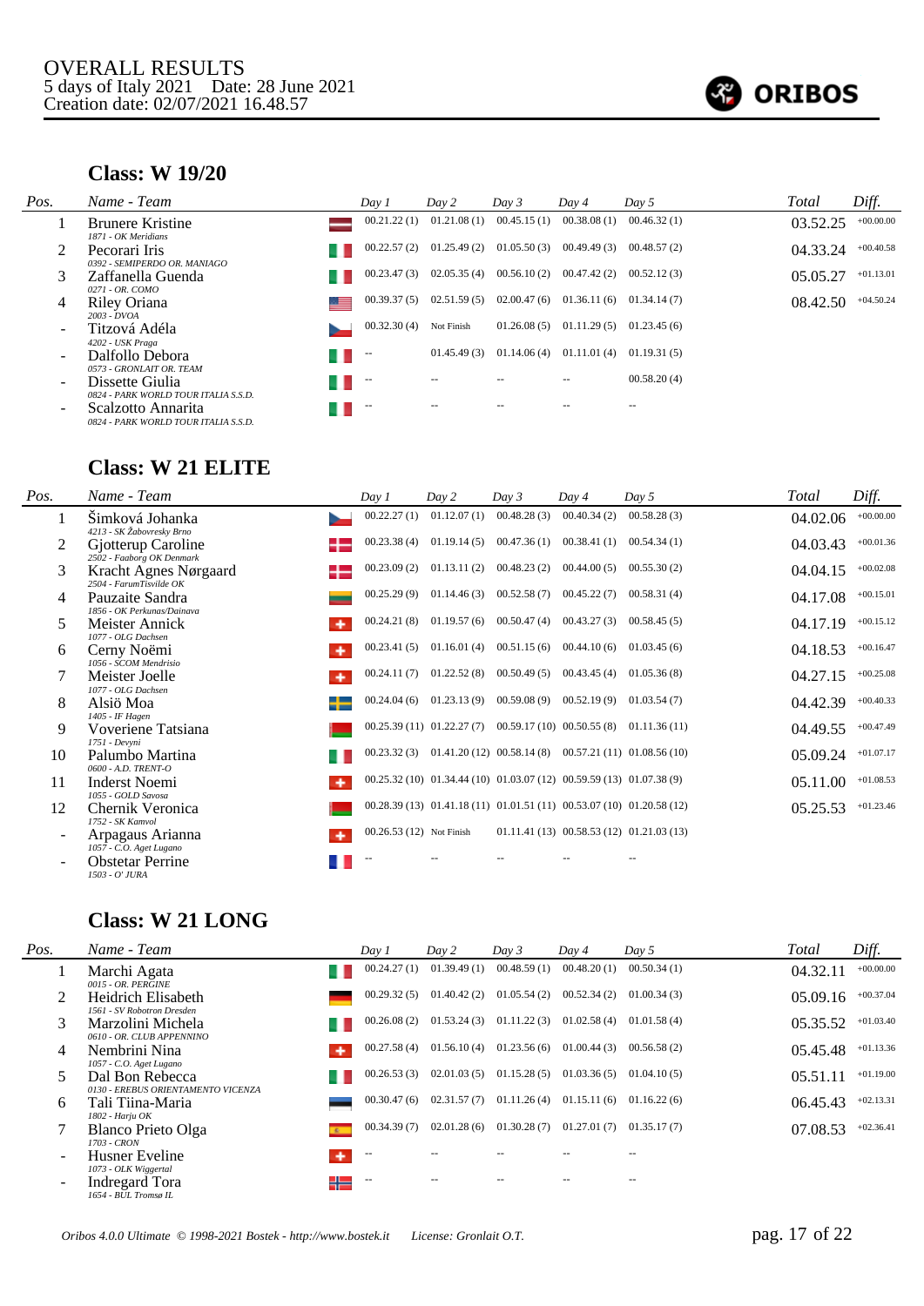

#### **Class: W 19/20**

| Pos.                     | Name - Team                                                | Day 1       | Day 2       | Day 3       | Day 4       | Day 5       | Total    | Diff.       |
|--------------------------|------------------------------------------------------------|-------------|-------------|-------------|-------------|-------------|----------|-------------|
|                          | <b>Brunere Kristine</b>                                    | 00.21.22(1) | 01.21.08(1) | 00.45.15(1) | 00.38.08(1) | 00.46.32(1) | 03.52.25 | $+00.00.00$ |
|                          | 1871 - OK Meridians                                        | 00.22.57(2) | 01.25.49(2) | 01.05.50(3) | 00.49.49(3) | 00.48.57(2) |          | $+00.40.58$ |
|                          | Pecorari Iris<br>0392 - SEMIPERDO OR, MANIAGO              |             |             |             |             |             | 04.33.24 |             |
|                          | Zaffanella Guenda                                          | 00.23.47(3) | 02.05.35(4) | 00.56.10(2) | 00.47.42(2) | 00.52.12(3) | 05.05.27 | $+01.13.01$ |
| 4                        | 0271 - OR. COMO<br>Riley Oriana                            | 00.39.37(5) | 02.51.59(5) | 02.00.47(6) | 01.36.11(6) | 01.34.14(7) | 08.42.50 | $+04.50.24$ |
|                          | 2003 - DVOA<br>Titzová Adéla<br>4202 - USK Praga           | 00.32.30(4) | Not Finish  | 01.26.08(5) | 01.11.29(5) | 01.23.45(6) |          |             |
|                          | Dalfollo Debora<br>0573 - GRONLAIT OR. TEAM                | $- -$       | 01.45.49(3) | 01.14.06(4) | 01.11.01(4) | 01.19.31(5) |          |             |
|                          | Dissette Giulia<br>0824 - PARK WORLD TOUR ITALIA S.S.D.    | $-$         |             |             |             | 00.58.20(4) |          |             |
| $\overline{\phantom{0}}$ | Scalzotto Annarita<br>0824 - PARK WORLD TOUR ITALIA S.S.D. | $- -$       |             |             |             | $- -$       |          |             |

### **Class: W 21 ELITE**

| Pos.                     | Name - Team                                      | Day 1                    | Day 2                                                                | Day 3       | Day 4                       | Day 5                                                                 | Total    | Diff.       |
|--------------------------|--------------------------------------------------|--------------------------|----------------------------------------------------------------------|-------------|-----------------------------|-----------------------------------------------------------------------|----------|-------------|
|                          | Šimková Johanka<br>4213 - SK Žabovresky Brno     | 00.22.27(1)              | 01.12.07(1)                                                          | 00.48.28(3) | 00.40.34(2)                 | 00.58.28(3)                                                           | 04.02.06 | $+00.00.00$ |
| 2                        | Gjotterup Caroline<br>2502 - Faaborg OK Denmark  | 00.23.38(4)              | 01.19.14(5)                                                          |             | $00.47.36(1)$ $00.38.41(1)$ | 00.54.34(1)                                                           | 04.03.43 | $+00.01.36$ |
| 3                        | Kracht Agnes Nørgaard<br>2504 - FarumTisvilde OK | 00.23.09(2)              | 01.13.11(2)                                                          | 00.48.23(2) | 00.44.00(5)                 | 00.55.30(2)                                                           | 04.04.15 | $+00.02.08$ |
| 4                        | Pauzaite Sandra<br>1856 - OK Perkunas/Dainava    | 00.25.29(9)              | 01.14.46(3)                                                          |             | $00.52.58(7)$ $00.45.22(7)$ | 00.58.31(4)                                                           | 04.17.08 | $+00.15.01$ |
| 5                        | Meister Annick<br>1077 - OLG Dachsen             | 00.24.21(8)              | 01.19.57(6)                                                          | 00.50.47(4) | 00.43.27(3)                 | 00.58.45(5)                                                           | 04.17.19 | $+00.15.12$ |
| 6                        | Cerny Noëmi<br>1056 - SCOM Mendrisio             | 00.23.41(5)              | 01.16.01(4)                                                          |             | $00.51.15(6)$ $00.44.10(6)$ | 01.03.45(6)                                                           | 04.18.53 | $+00.16.47$ |
|                          | Meister Joelle<br>1077 - OLG Dachsen             | 00.24.11(7)              | 01.22.52(8)                                                          |             | $00.50.49(5)$ $00.43.45(4)$ | 01.05.36(8)                                                           | 04.27.15 | $+00.25.08$ |
| 8                        | Alsiö Moa<br>1405 - IF Hagen                     | 00.24.04(6)              | 01.23.13(9)                                                          |             | $00.59.08(9)$ $00.52.19(9)$ | 01.03.54(7)                                                           | 04.42.39 | $+00.40.33$ |
| 9                        | Voveriene Tatsiana<br>1751 - Devvni              |                          | $00.25.39(11)$ $01.22.27(7)$ $00.59.17(10)$ $00.50.55(8)$            |             |                             | 01.11.36(11)                                                          | 04.49.55 | $+00.47.49$ |
| 10                       | Palumbo Martina<br>0600 - A.D. TRENT-O           | 00.23.32(3)              |                                                                      |             |                             | $01.41.20(12)$ $00.58.14(8)$ $00.57.21(11)$ $01.08.56(10)$            | 05.09.24 | $+01.07.17$ |
| 11                       | <b>Inderst Noemi</b><br>1055 - GOLD Savosa       |                          | 00.25.32 (10) 01.34.44 (10) 01.03.07 (12) 00.59.59 (13) 01.07.38 (9) |             |                             |                                                                       | 05.11.00 | $+01.08.53$ |
| 12                       | Chernik Veronica<br>1752 - SK Kamvol             |                          |                                                                      |             |                             | 00.28.39 (13) 01.41.18 (11) 01.01.51 (11) 00.53.07 (10) 01.20.58 (12) | 05.25.53 | $+01.23.46$ |
| $\overline{\phantom{0}}$ | Arpagaus Arianna<br>1057 - C.O. Aget Lugano      | 00.26.53 (12) Not Finish |                                                                      |             |                             | $01.11.41(13)$ $00.58.53(12)$ $01.21.03(13)$                          |          |             |
| $\overline{\phantom{0}}$ | <b>Obstetar Perrine</b><br>1503 - O' JURA        |                          |                                                                      |             |                             |                                                                       |          |             |

# **Class: W 21 LONG**

| Pos.   | Name - Team                                           | Day 1       | Day 2       | Day 3       | Day 4       | Day 5       | Total    | Diff.       |
|--------|-------------------------------------------------------|-------------|-------------|-------------|-------------|-------------|----------|-------------|
|        | Marchi Agata<br>0015 - OR. PERGINE                    | 00.24.27(1) | 01.39.49(1) | 00.48.59(1) | 00.48.20(1) | 00.50.34(1) | 04.32.11 | $+00.00.00$ |
| 2      | Heidrich Elisabeth<br>1561 - SV Robotron Dresden      | 00.29.32(5) | 01.40.42(2) | 01.05.54(2) | 00.52.34(2) | 01.00.34(3) | 05.09.16 | $+00.37.04$ |
|        | Marzolini Michela<br>0610 - OR. CLUB APPENNINO        | 00.26.08(2) | 01.53.24(3) | 01.11.22(3) | 01.02.58(4) | 01.01.58(4) | 05.35.52 | $+01.03.40$ |
| 4      | Nembrini Nina<br>1057 - C.O. Aget Lugano              | 00.27.58(4) | 01.56.10(4) | 01.23.56(6) | 01.00.44(3) | 00.56.58(2) | 05.45.48 | $+01.13.36$ |
| 5      | Dal Bon Rebecca<br>0130 - EREBUS ORIENTAMENTO VICENZA | 00.26.53(3) | 02.01.03(5) | 01.15.28(5) | 01.03.36(5) | 01.04.10(5) | 05.51.11 | $+01.19.00$ |
| 6      | Tali Tiina-Maria<br>1802 - Harju OK                   | 00.30.47(6) | 02.31.57(7) | 01.11.26(4) | 01.15.11(6) | 01.16.22(6) | 06.45.43 | $+02.13.31$ |
|        | Blanco Prieto Olga<br>1703 - CRON                     | 00.34.39(7) | 02.01.28(6) | 01.30.28(7) | 01.27.01(7) | 01.35.17(7) | 07.08.53 | $+02.36.41$ |
| $\sim$ | Husner Eveline<br>۰<br>1073 - OLK Wiggertal           | $-$         |             |             |             |             |          |             |
| $\sim$ | Indregard Tora<br>╬<br>1654 - BUL Tromsø IL           | $\sim$      |             |             |             |             |          |             |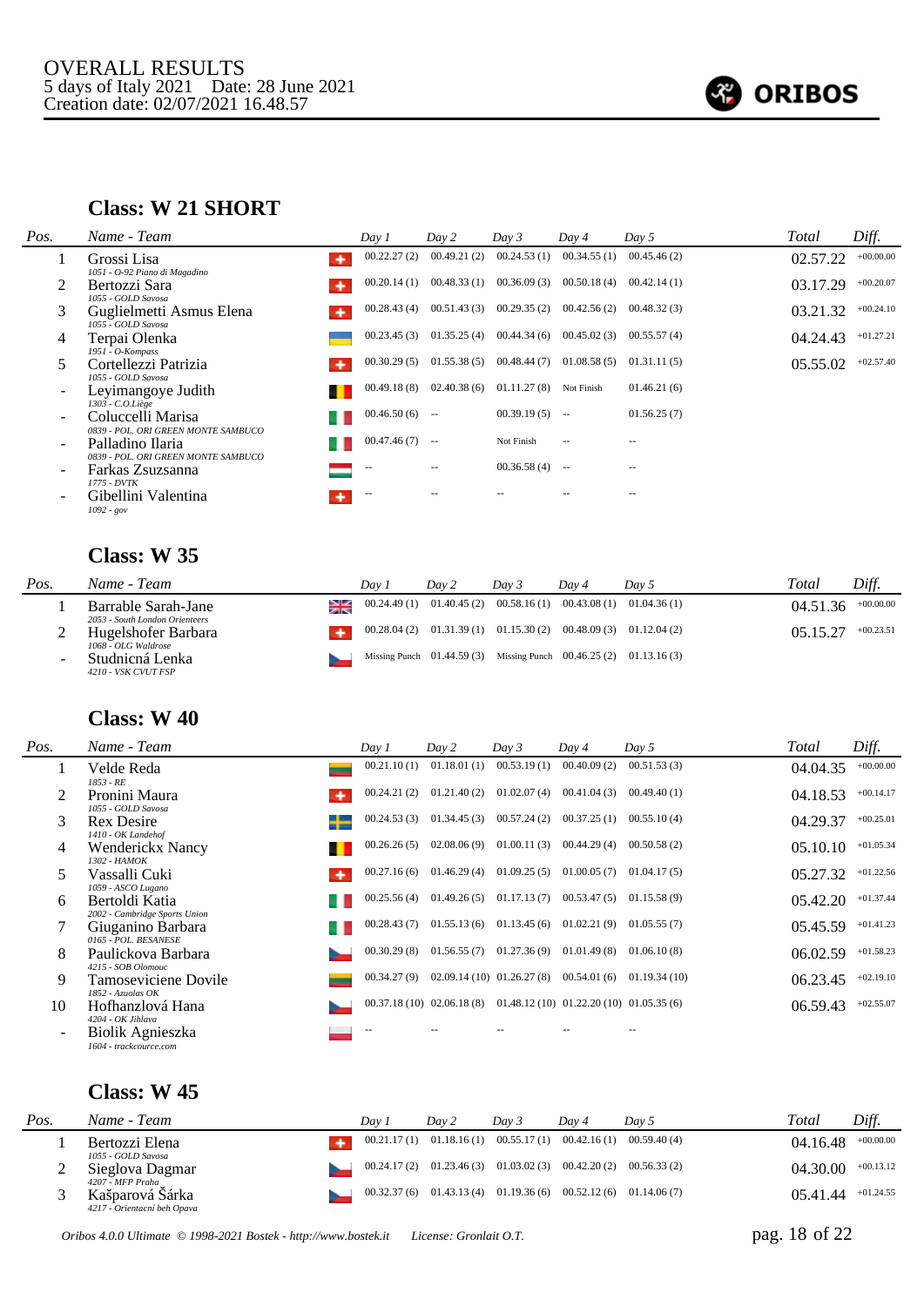

#### **Class: W 21 SHORT**

| Pos.                     | Name - Team                                              | Day 1             | Day 2                    | Day 3       | Day 4                    | Day 5         | Total    | Diff.       |
|--------------------------|----------------------------------------------------------|-------------------|--------------------------|-------------|--------------------------|---------------|----------|-------------|
|                          | Grossi Lisa<br>۰<br>1051 - O-92 Piano di Magadino        | 00.22.27(2)       | 00.49.21(2)              | 00.24.53(1) | 00.34.55(1)              | 00.45.46(2)   | 02.57.22 | $+00.00.00$ |
| 2                        | Bertozzi Sara<br>1055 - GOLD Savosa                      | 00.20.14(1)       | 00.48.33(1)              | 00.36.09(3) | 00.50.18(4)              | 00.42.14(1)   | 03.17.29 | $+00.20.07$ |
| 3                        | Guglielmetti Asmus Elena<br>1055 - GOLD Savosa           | 00.28.43(4)       | 00.51.43(3)              | 00.29.35(2) | 00.42.56(2)              | 00.48.32(3)   | 03.21.32 | $+00.24.10$ |
| 4                        | Terpai Olenka<br>1951 - O-Kompass                        | 00.23.45(3)       | 01.35.25(4)              | 00.44.34(6) | 00.45.02(3)              | 00.55.57(4)   | 04.24.43 | $+01.27.21$ |
| 5                        | Cortellezzi Patrizia<br>1055 - GOLD Savosa               | 00.30.29(5)       | 01.55.38(5)              | 00.48.44(7) | 01.08.58(5)              | 01.31.11(5)   | 05.55.02 | $+02.57.40$ |
| $\overline{\phantom{0}}$ | Leyimangoye Judith<br>$1303 - C.O.Liège$                 | 00.49.18(8)       | 02.40.38(6)              | 01.11.27(8) | Not Finish               | 01.46.21(6)   |          |             |
| $\blacksquare$           | Coluccelli Marisa<br>0839 - POL. ORI GREEN MONTE SAMBUCO | 00.46.50(6)       | $\overline{\phantom{m}}$ | 00.39.19(5) | $\sim$                   | 01.56.25(7)   |          |             |
| $\overline{\phantom{a}}$ | Palladino Ilaria<br>0839 - POL. ORI GREEN MONTE SAMBUCO  | 00.47.46(7)       | $\sim$                   | Not Finish  | $\overline{\phantom{a}}$ | $\frac{1}{2}$ |          |             |
| $\overline{\phantom{0}}$ | Farkas Zsuzsanna                                         | $\qquad \qquad -$ | $- -$                    | 00.36.58(4) | $\sim$                   | $- -$         |          |             |
| $\overline{\phantom{0}}$ | 1775 - DVTK<br>Gibellini Valentina<br>$1092 - gov$       | $ -$              |                          |             |                          |               |          |             |

#### **Class: W 35**

| Pos. | Name - Team                                           | Dav. | Day 2                                                                 | Dav 3 | Day 4 | Day 5 | Total    | Diff.       |
|------|-------------------------------------------------------|------|-----------------------------------------------------------------------|-------|-------|-------|----------|-------------|
|      | Barrable Sarah-Jane<br>2053 - South London Orienteers |      | $00.24.49(1)$ $01.40.45(2)$ $00.58.16(1)$ $00.43.08(1)$ $01.04.36(1)$ |       |       |       | 04.51.36 | $+00.00.00$ |
|      | Hugelshofer Barbara<br>1068 - OLG Waldrose            |      | $00.28.04(2)$ $01.31.39(1)$ $01.15.30(2)$ $00.48.09(3)$ $01.12.04(2)$ |       |       |       | 05.15.27 | $+00.23.51$ |
|      | Studnicná Lenka<br>4210 - VSK CVUT FSP                |      | Missing Punch 01.44.59 (3) Missing Punch 00.46.25 (2) 01.13.16 (3)    |       |       |       |          |             |

#### **Class: W 40**

| Pos. | Name - Team                                       | Day 1       | Day 2                                                                    | Day 3                        | Day 4       | Day 5        | Total    | Diff.       |
|------|---------------------------------------------------|-------------|--------------------------------------------------------------------------|------------------------------|-------------|--------------|----------|-------------|
|      | Velde Reda<br>$1853 - RE$                         | 00.21.10(1) | 01.18.01(1)                                                              | 00.53.19(1)                  | 00.40.09(2) | 00.51.53(3)  | 04.04.35 | $+00.00.00$ |
|      | Pronini Maura<br>1055 - GOLD Savosa               | 00.24.21(2) | 01.21.40(2)                                                              | 01.02.07(4)                  | 00.41.04(3) | 00.49.40(1)  | 04.18.53 | $+00.14.17$ |
| 3    | <b>Rex Desire</b><br>╺┾═<br>1410 - OK Landehof    | 00.24.53(3) |                                                                          | $01.34.45(3)$ $00.57.24(2)$  | 00.37.25(1) | 00.55.10(4)  | 04.29.37 | $+00.25.01$ |
| 4    | <b>Wenderickx Nancy</b><br>1302 - HAMOK           | 00.26.26(5) |                                                                          | $02.08.06(9)$ $01.00.11(3)$  | 00.44.29(4) | 00.50.58(2)  | 05.10.10 | $+01.05.34$ |
|      | Vassalli Cuki<br>٠<br>1059 - ASCO Lugano          | 00.27.16(6) | 01.46.29(4)                                                              | 01.09.25(5)                  | 01.00.05(7) | 01.04.17(5)  | 05.27.32 | $+01.22.56$ |
| 6    | Bertoldi Katia<br>2002 - Cambridge Sports Union   | 00.25.56(4) |                                                                          | $01.49.26(5)$ $01.17.13(7)$  | 00.53.47(5) | 01.15.58(9)  | 05.42.20 | $+01.37.44$ |
|      | Giuganino Barbara<br>0165 - POL. BESANESE         | 00.28.43(7) |                                                                          | $01.55.13(6)$ $01.13.45(6)$  | 01.02.21(9) | 01.05.55(7)  | 05.45.59 | $+01.41.23$ |
| 8    | Paulickova Barbara<br>4215 - SOB Olomouc          | 00.30.29(8) | $01.56.55(7)$ $01.27.36(9)$                                              |                              | 01.01.49(8) | 01.06.10(8)  | 06.02.59 | $+01.58.23$ |
| 9    | Tamoseviciene Dovile<br>1852 - Azuolas OK         | 00.34.27(9) |                                                                          | $02.09.14(10)$ $01.26.27(8)$ | 00.54.01(6) | 01.19.34(10) | 06.23.45 | $+02.19.10$ |
| 10   | Hofhanzlová Hana<br>4204 - OK Jihlava             |             | $00.37.18(10)$ $02.06.18(8)$ $01.48.12(10)$ $01.22.20(10)$ $01.05.35(6)$ |                              |             |              | 06.59.43 | $+02.55.07$ |
|      | <b>Biolik Agnieszka</b><br>1604 - trackcource.com | $-$         |                                                                          |                              |             |              |          |             |

| Pos. | Name - Team                                                        | Dav | Day 2 | Dav 3                                                                 | Dav 4 | Dav 5 | Total    | Diff.       |
|------|--------------------------------------------------------------------|-----|-------|-----------------------------------------------------------------------|-------|-------|----------|-------------|
|      | Bertozzi Elena<br>1055 - GOLD Savosa                               |     |       | $00.21.17(1)$ $01.18.16(1)$ $00.55.17(1)$ $00.42.16(1)$ $00.59.40(4)$ |       |       | 04.16.48 | $+00.00.00$ |
|      | Sieglova Dagmar                                                    |     |       | $00.24.17(2)$ $01.23.46(3)$ $01.03.02(3)$ $00.42.20(2)$ $00.56.33(2)$ |       |       | 04.30.00 | $+00.13.12$ |
|      | 4207 - MFP Praha<br>Kašparová Sárka<br>4217 - Orientacní beh Opava |     |       | $00.32.37(6)$ $01.43.13(4)$ $01.19.36(6)$ $00.52.12(6)$ $01.14.06(7)$ |       |       | 05.41.44 | $+01.24.55$ |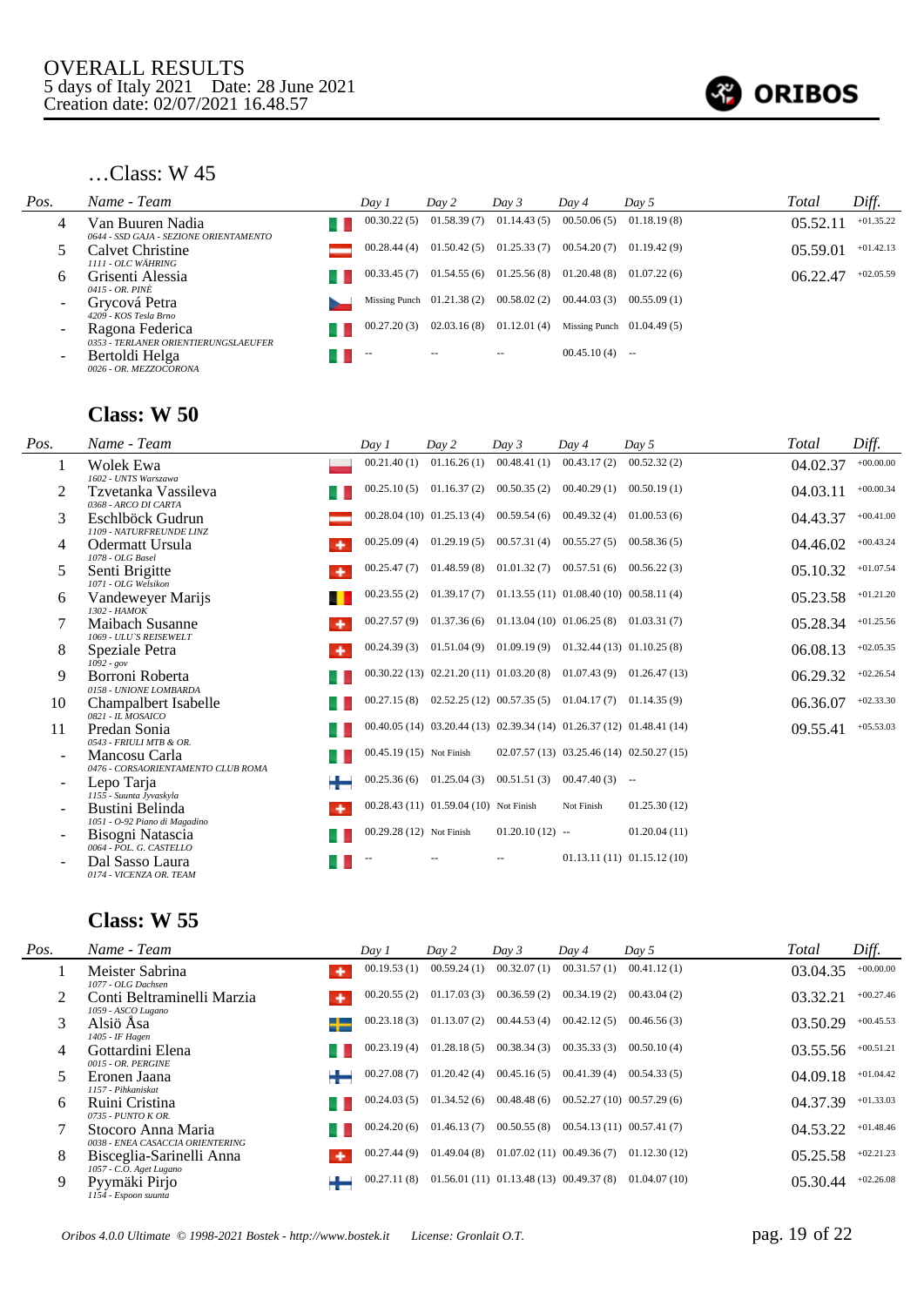

| Pos.                     | Name - Team                                                                      | Day 1       | Day 2                       | Day 3                       | Day 4            | Day 5                       | Total    | Diff.       |
|--------------------------|----------------------------------------------------------------------------------|-------------|-----------------------------|-----------------------------|------------------|-----------------------------|----------|-------------|
| 4                        | Van Buuren Nadia                                                                 | 00.30.22(5) |                             | $01.58.39(7)$ $01.14.43(5)$ | 00.50.06(5)      | 01.18.19(8)                 | 05.52.1  | $+01.35.22$ |
|                          | 0644 - SSD GAJA - SEZIONE ORIENTAMENTO<br>Calvet Christine<br>1111 - OLC WÄHRING | 00.28.44(4) | 01.50.42(5)                 | 01.25.33(7)                 | 00.54.20(7)      | 01.19.42(9)                 | 05.59.01 | $+01.42.13$ |
| 6                        | Grisenti Alessia<br>0415 - OR. PINÈ                                              | 00.33.45(7) |                             | $01.54.55(6)$ $01.25.56(8)$ | 01.20.48(8)      | 01.07.22(6)                 | 06.22.47 | $+02.05.59$ |
| $\overline{\phantom{a}}$ | Grycová Petra<br>4209 - KOS Tesla Brno                                           |             | Missing Punch $01.21.38(2)$ | 00.58.02(2)                 | 00.44.03(3)      | 00.55.09(1)                 |          |             |
| $\overline{\phantom{a}}$ | Ragona Federica<br>0353 - TERLANER ORIENTIERUNGSLAEUFER                          | 00.27.20(3) |                             | $02.03.16(8)$ $01.12.01(4)$ |                  | Missing Punch $01.04.49(5)$ |          |             |
| $\overline{\phantom{a}}$ | Bertoldi Helga<br>0026 - OR. MEZZOCORONA                                         |             | $- -$                       | $- -$                       | $00.45.10(4)$ -- |                             |          |             |

### **Class: W 50**

| Pos.           | Name - Team                                                           | Day 1                    | Day 2                                  | Day 3            | Dav 4                                                    | Day 5                                                                    | Total    | Diff.       |
|----------------|-----------------------------------------------------------------------|--------------------------|----------------------------------------|------------------|----------------------------------------------------------|--------------------------------------------------------------------------|----------|-------------|
| -1             | Wolek Ewa<br>1602 - UNTS Warszawa                                     | 00.21.40(1)              | 01.16.26(1)                            | 00.48.41(1)      | 00.43.17(2)                                              | 00.52.32(2)                                                              | 04.02.37 | $+00.00.00$ |
| 2              | Tzvetanka Vassileva<br>0368 - ARCO DI CARTA                           | 00.25.10(5)              | 01.16.37(2)                            | 00.50.35(2)      | 00.40.29(1)                                              | 00.50.19(1)                                                              | 04.03.11 | $+00.00.34$ |
| 3              | Eschlböck Gudrun<br>1109 - NATURFREUNDE LINZ                          |                          | $00.28.04(10)$ $01.25.13(4)$           |                  | $00.59.54(6)$ $00.49.32(4)$                              | 01.00.53(6)                                                              | 04.43.37 | $+00.41.00$ |
| $\overline{4}$ | Odermatt Ursula<br>1078 - OLG Basel                                   | 00.25.09(4)              | 01.29.19(5)                            |                  | $00.57.31(4)$ $00.55.27(5)$                              | 00.58.36(5)                                                              | 04.46.02 | $+00.43.24$ |
| 5              | Senti Brigitte<br>1071 - OLG Welsikon                                 | 00.25.47(7)              | 01.48.59(8)                            |                  | $01.01.32(7)$ $00.57.51(6)$                              | 00.56.22(3)                                                              | 05.10.32 | $+01.07.54$ |
| 6              | Vandeweyer Marijs<br>1302 - HAMOK                                     | 00.23.55(2)              | 01.39.17(7)                            |                  | $01.13.55(11)$ $01.08.40(10)$ $00.58.11(4)$              |                                                                          | 05.23.58 | $+01.21.20$ |
| 7              | Maibach Susanne<br>1069 - ULU'S REISEWELT                             | 00.27.57(9)              |                                        |                  | $01.37.36(6)$ $01.13.04(10)$ $01.06.25(8)$ $01.03.31(7)$ |                                                                          | 05.28.34 | $+01.25.56$ |
| 8              | Speziale Petra                                                        | 00.24.39(3)              |                                        |                  | $01.51.04(9)$ $01.09.19(9)$ $01.32.44(13)$ $01.10.25(8)$ |                                                                          | 06.08.13 | $+02.05.35$ |
| 9              | $1092 - gov$<br>Borroni Roberta                                       |                          |                                        |                  |                                                          | $00.30.22(13)$ $02.21.20(11)$ $01.03.20(8)$ $01.07.43(9)$ $01.26.47(13)$ | 06.29.32 | $+02.26.54$ |
| 10             | 0158 - UNIONE LOMBARDA<br>Champalbert Isabelle                        | 00.27.15(8)              |                                        |                  | $02.52.25(12)$ $00.57.35(5)$ $01.04.17(7)$ $01.14.35(9)$ |                                                                          | 06.36.07 | $+02.33.30$ |
| 11             | 0821 - IL MOSAICO<br>Predan Sonia                                     |                          |                                        |                  |                                                          | 00.40.05 (14) 03.20.44 (13) 02.39.34 (14) 01.26.37 (12) 01.48.41 (14)    | 09.55.41 | $+05.53.03$ |
|                | 0543 - FRIULI MTB & OR.<br>Mancosu Carla                              | 00.45.19 (15) Not Finish |                                        |                  |                                                          | $02.07.57(13)$ $03.25.46(14)$ $02.50.27(15)$                             |          |             |
|                | 0476 - CORSAORIENTAMENTO CLUB ROMA<br>Lepo Tarja                      |                          | $00.25.36(6)$ 01.25.04(3)              |                  | $00.51.51(3)$ $00.47.40(3)$ --                           |                                                                          |          |             |
|                | 1155 - Suunta Jyvaskyla<br>Bustini Belinda                            |                          | 00.28.43 (11) 01.59.04 (10) Not Finish |                  | Not Finish                                               | 01.25.30(12)                                                             |          |             |
|                | 1051 - O-92 Piano di Magadino<br>Bisogni Natascia                     | 00.29.28 (12) Not Finish |                                        | $01.20.10(12)$ - |                                                          | 01.20.04(11)                                                             |          |             |
|                | 0064 - POL. G. CASTELLO<br>Dal Sasso Laura<br>0174 - VICENZA OR. TEAM |                          |                                        |                  |                                                          | 01.13.11(11) 01.15.12(10)                                                |          |             |

| Pos. | Name - Team                                            | Day 1       | Day 2       | Day 3                                       | Day 4       | Day 5                        | Total    | Diff.       |
|------|--------------------------------------------------------|-------------|-------------|---------------------------------------------|-------------|------------------------------|----------|-------------|
|      | Meister Sabrina<br>1077 - OLG Dachsen                  | 00.19.53(1) | 00.59.24(1) | 00.32.07(1)                                 | 00.31.57(1) | 00.41.12(1)                  | 03.04.35 | $+00.00.00$ |
|      | Conti Beltraminelli Marzia<br>1059 - ASCO Lugano       | 00.20.55(2) | 01.17.03(3) | 00.36.59(2)                                 | 00.34.19(2) | 00.43.04(2)                  | 03.32.21 | $+00.27.46$ |
| 3    | Alsiö Åsa<br>1405 - IF Hagen                           | 00.23.18(3) | 01.13.07(2) | 00.44.53(4)                                 | 00.42.12(5) | 00.46.56(3)                  | 03.50.29 | $+00.45.53$ |
| 4    | Gottardini Elena<br>0015 - OR. PERGINE                 | 00.23.19(4) | 01.28.18(5) | 00.38.34(3)                                 | 00.35.33(3) | 00.50.10(4)                  | 03.55.56 | $+00.51.21$ |
|      | Eronen Jaana<br>1157 - Pihkaniskat                     | 00.27.08(7) | 01.20.42(4) | 00.45.16(5)                                 | 00.41.39(4) | 00.54.33(5)                  | 04.09.18 | $+01.04.42$ |
| 6    | Ruini Cristina<br>0735 - PUNTO K OR.                   | 00.24.03(5) | 01.34.52(6) | 00.48.48(6)                                 |             | $00.52.27(10)$ $00.57.29(6)$ | 04.37.39 | $+01.33.03$ |
|      | Stocoro Anna Maria<br>0038 - ENEA CASACCIA ORIENTERING | 00.24.20(6) | 01.46.13(7) | 00.50.55(8)                                 |             | $00.54.13(11)$ $00.57.41(7)$ | 04.53.22 | $+01.48.46$ |
| 8    | Bisceglia-Sarinelli Anna<br>1057 - C.O. Aget Lugano    | 00.27.44(9) | 01.49.04(8) | $01.07.02(11)$ $00.49.36(7)$                |             | 01.12.30(12)                 | 05.25.58 | $+02.21.23$ |
| 9    | Pyymäki Pirjo<br>÷<br>1154 - Espoon suunta             | 00.27.11(8) |             | $01.56.01(11)$ $01.13.48(13)$ $00.49.37(8)$ |             | 01.04.07(10)                 | 05.30.44 | $+02.26.08$ |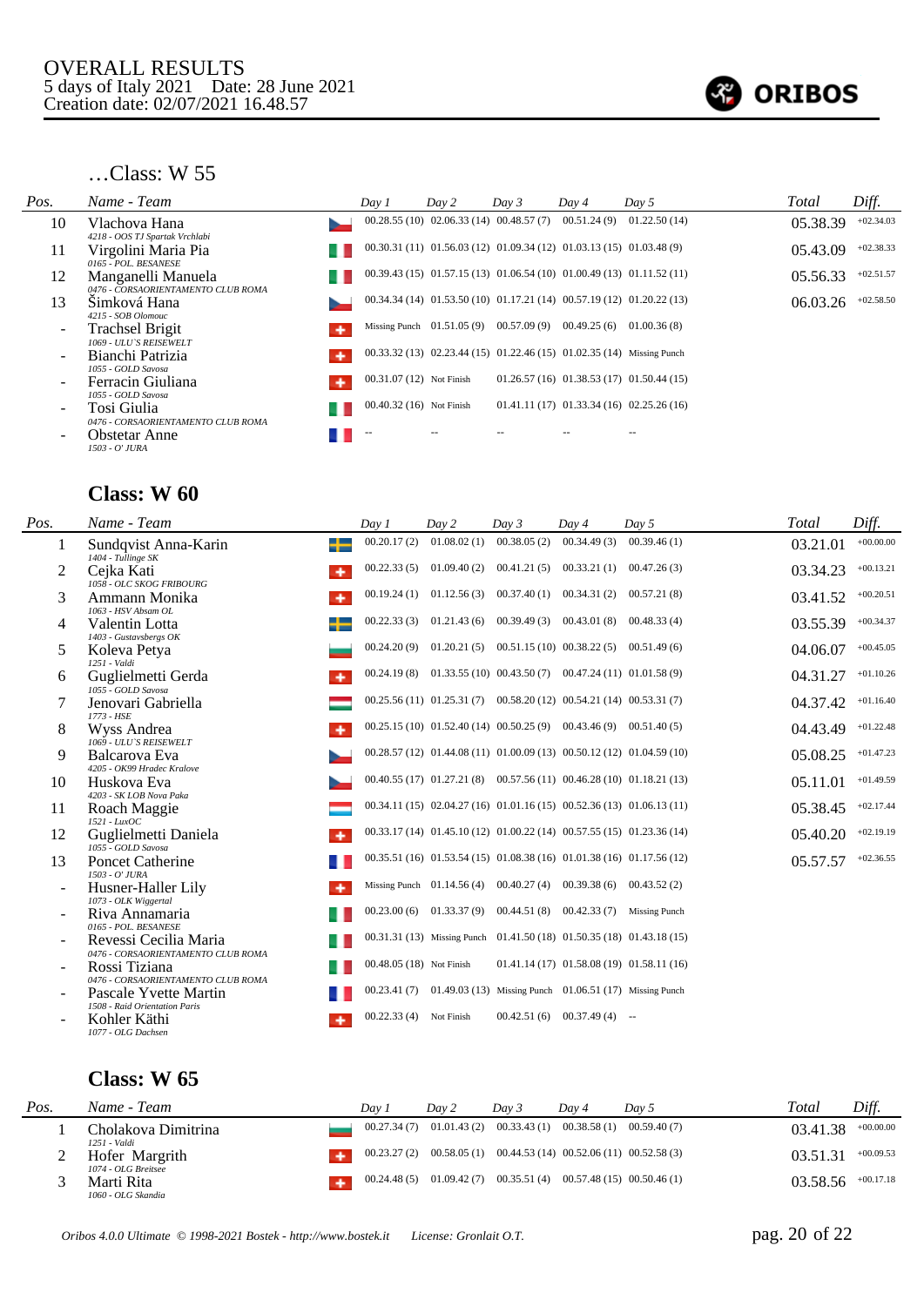

| Pos.                     | Name - Team                                              |   | Day 1                    | Day 2                                                                     | Day 3 | Day 4       | Day 5                                                                      | Total    | Diff.       |
|--------------------------|----------------------------------------------------------|---|--------------------------|---------------------------------------------------------------------------|-------|-------------|----------------------------------------------------------------------------|----------|-------------|
| 10                       | Vlachova Hana<br>4218 - OOS TJ Spartak Vrchlabi          |   |                          | 00.28.55 (10) 02.06.33 (14) 00.48.57 (7)                                  |       | 00.51.24(9) | 01.22.50(14)                                                               | 05.38.39 | $+02.34.03$ |
| 11                       | Virgolini Maria Pia<br>0165 - POL. BESANESE              |   |                          | $00.30.31(11)$ $01.56.03(12)$ $01.09.34(12)$ $01.03.13(15)$ $01.03.48(9)$ |       |             |                                                                            | 05.43.09 | $+02.38.33$ |
| 12                       | Manganelli Manuela<br>0476 - CORSAORIENTAMENTO CLUB ROMA |   |                          |                                                                           |       |             | $00.39.43(15)$ $01.57.15(13)$ $01.06.54(10)$ $01.00.49(13)$ $01.11.52(11)$ | 05.56.33 | $+02.51.57$ |
| 13                       | Šimková Hana<br>4215 - SOB Olomouc                       |   |                          |                                                                           |       |             | $00.34.34(14)$ $01.53.50(10)$ $01.17.21(14)$ $00.57.19(12)$ $01.20.22(13)$ | 06.03.26 | $+02.58.50$ |
| $\overline{\phantom{a}}$ | <b>Trachsel Brigit</b><br>1069 - ULU'S REISEWELT         | ۰ |                          | Missing Punch $01.51.05(9)$ $00.57.09(9)$                                 |       | 00.49.25(6) | 01.00.36(8)                                                                |          |             |
|                          | Bianchi Patrizia<br>1055 - GOLD Savosa                   |   |                          | $00.33.32(13)$ $02.23.44(15)$ $01.22.46(15)$ $01.02.35(14)$ Missing Punch |       |             |                                                                            |          |             |
| ۰                        | Ferracin Giuliana<br>1055 - GOLD Savosa                  | ۰ | 00.31.07 (12) Not Finish |                                                                           |       |             | $01.26.57(16)$ $01.38.53(17)$ $01.50.44(15)$                               |          |             |
| $\overline{\phantom{a}}$ | Tosi Giulia<br>0476 - CORSAORIENTAMENTO CLUB ROMA        |   | 00.40.32 (16) Not Finish |                                                                           |       |             | $01.41.11(17)$ $01.33.34(16)$ $02.25.26(16)$                               |          |             |
| -                        | <b>Obstetar Anne</b><br>1503 - O' JURA                   |   | $-$                      |                                                                           |       |             |                                                                            |          |             |

### **Class: W 60**

| Pos.                     | Name - Team                                                 | Day 1                    | Day 2       | Day 3                       | Day 4                                                                     | Day 5       | <b>Total</b> | Diff.       |
|--------------------------|-------------------------------------------------------------|--------------------------|-------------|-----------------------------|---------------------------------------------------------------------------|-------------|--------------|-------------|
| 1                        | Sundqvist Anna-Karin<br>┻<br>$1404$ - Tullinge SK           | 00.20.17(2)              | 01.08.02(1) | 00.38.05(2)                 | 00.34.49(3)                                                               | 00.39.46(1) | 03.21.01     | $+00.00.00$ |
| 2                        | Cejka Kati<br>۰<br>1058 - OLC SKOG FRIBOURG                 | 00.22.33(5)              |             |                             | $01.09.40(2)$ $00.41.21(5)$ $00.33.21(1)$                                 | 00.47.26(3) | 03.34.23     | $+00.13.21$ |
| 3                        | Ammann Monika<br>۰<br>1063 - HSV Absam OL                   | 00.19.24(1)              |             | $01.12.56(3)$ $00.37.40(1)$ | 00.34.31(2)                                                               | 00.57.21(8) | 03.41.52     | $+00.20.51$ |
| 4                        | Valentin Lotta<br>1403 - Gustavsbergs OK                    | 00.22.33(3)              | 01.21.43(6) | 00.39.49 (3)                | 00.43.01(8)                                                               | 00.48.33(4) | 03.55.39     | $+00.34.37$ |
| 5                        | Koleva Petya<br>1251 - Valdi                                | 00.24.20(9)              |             |                             | $01.20.21(5)$ $00.51.15(10)$ $00.38.22(5)$ $00.51.49(6)$                  |             | 04.06.07     | $+00.45.05$ |
| 6                        | Guglielmetti Gerda<br>1055 - GOLD Savosa                    | 00.24.19(8)              |             |                             | $01.33.55(10)$ $00.43.50(7)$ $00.47.24(11)$ $01.01.58(9)$                 |             | 04.31.27     | $+01.10.26$ |
|                          | Jenovari Gabriella<br>1773 - HSE                            |                          |             |                             | $00.25.56(11)$ $01.25.31(7)$ $00.58.20(12)$ $00.54.21(14)$ $00.53.31(7)$  |             | 04.37.42     | $+01.16.40$ |
| 8                        | Wyss Andrea<br>1069 - ULU'S REISEWELT                       |                          |             |                             | $00.25.15(10)$ $01.52.40(14)$ $00.50.25(9)$ $00.43.46(9)$ $00.51.40(5)$   |             | 04.43.49     | $+01.22.48$ |
| 9                        | Balcarova Eva<br>4205 - OK99 Hradec Kralove                 |                          |             |                             | 00.28.57 (12) 01.44.08 (11) 01.00.09 (13) 00.50.12 (12) 01.04.59 (10)     |             | 05.08.25     | $+01.47.23$ |
| 10                       | Huskova Eva<br>4203 - SK LOB Nova Paka                      |                          |             |                             | $00.40.55(17)$ $01.27.21(8)$ $00.57.56(11)$ $00.46.28(10)$ $01.18.21(13)$ |             | 05.11.01     | $+01.49.59$ |
| 11                       | Roach Maggie<br>1521 - LuxOC                                |                          |             |                             | $00.34.11(15) 02.04.27(16) 01.01.16(15) 00.52.36(13) 01.06.13(11)$        |             | 05.38.45     | $+02.17.44$ |
| 12                       | Guglielmetti Daniela<br>۰<br>1055 - GOLD Savosa             |                          |             |                             | 00.33.17 (14) 01.45.10 (12) 01.00.22 (14) 00.57.55 (15) 01.23.36 (14)     |             | 05.40.20     | $+02.19.19$ |
| 13                       | <b>Poncet Catherine</b><br>1503 - O' JURA                   |                          |             |                             | 00.35.51 (16) 01.53.54 (15) 01.08.38 (16) 01.01.38 (16) 01.17.56 (12)     |             | 05.57.57     | $+02.36.55$ |
| $\overline{\phantom{a}}$ | Husner-Haller Lily<br>۰<br>1073 - OLK Wiggertal             |                          |             |                             | Missing Punch $01.14.56(4)$ $00.40.27(4)$ $00.39.38(6)$ $00.43.52(2)$     |             |              |             |
|                          | Riva Annamaria<br>0165 - POL. BESANESE                      | 00.23.00(6)              |             |                             | $01.33.37(9)$ $00.44.51(8)$ $00.42.33(7)$ Missing Punch                   |             |              |             |
|                          | Revessi Cecilia Maria<br>0476 - CORSAORIENTAMENTO CLUB ROMA |                          |             |                             | 00.31.31 (13) Missing Punch 01.41.50 (18) 01.50.35 (18) 01.43.18 (15)     |             |              |             |
|                          | Rossi Tiziana<br>0476 - CORSAORIENTAMENTO CLUB ROMA         | 00.48.05 (18) Not Finish |             |                             | $01.41.14(17)$ $01.58.08(19)$ $01.58.11(16)$                              |             |              |             |
|                          | Pascale Yvette Martin<br>1508 - Raid Orientation Paris      | 00.23.41(7)              |             |                             | 01.49.03 (13) Missing Punch 01.06.51 (17) Missing Punch                   |             |              |             |
|                          | Kohler Käthi<br>۰<br>1077 - OLG Dachsen                     | 00.22.33(4)              | Not Finish  | 00.42.51(6)                 | $00.37.49(4)$ --                                                          |             |              |             |

| Pos. | Name - Team                           | Dav.        | Day 2 | Day 3 | Dav 4 | Dav 5                                                                  | Total    | Diff.       |
|------|---------------------------------------|-------------|-------|-------|-------|------------------------------------------------------------------------|----------|-------------|
|      | Cholakova Dimitrina<br>1251 - Valdi   | 00.27.34(7) |       |       |       | $01.01.43(2)$ $00.33.43(1)$ $00.38.58(1)$ $00.59.40(7)$                | 03.41.38 | $+00.00.00$ |
|      | Hofer Margrith<br>1074 - OLG Breitsee | 00.23.27(2) |       |       |       | $00.58.05(1)$ $00.44.53(14)$ $00.52.06(11)$ $00.52.58(3)$              | 03.51.31 | $+00.09.53$ |
|      | Marti Rita<br>1060 - OLG Skandia      |             |       |       |       | $00.24.48(5)$ $01.09.42(7)$ $00.35.51(4)$ $00.57.48(15)$ $00.50.46(1)$ | 03.58.56 | $+00.17.18$ |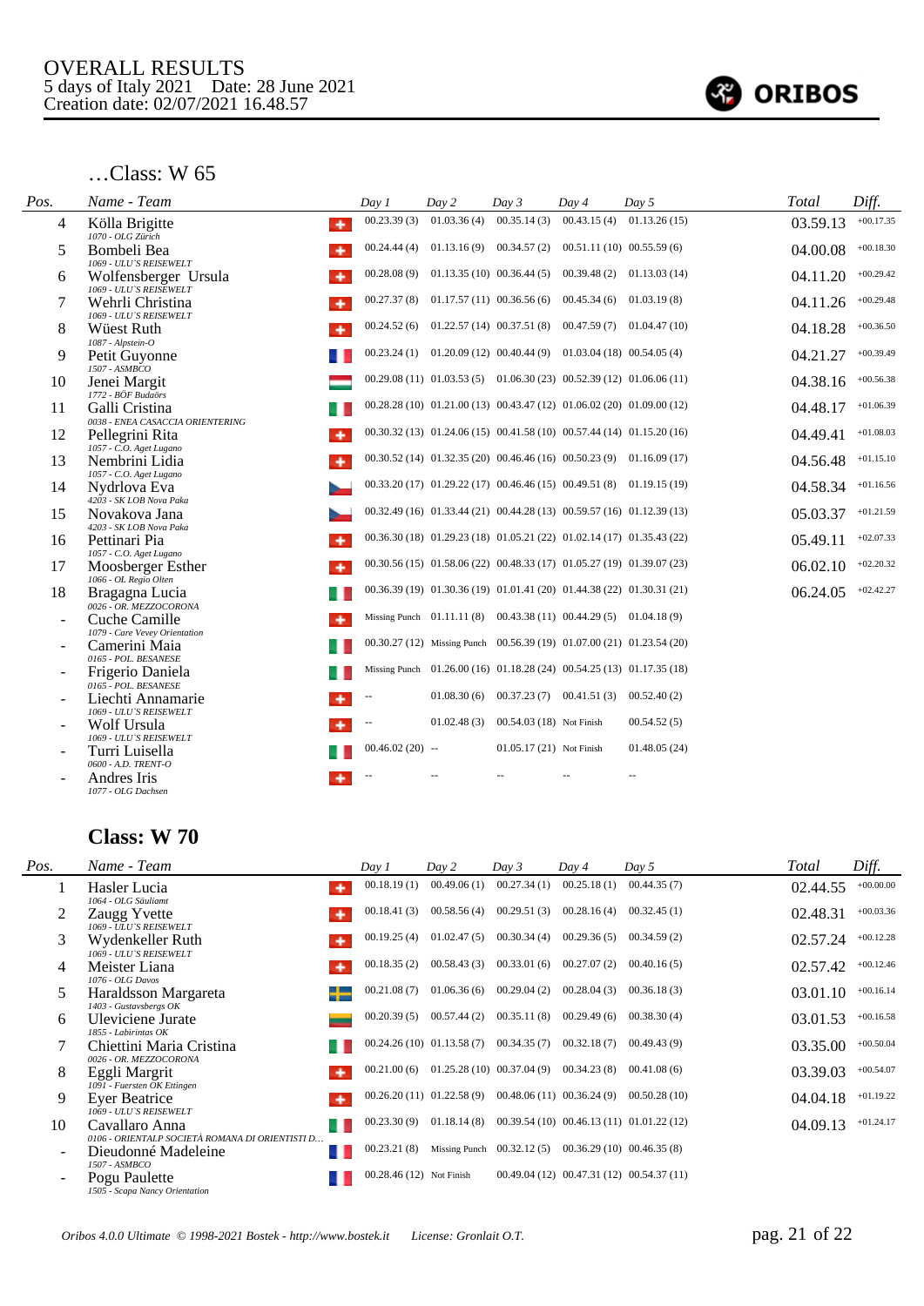

| Pos. | Name - Team                                                       | Day 1             | Day 2       | Day 3                        | Day 4                                                                      | Day 5                        | Total    | Diff.       |
|------|-------------------------------------------------------------------|-------------------|-------------|------------------------------|----------------------------------------------------------------------------|------------------------------|----------|-------------|
| 4    | Kölla Brigitte<br>٠<br>1070 - OLG Zürich                          | 00.23.39(3)       | 01.03.36(4) | 00.35.14(3)                  | 00.43.15(4)                                                                | 01.13.26(15)                 | 03.59.13 | $+00.17.35$ |
| 5    | Bombeli Bea<br>1069 - ULU'S REISEWELT                             | 00.24.44(4)       | 01.13.16(9) | 00.34.57(2)                  |                                                                            | 00.51.11(10) 00.55.59(6)     | 04.00.08 | $+00.18.30$ |
| 6    | Wolfensberger Ursula<br>1069 - ULU'S REISEWELT                    | 00.28.08(9)       |             | $01.13.35(10)$ $00.36.44(5)$ |                                                                            | $00.39.48(2)$ $01.13.03(14)$ | 04.11.20 | $+00.29.42$ |
| 7    | Wehrli Christina<br>1069 - ULU'S REISEWELT                        | 00.27.37(8)       |             | $01.17.57(11)$ $00.36.56(6)$ | 00.45.34(6)                                                                | 01.03.19(8)                  | 04.11.26 | $+00.29.48$ |
| 8    | <b>Wüest Ruth</b><br>1087 - Alpstein-O                            | 00.24.52(6)       |             | $01.22.57(14)$ $00.37.51(8)$ |                                                                            | $00.47.59(7)$ $01.04.47(10)$ | 04.18.28 | $+00.36.50$ |
| 9    | Petit Guyonne<br>1507 - ASMBCO                                    | 00.23.24(1)       |             |                              | $01.20.09(12)$ $00.40.44(9)$ $01.03.04(18)$ $00.54.05(4)$                  |                              | 04.21.27 | $+00.39.49$ |
| 10   | Jenei Margit<br>1772 - BÖF Budaörs                                |                   |             |                              | $00.29.08(11)$ $01.03.53(5)$ $01.06.30(23)$ $00.52.39(12)$ $01.06.06(11)$  |                              | 04.38.16 | $+00.56.38$ |
| 11   | Galli Cristina                                                    |                   |             |                              | $00.28.28(10)$ $01.21.00(13)$ $00.43.47(12)$ $01.06.02(20)$ $01.09.00(12)$ |                              | 04.48.17 | $+01.06.39$ |
| 12   | 0038 - ENEA CASACCIA ORIENTERING<br>Pellegrini Rita<br>۰          |                   |             |                              | $00.30.32(13)$ $01.24.06(15)$ $00.41.58(10)$ $00.57.44(14)$ $01.15.20(16)$ |                              | 04.49.41 | $+01.08.03$ |
| 13   | 1057 - C.O. Aget Lugano<br>Nembrini Lidia                         |                   |             |                              | $00.30.52(14)$ $01.32.35(20)$ $00.46.46(16)$ $00.50.23(9)$ $01.16.09(17)$  |                              | 04.56.48 | $+01.15.10$ |
| 14   | 1057 - C.O. Aget Lugano<br>Nydrlova Eva                           |                   |             |                              | 00.33.20 (17) 01.29.22 (17) 00.46.46 (15) 00.49.51 (8) 01.19.15 (19)       |                              | 04.58.34 | $+01.16.56$ |
| 15   | 4203 - SK LOB Nova Paka<br>Novakova Jana                          |                   |             |                              | 00.32.49 (16) 01.33.44 (21) 00.44.28 (13) 00.59.57 (16) 01.12.39 (13)      |                              | 05.03.37 | $+01.21.59$ |
| 16   | 4203 - SK LOB Nova Paka<br>Pettinari Pia                          |                   |             |                              | 00.36.30 (18) 01.29.23 (18) 01.05.21 (22) 01.02.14 (17) 01.35.43 (22)      |                              | 05.49.11 | $+02.07.33$ |
| 17   | 1057 - C.O. Aget Lugano<br>Moosberger Esther<br>٠                 |                   |             |                              | $00.30.56(15)$ $01.58.06(22)$ $00.48.33(17)$ $01.05.27(19)$ $01.39.07(23)$ |                              | 06.02.10 | $+02.20.32$ |
| 18   | 1066 - OL Regio Olten<br>Bragagna Lucia<br>0026 - OR. MEZZOCORONA |                   |             |                              | 00.36.39 (19) 01.30.36 (19) 01.01.41 (20) 01.44.38 (22) 01.30.31 (21)      |                              | 06.24.05 | $+02.42.27$ |
|      | Cuche Camille                                                     |                   |             |                              | Missing Punch $01.11.11(8)$ $00.43.38(11)$ $00.44.29(5)$ $01.04.18(9)$     |                              |          |             |
|      | 1079 - Care Vevey Orientation<br>Camerini Maia                    |                   |             |                              | 00.30.27 (12) Missing Punch 00.56.39 (19) 01.07.00 (21) 01.23.54 (20)      |                              |          |             |
|      | 0165 - POL. BESANESE<br>Frigerio Daniela<br>0165 - POL. BESANESE  |                   |             |                              | Missing Punch 01.26.00 (16) 01.18.28 (24) 00.54.25 (13) 01.17.35 (18)      |                              |          |             |
|      | Liechti Annamarie                                                 |                   | 01.08.30(6) |                              | $00.37.23(7)$ $00.41.51(3)$                                                | 00.52.40(2)                  |          |             |
|      | 1069 - ULU'S REISEWELT<br>Wolf Ursula                             |                   | 01.02.48(3) | 00.54.03 (18) Not Finish     |                                                                            | 00.54.52(5)                  |          |             |
|      | 1069 - ULU'S REISEWELT<br>Turri Luisella                          | $00.46.02(20)$ -- |             | 01.05.17 (21) Not Finish     |                                                                            | 01.48.05(24)                 |          |             |
|      | 0600 - A.D. TRENT-O<br>Andres Iris<br>1077 - OLG Dachsen          |                   |             |                              |                                                                            |                              |          |             |

| Pos. | Name - Team                                                       | Day 1                    | Day 2                    | Day 3                                                    | Day 4                       | Day 5                                        | Total    | Diff.       |
|------|-------------------------------------------------------------------|--------------------------|--------------------------|----------------------------------------------------------|-----------------------------|----------------------------------------------|----------|-------------|
|      | Hasler Lucia<br>۰<br>1064 - OLG Säuliamt                          | 00.18.19(1)              | 00.49.06(1)              | 00.27.34(1)                                              | 00.25.18(1)                 | 00.44.35(7)                                  | 02.44.55 | $+00.00.00$ |
|      | Zaugg Yvette<br>1069 - ULU'S REISEWELT                            | 00.18.41(3)              | 00.58.56(4)              | 00.29.51(3)                                              | 00.28.16(4)                 | 00.32.45(1)                                  | 02.48.31 | $+00.03.36$ |
| 3    | Wydenkeller Ruth<br>1069 - ULU'S REISEWELT                        | 00.19.25(4)              | 01.02.47(5)              | 00.30.34(4)                                              | 00.29.36(5)                 | 00.34.59(2)                                  | 02.57.24 | $+00.12.28$ |
| 4    | Meister Liana<br>۰<br>1076 - OLG Davos                            | 00.18.35(2)              | 00.58.43(3)              | 00.33.01(6)                                              | 00.27.07(2)                 | 00.40.16(5)                                  | 02.57.42 | $+00.12.46$ |
| 5    | Haraldsson Margareta<br>1403 - Gustavsbergs OK                    | 00.21.08(7)              | 01.06.36(6)              | 00.29.04(2)                                              | 00.28.04(3)                 | 00.36.18(3)                                  | 03.01.10 | $+00.16.14$ |
| 6    | Uleviciene Jurate<br>1855 - Labirintas OK                         | 00.20.39(5)              | 00.57.44(2)              | 00.35.11(8)                                              | 00.29.49(6)                 | 00.38.30(4)                                  | 03.01.53 | $+00.16.58$ |
|      | Chiettini Maria Cristina<br>0026 - OR. MEZZOCORONA                |                          |                          | $00.24.26(10)$ $01.13.58(7)$ $00.34.35(7)$               | $00.32.18(7)$ $00.49.43(9)$ |                                              | 03.35.00 | $+00.50.04$ |
| 8    | Eggli Margrit<br>۰<br>1091 - Fuersten OK Ettingen                 | 00.21.00(6)              |                          | $01.25.28(10)$ $00.37.04(9)$                             | 00.34.23(8)                 | 00.41.08(6)                                  | 03.39.03 | $+00.54.07$ |
| 9    | Ever Beatrice<br>۰<br>1069 - ULU'S REISEWELT                      |                          | 00.26.20(11) 01.22.58(9) | $00.48.06(11)$ $00.36.24(9)$                             |                             | 00.50.28(10)                                 | 04.04.18 | $+01.19.22$ |
| 10   | Cavallaro Anna<br>0106 - ORIENTALP SOCIETÀ ROMANA DI ORIENTISTI D | 00.23.30(9)              | 01.18.14(8)              |                                                          |                             | $00.39.54(10)$ $00.46.13(11)$ $01.01.22(12)$ | 04.09.13 | $+01.24.17$ |
|      | Dieudonné Madeleine<br>1507 - ASMBCO                              | 00.23.21(8)              |                          | Missing Punch $00.32.12(5)$ $00.36.29(10)$ $00.46.35(8)$ |                             |                                              |          |             |
|      | Pogu Paulette<br>1505 - Scapa Nancy Orientation                   | 00.28.46 (12) Not Finish |                          |                                                          |                             | $00.49.04(12)$ $00.47.31(12)$ $00.54.37(11)$ |          |             |